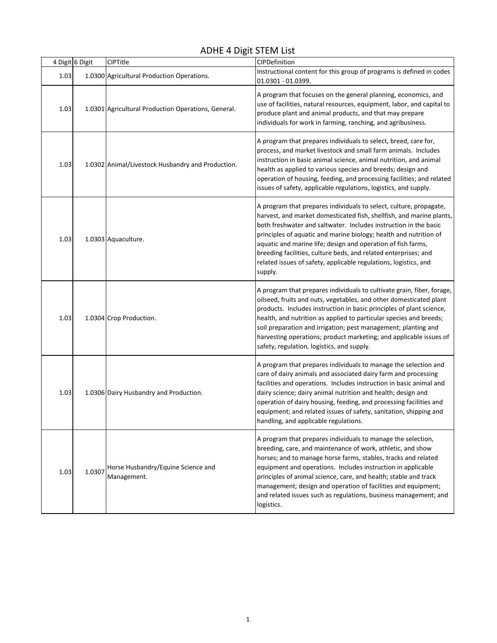## ADHE 4 Digit STEM List

|      | 4 Digit 6 Digit | CIPTitle                                            | CIPDefinition                                                                                                                                                                                                                                                                                                                                                                                                                                                                                         |
|------|-----------------|-----------------------------------------------------|-------------------------------------------------------------------------------------------------------------------------------------------------------------------------------------------------------------------------------------------------------------------------------------------------------------------------------------------------------------------------------------------------------------------------------------------------------------------------------------------------------|
| 1.03 |                 | 1.0300 Agricultural Production Operations.          | Instructional content for this group of programs is defined in codes<br>01.0301 - 01.0399.                                                                                                                                                                                                                                                                                                                                                                                                            |
| 1.03 |                 | 1.0301 Agricultural Production Operations, General. | A program that focuses on the general planning, economics, and<br>use of facilities, natural resources, equipment, labor, and capital to<br>produce plant and animal products, and that may prepare<br>individuals for work in farming, ranching, and agribusiness.                                                                                                                                                                                                                                   |
| 1.03 |                 | 1.0302 Animal/Livestock Husbandry and Production.   | A program that prepares individuals to select, breed, care for,<br>process, and market livestock and small farm animals. Includes<br>instruction in basic animal science, animal nutrition, and animal<br>health as applied to various species and breeds; design and<br>operation of housing, feeding, and processing facilities; and related<br>issues of safety, applicable regulations, logistics, and supply.                                                                                    |
| 1.03 |                 | 1.0303 Aquaculture.                                 | A program that prepares individuals to select, culture, propagate,<br>harvest, and market domesticated fish, shellfish, and marine plants,<br>both freshwater and saltwater. Includes instruction in the basic<br>principles of aquatic and marine biology; health and nutrition of<br>aquatic and marine life; design and operation of fish farms,<br>breeding facilities, culture beds, and related enterprises; and<br>related issues of safety, applicable regulations, logistics, and<br>supply. |
| 1.03 |                 | 1.0304 Crop Production.                             | A program that prepares individuals to cultivate grain, fiber, forage,<br>oilseed, fruits and nuts, vegetables, and other domesticated plant<br>products. Includes instruction in basic principles of plant science,<br>health, and nutrition as applied to particular species and breeds;<br>soil preparation and irrigation; pest management; planting and<br>harvesting operations; product marketing; and applicable issues of<br>safety, regulation, logistics, and supply.                      |
| 1.03 |                 | 1.0306 Dairy Husbandry and Production.              | A program that prepares individuals to manage the selection and<br>care of dairy animals and associated dairy farm and processing<br>facilities and operations. Includes instruction in basic animal and<br>dairy science; dairy animal nutrition and health; design and<br>operation of dairy housing, feeding, and processing facilities and<br>equipment; and related issues of safety, sanitation, shipping and<br>handling, and applicable regulations.                                          |
| 1.03 | 1.0307          | Horse Husbandry/Equine Science and<br>Management.   | A program that prepares individuals to manage the selection,<br>breeding, care, and maintenance of work, athletic, and show<br>horses; and to manage horse farms, stables, tracks and related<br>equipment and operations. Includes instruction in applicable<br>principles of animal science, care, and health; stable and track<br>management; design and operation of facilities and equipment;<br>and related issues such as regulations, business management; and<br>logistics.                  |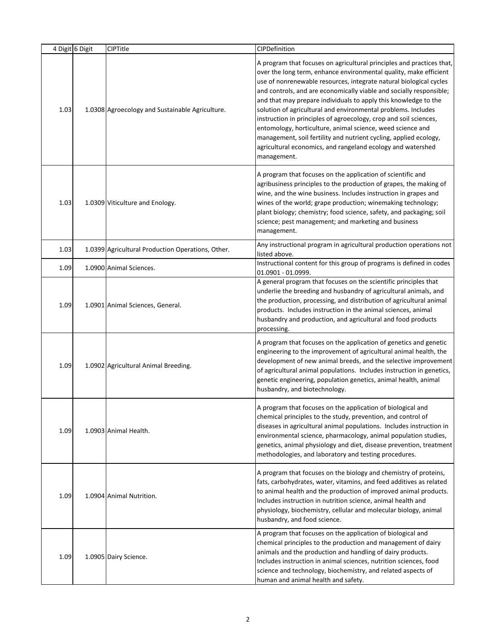|      | 4 Digit 6 Digit | <b>CIPTitle</b>                                   | CIPDefinition                                                                                                                                                                                                                                                                                                                                                                                                                                                                                                                                                                                                                                                                                                     |
|------|-----------------|---------------------------------------------------|-------------------------------------------------------------------------------------------------------------------------------------------------------------------------------------------------------------------------------------------------------------------------------------------------------------------------------------------------------------------------------------------------------------------------------------------------------------------------------------------------------------------------------------------------------------------------------------------------------------------------------------------------------------------------------------------------------------------|
| 1.03 |                 | 1.0308 Agroecology and Sustainable Agriculture.   | A program that focuses on agricultural principles and practices that,<br>over the long term, enhance environmental quality, make efficient<br>use of nonrenewable resources, integrate natural biological cycles<br>and controls, and are economically viable and socially responsible;<br>and that may prepare individuals to apply this knowledge to the<br>solution of agricultural and environmental problems. Includes<br>instruction in principles of agroecology, crop and soil sciences,<br>entomology, horticulture, animal science, weed science and<br>management, soil fertility and nutrient cycling, applied ecology,<br>agricultural economics, and rangeland ecology and watershed<br>management. |
| 1.03 |                 | 1.0309 Viticulture and Enology.                   | A program that focuses on the application of scientific and<br>agribusiness principles to the production of grapes, the making of<br>wine, and the wine business. Includes instruction in grapes and<br>wines of the world; grape production; winemaking technology;<br>plant biology; chemistry; food science, safety, and packaging; soil<br>science; pest management; and marketing and business<br>management.                                                                                                                                                                                                                                                                                                |
| 1.03 |                 | 1.0399 Agricultural Production Operations, Other. | Any instructional program in agricultural production operations not<br>listed above.                                                                                                                                                                                                                                                                                                                                                                                                                                                                                                                                                                                                                              |
| 1.09 |                 | 1.0900 Animal Sciences.                           | Instructional content for this group of programs is defined in codes<br>01.0901 - 01.0999.                                                                                                                                                                                                                                                                                                                                                                                                                                                                                                                                                                                                                        |
| 1.09 |                 | 1.0901 Animal Sciences, General.                  | A general program that focuses on the scientific principles that<br>underlie the breeding and husbandry of agricultural animals, and<br>the production, processing, and distribution of agricultural animal<br>products. Includes instruction in the animal sciences, animal<br>husbandry and production, and agricultural and food products<br>processing.                                                                                                                                                                                                                                                                                                                                                       |
| 1.09 |                 | 1.0902 Agricultural Animal Breeding.              | A program that focuses on the application of genetics and genetic<br>engineering to the improvement of agricultural animal health, the<br>development of new animal breeds, and the selective improvement<br>of agricultural animal populations. Includes instruction in genetics,<br>genetic engineering, population genetics, animal health, animal<br>husbandry, and biotechnology.                                                                                                                                                                                                                                                                                                                            |
| 1.09 |                 | 1.0903 Animal Health.                             | A program that focuses on the application of biological and<br>chemical principles to the study, prevention, and control of<br>diseases in agricultural animal populations. Includes instruction in<br>environmental science, pharmacology, animal population studies,<br>genetics, animal physiology and diet, disease prevention, treatment<br>methodologies, and laboratory and testing procedures.                                                                                                                                                                                                                                                                                                            |
| 1.09 |                 | 1.0904 Animal Nutrition.                          | A program that focuses on the biology and chemistry of proteins,<br>fats, carbohydrates, water, vitamins, and feed additives as related<br>to animal health and the production of improved animal products.<br>Includes instruction in nutrition science, animal health and<br>physiology, biochemistry, cellular and molecular biology, animal<br>husbandry, and food science.                                                                                                                                                                                                                                                                                                                                   |
| 1.09 |                 | 1.0905 Dairy Science.                             | A program that focuses on the application of biological and<br>chemical principles to the production and management of dairy<br>animals and the production and handling of dairy products.<br>Includes instruction in animal sciences, nutrition sciences, food<br>science and technology, biochemistry, and related aspects of<br>human and animal health and safety.                                                                                                                                                                                                                                                                                                                                            |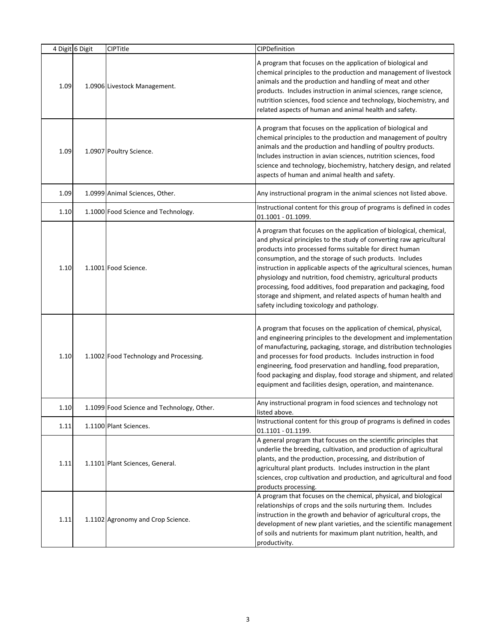|      | 4 Digit 6 Digit | <b>CIPTitle</b>                            | CIPDefinition                                                                                                                                                                                                                                                                                                                                                                                                                                                                                                                                                                                  |
|------|-----------------|--------------------------------------------|------------------------------------------------------------------------------------------------------------------------------------------------------------------------------------------------------------------------------------------------------------------------------------------------------------------------------------------------------------------------------------------------------------------------------------------------------------------------------------------------------------------------------------------------------------------------------------------------|
| 1.09 |                 | 1.0906 Livestock Management.               | A program that focuses on the application of biological and<br>chemical principles to the production and management of livestock<br>animals and the production and handling of meat and other<br>products. Includes instruction in animal sciences, range science,<br>nutrition sciences, food science and technology, biochemistry, and<br>related aspects of human and animal health and safety.                                                                                                                                                                                             |
| 1.09 |                 | 1.0907 Poultry Science.                    | A program that focuses on the application of biological and<br>chemical principles to the production and management of poultry<br>animals and the production and handling of poultry products.<br>Includes instruction in avian sciences, nutrition sciences, food<br>science and technology, biochemistry, hatchery design, and related<br>aspects of human and animal health and safety.                                                                                                                                                                                                     |
| 1.09 |                 | 1.0999 Animal Sciences, Other.             | Any instructional program in the animal sciences not listed above.                                                                                                                                                                                                                                                                                                                                                                                                                                                                                                                             |
| 1.10 |                 | 1.1000 Food Science and Technology.        | Instructional content for this group of programs is defined in codes<br>01.1001 - 01.1099.                                                                                                                                                                                                                                                                                                                                                                                                                                                                                                     |
| 1.10 |                 | 1.1001 Food Science.                       | A program that focuses on the application of biological, chemical,<br>and physical principles to the study of converting raw agricultural<br>products into processed forms suitable for direct human<br>consumption, and the storage of such products. Includes<br>instruction in applicable aspects of the agricultural sciences, human<br>physiology and nutrition, food chemistry, agricultural products<br>processing, food additives, food preparation and packaging, food<br>storage and shipment, and related aspects of human health and<br>safety including toxicology and pathology. |
| 1.10 |                 | 1.1002 Food Technology and Processing.     | A program that focuses on the application of chemical, physical,<br>and engineering principles to the development and implementation<br>of manufacturing, packaging, storage, and distribution technologies<br>and processes for food products. Includes instruction in food<br>engineering, food preservation and handling, food preparation,<br>food packaging and display, food storage and shipment, and related<br>equipment and facilities design, operation, and maintenance.                                                                                                           |
| 1.10 |                 | 1.1099 Food Science and Technology, Other. | Any instructional program in food sciences and technology not<br>listed above.                                                                                                                                                                                                                                                                                                                                                                                                                                                                                                                 |
| 1.11 |                 | 1.1100 Plant Sciences.                     | Instructional content for this group of programs is defined in codes<br>01.1101 - 01.1199.                                                                                                                                                                                                                                                                                                                                                                                                                                                                                                     |
| 1.11 |                 | 1.1101 Plant Sciences, General.            | A general program that focuses on the scientific principles that<br>underlie the breeding, cultivation, and production of agricultural<br>plants, and the production, processing, and distribution of<br>agricultural plant products. Includes instruction in the plant<br>sciences, crop cultivation and production, and agricultural and food<br>products processing.                                                                                                                                                                                                                        |
| 1.11 |                 | 1.1102 Agronomy and Crop Science.          | A program that focuses on the chemical, physical, and biological<br>relationships of crops and the soils nurturing them. Includes<br>instruction in the growth and behavior of agricultural crops, the<br>development of new plant varieties, and the scientific management<br>of soils and nutrients for maximum plant nutrition, health, and<br>productivity.                                                                                                                                                                                                                                |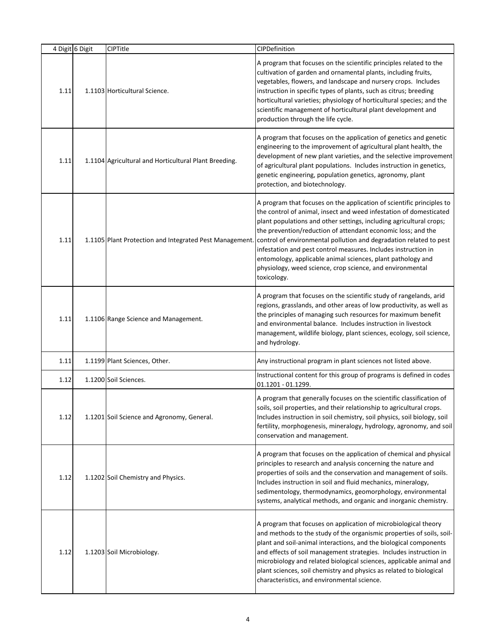|      | 4 Digit 6 Digit | <b>CIPTitle</b>                                         | CIPDefinition                                                                                                                                                                                                                                                                                                                                                                                                                                                                                                                                                         |
|------|-----------------|---------------------------------------------------------|-----------------------------------------------------------------------------------------------------------------------------------------------------------------------------------------------------------------------------------------------------------------------------------------------------------------------------------------------------------------------------------------------------------------------------------------------------------------------------------------------------------------------------------------------------------------------|
| 1.11 |                 | 1.1103 Horticultural Science.                           | A program that focuses on the scientific principles related to the<br>cultivation of garden and ornamental plants, including fruits,<br>vegetables, flowers, and landscape and nursery crops. Includes<br>instruction in specific types of plants, such as citrus; breeding<br>horticultural varieties; physiology of horticultural species; and the<br>scientific management of horticultural plant development and<br>production through the life cycle.                                                                                                            |
| 1.11 |                 | 1.1104 Agricultural and Horticultural Plant Breeding.   | A program that focuses on the application of genetics and genetic<br>engineering to the improvement of agricultural plant health, the<br>development of new plant varieties, and the selective improvement<br>of agricultural plant populations. Includes instruction in genetics,<br>genetic engineering, population genetics, agronomy, plant<br>protection, and biotechnology.                                                                                                                                                                                     |
| 1.11 |                 | 1.1105 Plant Protection and Integrated Pest Management. | A program that focuses on the application of scientific principles to<br>the control of animal, insect and weed infestation of domesticated<br>plant populations and other settings, including agricultural crops;<br>the prevention/reduction of attendant economic loss; and the<br>control of environmental pollution and degradation related to pest<br>infestation and pest control measures. Includes instruction in<br>entomology, applicable animal sciences, plant pathology and<br>physiology, weed science, crop science, and environmental<br>toxicology. |
| 1.11 |                 | 1.1106 Range Science and Management.                    | A program that focuses on the scientific study of rangelands, arid<br>regions, grasslands, and other areas of low productivity, as well as<br>the principles of managing such resources for maximum benefit<br>and environmental balance. Includes instruction in livestock<br>management, wildlife biology, plant sciences, ecology, soil science,<br>and hydrology.                                                                                                                                                                                                 |
| 1.11 |                 | 1.1199 Plant Sciences, Other.                           | Any instructional program in plant sciences not listed above.                                                                                                                                                                                                                                                                                                                                                                                                                                                                                                         |
| 1.12 |                 | 1.1200 Soil Sciences.                                   | Instructional content for this group of programs is defined in codes<br>01.1201 - 01.1299.                                                                                                                                                                                                                                                                                                                                                                                                                                                                            |
| 1.12 |                 | 1.1201 Soil Science and Agronomy, General.              | A program that generally focuses on the scientific classification of<br>soils, soil properties, and their relationship to agricultural crops.<br>Includes instruction in soil chemistry, soil physics, soil biology, soil<br>fertility, morphogenesis, mineralogy, hydrology, agronomy, and soil<br>conservation and management.                                                                                                                                                                                                                                      |
| 1.12 |                 | 1.1202 Soil Chemistry and Physics.                      | A program that focuses on the application of chemical and physical<br>principles to research and analysis concerning the nature and<br>properties of soils and the conservation and management of soils.<br>Includes instruction in soil and fluid mechanics, mineralogy,<br>sedimentology, thermodynamics, geomorphology, environmental<br>systems, analytical methods, and organic and inorganic chemistry.                                                                                                                                                         |
| 1.12 |                 | 1.1203 Soil Microbiology.                               | A program that focuses on application of microbiological theory<br>and methods to the study of the organismic properties of soils, soil-<br>plant and soil-animal interactions, and the biological components<br>and effects of soil management strategies. Includes instruction in<br>microbiology and related biological sciences, applicable animal and<br>plant sciences, soil chemistry and physics as related to biological<br>characteristics, and environmental science.                                                                                      |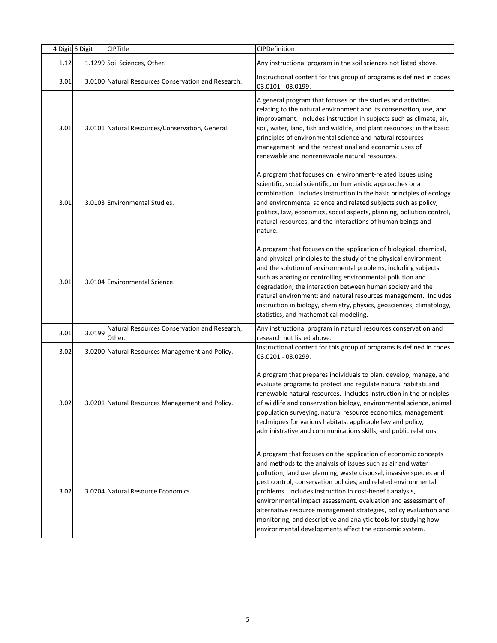|      | 4 Digit 6 Digit | CIPTitle                                               | CIPDefinition                                                                                                                                                                                                                                                                                                                                                                                                                                                                                                                                                                                        |
|------|-----------------|--------------------------------------------------------|------------------------------------------------------------------------------------------------------------------------------------------------------------------------------------------------------------------------------------------------------------------------------------------------------------------------------------------------------------------------------------------------------------------------------------------------------------------------------------------------------------------------------------------------------------------------------------------------------|
| 1.12 |                 | 1.1299 Soil Sciences, Other.                           | Any instructional program in the soil sciences not listed above.                                                                                                                                                                                                                                                                                                                                                                                                                                                                                                                                     |
| 3.01 |                 | 3.0100 Natural Resources Conservation and Research.    | Instructional content for this group of programs is defined in codes<br>03.0101 - 03.0199.                                                                                                                                                                                                                                                                                                                                                                                                                                                                                                           |
| 3.01 |                 | 3.0101 Natural Resources/Conservation, General.        | A general program that focuses on the studies and activities<br>relating to the natural environment and its conservation, use, and<br>improvement. Includes instruction in subjects such as climate, air,<br>soil, water, land, fish and wildlife, and plant resources; in the basic<br>principles of environmental science and natural resources<br>management; and the recreational and economic uses of<br>renewable and nonrenewable natural resources.                                                                                                                                          |
| 3.01 |                 | 3.0103 Environmental Studies.                          | A program that focuses on environment-related issues using<br>scientific, social scientific, or humanistic approaches or a<br>combination. Includes instruction in the basic principles of ecology<br>and environmental science and related subjects such as policy,<br>politics, law, economics, social aspects, planning, pollution control,<br>natural resources, and the interactions of human beings and<br>nature.                                                                                                                                                                             |
| 3.01 |                 | 3.0104 Environmental Science.                          | A program that focuses on the application of biological, chemical,<br>and physical principles to the study of the physical environment<br>and the solution of environmental problems, including subjects<br>such as abating or controlling environmental pollution and<br>degradation; the interaction between human society and the<br>natural environment; and natural resources management. Includes<br>instruction in biology, chemistry, physics, geosciences, climatology,<br>statistics, and mathematical modeling.                                                                           |
| 3.01 | 3.0199          | Natural Resources Conservation and Research,<br>Other. | Any instructional program in natural resources conservation and<br>research not listed above.                                                                                                                                                                                                                                                                                                                                                                                                                                                                                                        |
| 3.02 |                 | 3.0200 Natural Resources Management and Policy.        | Instructional content for this group of programs is defined in codes<br>03.0201 - 03.0299.                                                                                                                                                                                                                                                                                                                                                                                                                                                                                                           |
| 3.02 |                 | 3.0201 Natural Resources Management and Policy.        | A program that prepares individuals to plan, develop, manage, and<br>evaluate programs to protect and regulate natural habitats and<br>renewable natural resources. Includes instruction in the principles<br>of wildlife and conservation biology, environmental science, animal<br>population surveying, natural resource economics, management<br>techniques for various habitats, applicable law and policy,<br>administrative and communications skills, and public relations.                                                                                                                  |
| 3.02 |                 | 3.0204 Natural Resource Economics.                     | A program that focuses on the application of economic concepts<br>and methods to the analysis of issues such as air and water<br>pollution, land use planning, waste disposal, invasive species and<br>pest control, conservation policies, and related environmental<br>problems. Includes instruction in cost-benefit analysis,<br>environmental impact assessment, evaluation and assessment of<br>alternative resource management strategies, policy evaluation and<br>monitoring, and descriptive and analytic tools for studying how<br>environmental developments affect the economic system. |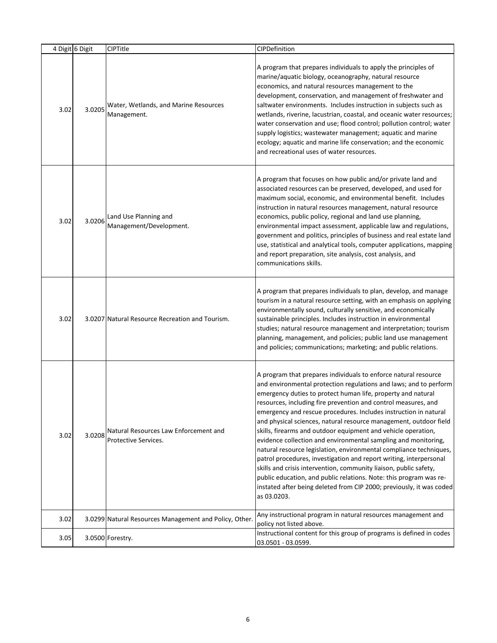| 4 Digit 6 Digit |        | CIPTitle                                                      | CIPDefinition                                                                                                                                                                                                                                                                                                                                                                                                                                                                                                                                                                                                                                                                                                                                                                                                                                                                                                                    |
|-----------------|--------|---------------------------------------------------------------|----------------------------------------------------------------------------------------------------------------------------------------------------------------------------------------------------------------------------------------------------------------------------------------------------------------------------------------------------------------------------------------------------------------------------------------------------------------------------------------------------------------------------------------------------------------------------------------------------------------------------------------------------------------------------------------------------------------------------------------------------------------------------------------------------------------------------------------------------------------------------------------------------------------------------------|
| 3.02            | 3.0205 | Water, Wetlands, and Marine Resources<br>Management.          | A program that prepares individuals to apply the principles of<br>marine/aquatic biology, oceanography, natural resource<br>economics, and natural resources management to the<br>development, conservation, and management of freshwater and<br>saltwater environments. Includes instruction in subjects such as<br>wetlands, riverine, lacustrian, coastal, and oceanic water resources;<br>water conservation and use; flood control; pollution control; water<br>supply logistics; wastewater management; aquatic and marine<br>ecology; aquatic and marine life conservation; and the economic<br>and recreational uses of water resources.                                                                                                                                                                                                                                                                                 |
| 3.02            | 3.0206 | Land Use Planning and<br>Management/Development.              | A program that focuses on how public and/or private land and<br>associated resources can be preserved, developed, and used for<br>maximum social, economic, and environmental benefit. Includes<br>instruction in natural resources management, natural resource<br>economics, public policy, regional and land use planning,<br>environmental impact assessment, applicable law and regulations,<br>government and politics, principles of business and real estate land<br>use, statistical and analytical tools, computer applications, mapping<br>and report preparation, site analysis, cost analysis, and<br>communications skills.                                                                                                                                                                                                                                                                                        |
| 3.02            |        | 3.0207 Natural Resource Recreation and Tourism.               | A program that prepares individuals to plan, develop, and manage<br>tourism in a natural resource setting, with an emphasis on applying<br>environmentally sound, culturally sensitive, and economically<br>sustainable principles. Includes instruction in environmental<br>studies; natural resource management and interpretation; tourism<br>planning, management, and policies; public land use management<br>and policies; communications; marketing; and public relations.                                                                                                                                                                                                                                                                                                                                                                                                                                                |
| 3.02            | 3.0208 | Natural Resources Law Enforcement and<br>Protective Services. | A program that prepares individuals to enforce natural resource<br>and environmental protection regulations and laws; and to perform<br>emergency duties to protect human life, property and natural<br>resources, including fire prevention and control measures, and<br>emergency and rescue procedures. Includes instruction in natural<br>and physical sciences, natural resource management, outdoor field<br>skills, firearms and outdoor equipment and vehicle operation,<br>evidence collection and environmental sampling and monitoring,<br>natural resource legislation, environmental compliance techniques,<br>patrol procedures, investigation and report writing, interpersonal<br>skills and crisis intervention, community liaison, public safety,<br>public education, and public relations. Note: this program was re-<br>instated after being deleted from CIP 2000; previously, it was coded<br>as 03.0203. |
| 3.02            |        | 3.0299 Natural Resources Management and Policy, Other.        | Any instructional program in natural resources management and<br>policy not listed above.                                                                                                                                                                                                                                                                                                                                                                                                                                                                                                                                                                                                                                                                                                                                                                                                                                        |
| 3.05            |        | 3.0500 Forestry.                                              | Instructional content for this group of programs is defined in codes<br>03.0501 - 03.0599.                                                                                                                                                                                                                                                                                                                                                                                                                                                                                                                                                                                                                                                                                                                                                                                                                                       |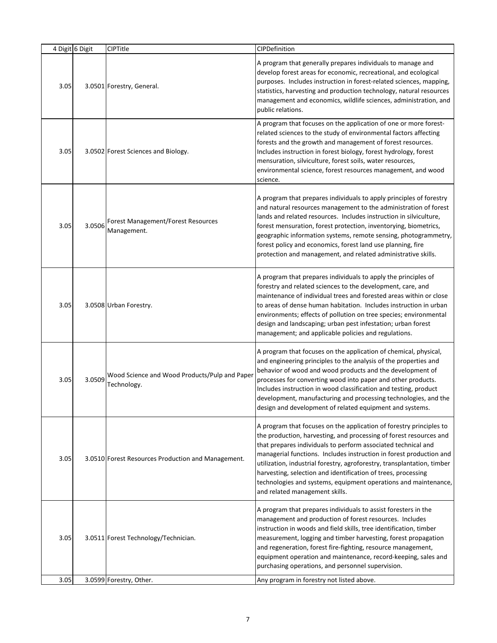|      | 4 Digit 6 Digit | CIPTitle                                                     | CIPDefinition                                                                                                                                                                                                                                                                                                                                                                                                                                                                                                                      |
|------|-----------------|--------------------------------------------------------------|------------------------------------------------------------------------------------------------------------------------------------------------------------------------------------------------------------------------------------------------------------------------------------------------------------------------------------------------------------------------------------------------------------------------------------------------------------------------------------------------------------------------------------|
| 3.05 |                 | 3.0501 Forestry, General.                                    | A program that generally prepares individuals to manage and<br>develop forest areas for economic, recreational, and ecological<br>purposes. Includes instruction in forest-related sciences, mapping,<br>statistics, harvesting and production technology, natural resources<br>management and economics, wildlife sciences, administration, and<br>public relations.                                                                                                                                                              |
| 3.05 |                 | 3.0502 Forest Sciences and Biology.                          | A program that focuses on the application of one or more forest-<br>related sciences to the study of environmental factors affecting<br>forests and the growth and management of forest resources.<br>Includes instruction in forest biology, forest hydrology, forest<br>mensuration, silviculture, forest soils, water resources,<br>environmental science, forest resources management, and wood<br>science.                                                                                                                    |
| 3.05 | 3.0506          | Forest Management/Forest Resources<br>Management.            | A program that prepares individuals to apply principles of forestry<br>and natural resources management to the administration of forest<br>lands and related resources. Includes instruction in silviculture,<br>forest mensuration, forest protection, inventorying, biometrics,<br>geographic information systems, remote sensing, photogrammetry,<br>forest policy and economics, forest land use planning, fire<br>protection and management, and related administrative skills.                                               |
| 3.05 |                 | 3.0508 Urban Forestry.                                       | A program that prepares individuals to apply the principles of<br>forestry and related sciences to the development, care, and<br>maintenance of individual trees and forested areas within or close<br>to areas of dense human habitation. Includes instruction in urban<br>environments; effects of pollution on tree species; environmental<br>design and landscaping; urban pest infestation; urban forest<br>management; and applicable policies and regulations.                                                              |
| 3.05 | 3.0509          | Wood Science and Wood Products/Pulp and Paper<br>Technology. | A program that focuses on the application of chemical, physical,<br>and engineering principles to the analysis of the properties and<br>behavior of wood and wood products and the development of<br>processes for converting wood into paper and other products.<br>Includes instruction in wood classification and testing, product<br>development, manufacturing and processing technologies, and the<br>design and development of related equipment and systems.                                                               |
| 3.05 |                 | 3.0510 Forest Resources Production and Management.           | A program that focuses on the application of forestry principles to<br>the production, harvesting, and processing of forest resources and<br>that prepares individuals to perform associated technical and<br>managerial functions. Includes instruction in forest production and<br>utilization, industrial forestry, agroforestry, transplantation, timber<br>harvesting, selection and identification of trees, processing<br>technologies and systems, equipment operations and maintenance,<br>and related management skills. |
| 3.05 |                 | 3.0511 Forest Technology/Technician.                         | A program that prepares individuals to assist foresters in the<br>management and production of forest resources. Includes<br>instruction in woods and field skills, tree identification, timber<br>measurement, logging and timber harvesting, forest propagation<br>and regeneration, forest fire-fighting, resource management,<br>equipment operation and maintenance, record-keeping, sales and<br>purchasing operations, and personnel supervision.                                                                           |
| 3.05 |                 | 3.0599 Forestry, Other.                                      | Any program in forestry not listed above.                                                                                                                                                                                                                                                                                                                                                                                                                                                                                          |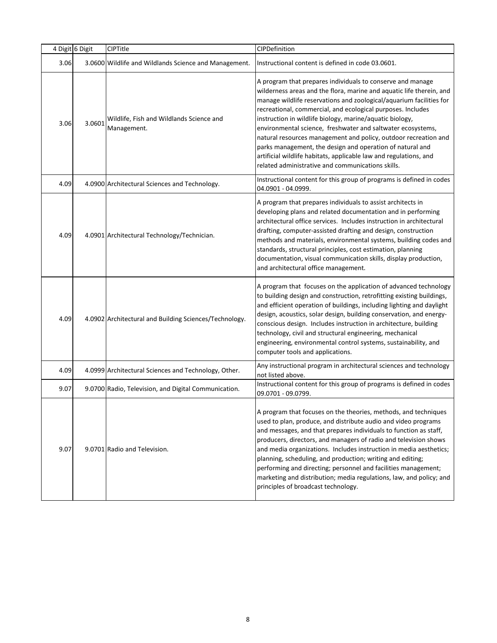|      | 4 Digit 6 Digit | CIPTitle                                                | CIPDefinition                                                                                                                                                                                                                                                                                                                                                                                                                                                                                                                                                                                                                                                 |
|------|-----------------|---------------------------------------------------------|---------------------------------------------------------------------------------------------------------------------------------------------------------------------------------------------------------------------------------------------------------------------------------------------------------------------------------------------------------------------------------------------------------------------------------------------------------------------------------------------------------------------------------------------------------------------------------------------------------------------------------------------------------------|
| 3.06 |                 | 3.0600 Wildlife and Wildlands Science and Management.   | Instructional content is defined in code 03.0601.                                                                                                                                                                                                                                                                                                                                                                                                                                                                                                                                                                                                             |
| 3.06 | 3.0601          | Wildlife, Fish and Wildlands Science and<br>Management. | A program that prepares individuals to conserve and manage<br>wilderness areas and the flora, marine and aquatic life therein, and<br>manage wildlife reservations and zoological/aquarium facilities for<br>recreational, commercial, and ecological purposes. Includes<br>instruction in wildlife biology, marine/aquatic biology,<br>environmental science, freshwater and saltwater ecosystems,<br>natural resources management and policy, outdoor recreation and<br>parks management, the design and operation of natural and<br>artificial wildlife habitats, applicable law and regulations, and<br>related administrative and communications skills. |
| 4.09 |                 | 4.0900 Architectural Sciences and Technology.           | Instructional content for this group of programs is defined in codes<br>04.0901 - 04.0999.                                                                                                                                                                                                                                                                                                                                                                                                                                                                                                                                                                    |
| 4.09 |                 | 4.0901 Architectural Technology/Technician.             | A program that prepares individuals to assist architects in<br>developing plans and related documentation and in performing<br>architectural office services. Includes instruction in architectural<br>drafting, computer-assisted drafting and design, construction<br>methods and materials, environmental systems, building codes and<br>standards, structural principles, cost estimation, planning<br>documentation, visual communication skills, display production,<br>and architectural office management.                                                                                                                                            |
| 4.09 |                 | 4.0902 Architectural and Building Sciences/Technology.  | A program that focuses on the application of advanced technology<br>to building design and construction, retrofitting existing buildings,<br>and efficient operation of buildings, including lighting and daylight<br>design, acoustics, solar design, building conservation, and energy-<br>conscious design. Includes instruction in architecture, building<br>technology, civil and structural engineering, mechanical<br>engineering, environmental control systems, sustainability, and<br>computer tools and applications.                                                                                                                              |
| 4.09 |                 | 4.0999 Architectural Sciences and Technology, Other.    | Any instructional program in architectural sciences and technology<br>not listed above.                                                                                                                                                                                                                                                                                                                                                                                                                                                                                                                                                                       |
| 9.07 |                 | 9.0700 Radio, Television, and Digital Communication.    | Instructional content for this group of programs is defined in codes<br>09.0701 - 09.0799.                                                                                                                                                                                                                                                                                                                                                                                                                                                                                                                                                                    |
| 9.07 |                 | 9.0701 Radio and Television.                            | A program that focuses on the theories, methods, and techniques<br>used to plan, produce, and distribute audio and video programs<br>and messages, and that prepares individuals to function as staff,<br>producers, directors, and managers of radio and television shows<br>and media organizations. Includes instruction in media aesthetics;<br>planning, scheduling, and production; writing and editing;<br>performing and directing; personnel and facilities management;<br>marketing and distribution; media regulations, law, and policy; and<br>principles of broadcast technology.                                                                |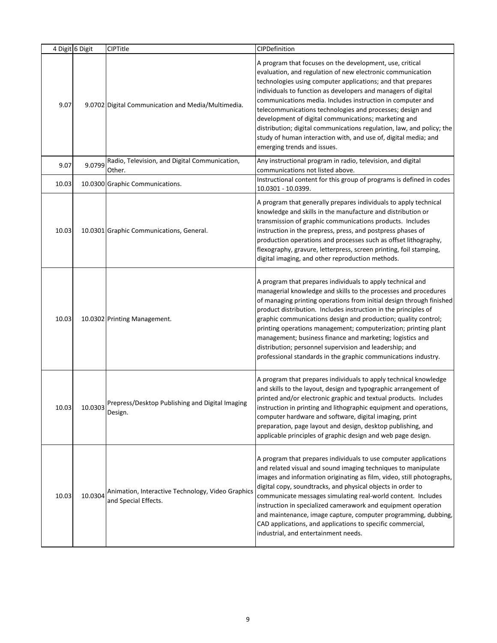|       | 4 Digit 6 Digit | CIPTitle                                                                  | CIPDefinition                                                                                                                                                                                                                                                                                                                                                                                                                                                                                                                                                                                                        |
|-------|-----------------|---------------------------------------------------------------------------|----------------------------------------------------------------------------------------------------------------------------------------------------------------------------------------------------------------------------------------------------------------------------------------------------------------------------------------------------------------------------------------------------------------------------------------------------------------------------------------------------------------------------------------------------------------------------------------------------------------------|
| 9.07  |                 | 9.0702 Digital Communication and Media/Multimedia.                        | A program that focuses on the development, use, critical<br>evaluation, and regulation of new electronic communication<br>technologies using computer applications; and that prepares<br>individuals to function as developers and managers of digital<br>communications media. Includes instruction in computer and<br>telecommunications technologies and processes; design and<br>development of digital communications; marketing and<br>distribution; digital communications regulation, law, and policy; the<br>study of human interaction with, and use of, digital media; and<br>emerging trends and issues. |
| 9.07  | 9.0799          | Radio, Television, and Digital Communication,<br>Other.                   | Any instructional program in radio, television, and digital<br>communications not listed above.                                                                                                                                                                                                                                                                                                                                                                                                                                                                                                                      |
| 10.03 |                 | 10.0300 Graphic Communications.                                           | Instructional content for this group of programs is defined in codes<br>10.0301 - 10.0399.                                                                                                                                                                                                                                                                                                                                                                                                                                                                                                                           |
| 10.03 |                 | 10.0301 Graphic Communications, General.                                  | A program that generally prepares individuals to apply technical<br>knowledge and skills in the manufacture and distribution or<br>transmission of graphic communications products. Includes<br>instruction in the prepress, press, and postpress phases of<br>production operations and processes such as offset lithography,<br>flexography, gravure, letterpress, screen printing, foil stamping,<br>digital imaging, and other reproduction methods.                                                                                                                                                             |
| 10.03 |                 | 10.0302 Printing Management.                                              | A program that prepares individuals to apply technical and<br>managerial knowledge and skills to the processes and procedures<br>of managing printing operations from initial design through finished<br>product distribution. Includes instruction in the principles of<br>graphic communications design and production; quality control;<br>printing operations management; computerization; printing plant<br>management; business finance and marketing; logistics and<br>distribution; personnel supervision and leadership; and<br>professional standards in the graphic communications industry.              |
| 10.03 |                 | 10.0303 Prepress/Desktop Publishing and Digital Imaging<br>Design.        | A program that prepares individuals to apply technical knowledge<br>and skills to the layout, design and typographic arrangement of<br>printed and/or electronic graphic and textual products. Includes<br>instruction in printing and lithographic equipment and operations,<br>computer hardware and software, digital imaging, print<br>preparation, page layout and design, desktop publishing, and<br>applicable principles of graphic design and web page design.                                                                                                                                              |
| 10.03 | 10.0304         | Animation, Interactive Technology, Video Graphics<br>and Special Effects. | A program that prepares individuals to use computer applications<br>and related visual and sound imaging techniques to manipulate<br>images and information originating as film, video, still photographs,<br>digital copy, soundtracks, and physical objects in order to<br>communicate messages simulating real-world content. Includes<br>instruction in specialized camerawork and equipment operation<br>and maintenance, image capture, computer programming, dubbing,<br>CAD applications, and applications to specific commercial,<br>industrial, and entertainment needs.                                   |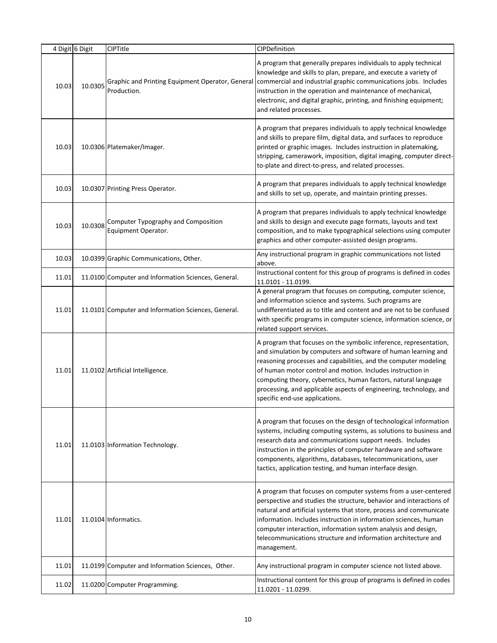|       | 4 Digit 6 Digit | CIPTitle                                                        | CIPDefinition                                                                                                                                                                                                                                                                                                                                                                                                                                  |
|-------|-----------------|-----------------------------------------------------------------|------------------------------------------------------------------------------------------------------------------------------------------------------------------------------------------------------------------------------------------------------------------------------------------------------------------------------------------------------------------------------------------------------------------------------------------------|
| 10.03 | 10.0305         | Graphic and Printing Equipment Operator, General<br>Production. | A program that generally prepares individuals to apply technical<br>knowledge and skills to plan, prepare, and execute a variety of<br>commercial and industrial graphic communications jobs. Includes<br>instruction in the operation and maintenance of mechanical,<br>electronic, and digital graphic, printing, and finishing equipment;<br>and related processes.                                                                         |
| 10.03 |                 | 10.0306 Platemaker/Imager.                                      | A program that prepares individuals to apply technical knowledge<br>and skills to prepare film, digital data, and surfaces to reproduce<br>printed or graphic images. Includes instruction in platemaking,<br>stripping, camerawork, imposition, digital imaging, computer direct-<br>to-plate and direct-to-press, and related processes.                                                                                                     |
| 10.03 |                 | 10.0307 Printing Press Operator.                                | A program that prepares individuals to apply technical knowledge<br>and skills to set up, operate, and maintain printing presses.                                                                                                                                                                                                                                                                                                              |
| 10.03 | 10.0308         | Computer Typography and Composition<br>Equipment Operator.      | A program that prepares individuals to apply technical knowledge<br>and skills to design and execute page formats, layouts and text<br>composition, and to make typographical selections using computer<br>graphics and other computer-assisted design programs.                                                                                                                                                                               |
| 10.03 |                 | 10.0399 Graphic Communications, Other.                          | Any instructional program in graphic communications not listed<br>above.                                                                                                                                                                                                                                                                                                                                                                       |
| 11.01 |                 | 11.0100 Computer and Information Sciences, General.             | Instructional content for this group of programs is defined in codes<br>11.0101 - 11.0199.                                                                                                                                                                                                                                                                                                                                                     |
| 11.01 |                 | 11.0101 Computer and Information Sciences, General.             | A general program that focuses on computing, computer science,<br>and information science and systems. Such programs are<br>undifferentiated as to title and content and are not to be confused<br>with specific programs in computer science, information science, or<br>related support services.                                                                                                                                            |
| 11.01 |                 | 11.0102 Artificial Intelligence.                                | A program that focuses on the symbolic inference, representation,<br>and simulation by computers and software of human learning and<br>reasoning processes and capabilities, and the computer modeling<br>of human motor control and motion. Includes instruction in<br>computing theory, cybernetics, human factors, natural language<br>processing, and applicable aspects of engineering, technology, and<br>specific end-use applications. |
| 11.01 |                 | 11.0103 Information Technology.                                 | A program that focuses on the design of technological information<br>systems, including computing systems, as solutions to business and<br>research data and communications support needs. Includes<br>instruction in the principles of computer hardware and software<br>components, algorithms, databases, telecommunications, user<br>tactics, application testing, and human interface design.                                             |
| 11.01 |                 | 11.0104 Informatics.                                            | A program that focuses on computer systems from a user-centered<br>perspective and studies the structure, behavior and interactions of<br>natural and artificial systems that store, process and communicate<br>information. Includes instruction in information sciences, human<br>computer interaction, information system analysis and design,<br>telecommunications structure and information architecture and<br>management.              |
| 11.01 |                 | 11.0199 Computer and Information Sciences, Other.               | Any instructional program in computer science not listed above.                                                                                                                                                                                                                                                                                                                                                                                |
| 11.02 |                 | 11.0200 Computer Programming.                                   | Instructional content for this group of programs is defined in codes<br>11.0201 - 11.0299.                                                                                                                                                                                                                                                                                                                                                     |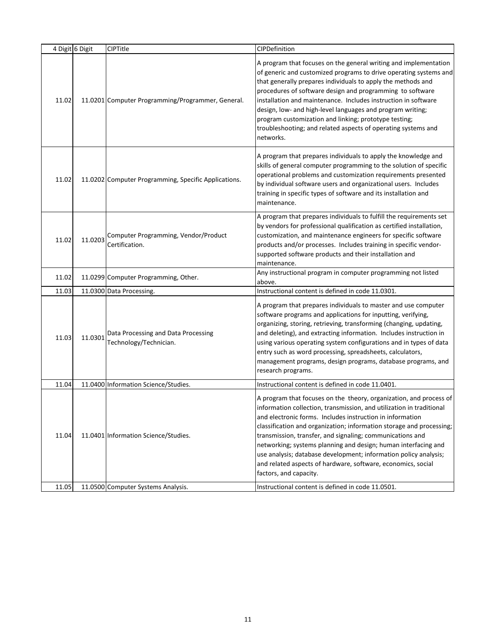|       | 4 Digit 6 Digit | CIPTitle                                                      | CIPDefinition                                                                                                                                                                                                                                                                                                                                                                                                                                                                                                                                                                |
|-------|-----------------|---------------------------------------------------------------|------------------------------------------------------------------------------------------------------------------------------------------------------------------------------------------------------------------------------------------------------------------------------------------------------------------------------------------------------------------------------------------------------------------------------------------------------------------------------------------------------------------------------------------------------------------------------|
| 11.02 |                 | 11.0201 Computer Programming/Programmer, General.             | A program that focuses on the general writing and implementation<br>of generic and customized programs to drive operating systems and<br>that generally prepares individuals to apply the methods and<br>procedures of software design and programming to software<br>installation and maintenance. Includes instruction in software<br>design, low- and high-level languages and program writing;<br>program customization and linking; prototype testing;<br>troubleshooting; and related aspects of operating systems and<br>networks.                                    |
| 11.02 |                 | 11.0202 Computer Programming, Specific Applications.          | A program that prepares individuals to apply the knowledge and<br>skills of general computer programming to the solution of specific<br>operational problems and customization requirements presented<br>by individual software users and organizational users. Includes<br>training in specific types of software and its installation and<br>maintenance.                                                                                                                                                                                                                  |
| 11.02 | 11.0203         | Computer Programming, Vendor/Product<br>Certification.        | A program that prepares individuals to fulfill the requirements set<br>by vendors for professional qualification as certified installation,<br>customization, and maintenance engineers for specific software<br>products and/or processes. Includes training in specific vendor-<br>supported software products and their installation and<br>maintenance.                                                                                                                                                                                                                  |
| 11.02 |                 | 11.0299 Computer Programming, Other.                          | Any instructional program in computer programming not listed<br>above.                                                                                                                                                                                                                                                                                                                                                                                                                                                                                                       |
| 11.03 |                 | 11.0300 Data Processing.                                      | Instructional content is defined in code 11.0301.                                                                                                                                                                                                                                                                                                                                                                                                                                                                                                                            |
| 11.03 | 11.0301         | Data Processing and Data Processing<br>Technology/Technician. | A program that prepares individuals to master and use computer<br>software programs and applications for inputting, verifying,<br>organizing, storing, retrieving, transforming (changing, updating,<br>and deleting), and extracting information. Includes instruction in<br>using various operating system configurations and in types of data<br>entry such as word processing, spreadsheets, calculators,<br>management programs, design programs, database programs, and<br>research programs.                                                                          |
| 11.04 |                 | 11.0400 Information Science/Studies.                          | Instructional content is defined in code 11.0401.                                                                                                                                                                                                                                                                                                                                                                                                                                                                                                                            |
| 11.04 |                 | 11.0401 Information Science/Studies.                          | A program that focuses on the theory, organization, and process of<br>information collection, transmission, and utilization in traditional<br>and electronic forms. Includes instruction in information<br>classification and organization; information storage and processing;<br>transmission, transfer, and signaling; communications and<br>networking; systems planning and design; human interfacing and<br>use analysis; database development; information policy analysis;<br>and related aspects of hardware, software, economics, social<br>factors, and capacity. |
| 11.05 |                 | 11.0500 Computer Systems Analysis.                            | Instructional content is defined in code 11.0501.                                                                                                                                                                                                                                                                                                                                                                                                                                                                                                                            |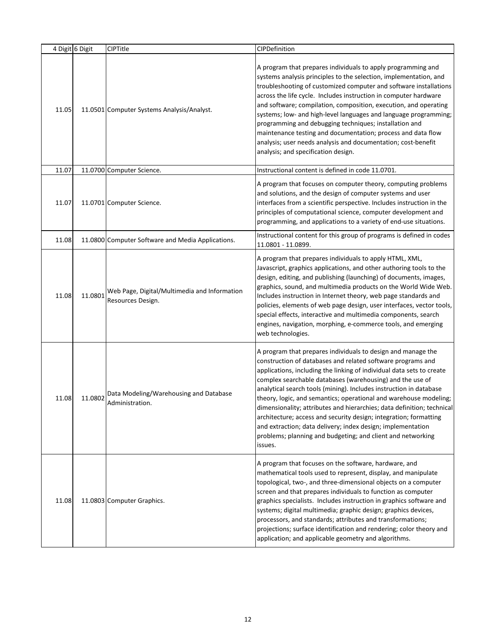|       | 4 Digit 6 Digit | CIPTitle                                                          | CIPDefinition                                                                                                                                                                                                                                                                                                                                                                                                                                                                                                                                                                                                                                                                                        |
|-------|-----------------|-------------------------------------------------------------------|------------------------------------------------------------------------------------------------------------------------------------------------------------------------------------------------------------------------------------------------------------------------------------------------------------------------------------------------------------------------------------------------------------------------------------------------------------------------------------------------------------------------------------------------------------------------------------------------------------------------------------------------------------------------------------------------------|
| 11.05 |                 | 11.0501 Computer Systems Analysis/Analyst.                        | A program that prepares individuals to apply programming and<br>systems analysis principles to the selection, implementation, and<br>troubleshooting of customized computer and software installations<br>across the life cycle. Includes instruction in computer hardware<br>and software; compilation, composition, execution, and operating<br>systems; low- and high-level languages and language programming;<br>programming and debugging techniques; installation and<br>maintenance testing and documentation; process and data flow<br>analysis; user needs analysis and documentation; cost-benefit<br>analysis; and specification design.                                                 |
| 11.07 |                 | 11.0700 Computer Science.                                         | Instructional content is defined in code 11.0701.                                                                                                                                                                                                                                                                                                                                                                                                                                                                                                                                                                                                                                                    |
| 11.07 |                 | 11.0701 Computer Science.                                         | A program that focuses on computer theory, computing problems<br>and solutions, and the design of computer systems and user<br>interfaces from a scientific perspective. Includes instruction in the<br>principles of computational science, computer development and<br>programming, and applications to a variety of end-use situations.                                                                                                                                                                                                                                                                                                                                                           |
| 11.08 |                 | 11.0800 Computer Software and Media Applications.                 | Instructional content for this group of programs is defined in codes<br>11.0801 - 11.0899.                                                                                                                                                                                                                                                                                                                                                                                                                                                                                                                                                                                                           |
| 11.08 | 11.0801         | Web Page, Digital/Multimedia and Information<br>Resources Design. | A program that prepares individuals to apply HTML, XML,<br>Javascript, graphics applications, and other authoring tools to the<br>design, editing, and publishing (launching) of documents, images,<br>graphics, sound, and multimedia products on the World Wide Web.<br>Includes instruction in Internet theory, web page standards and<br>policies, elements of web page design, user interfaces, vector tools,<br>special effects, interactive and multimedia components, search<br>engines, navigation, morphing, e-commerce tools, and emerging<br>web technologies.                                                                                                                           |
| 11.08 | 11.0802         | Data Modeling/Warehousing and Database<br>Administration.         | A program that prepares individuals to design and manage the<br>construction of databases and related software programs and<br>applications, including the linking of individual data sets to create<br>complex searchable databases (warehousing) and the use of<br>analytical search tools (mining). Includes instruction in database<br>theory, logic, and semantics; operational and warehouse modeling;<br>dimensionality; attributes and hierarchies; data definition; technical<br>architecture; access and security design; integration; formatting<br>and extraction; data delivery; index design; implementation<br>problems; planning and budgeting; and client and networking<br>issues. |
| 11.08 |                 | 11.0803 Computer Graphics.                                        | A program that focuses on the software, hardware, and<br>mathematical tools used to represent, display, and manipulate<br>topological, two-, and three-dimensional objects on a computer<br>screen and that prepares individuals to function as computer<br>graphics specialists. Includes instruction in graphics software and<br>systems; digital multimedia; graphic design; graphics devices,<br>processors, and standards; attributes and transformations;<br>projections; surface identification and rendering; color theory and<br>application; and applicable geometry and algorithms.                                                                                                       |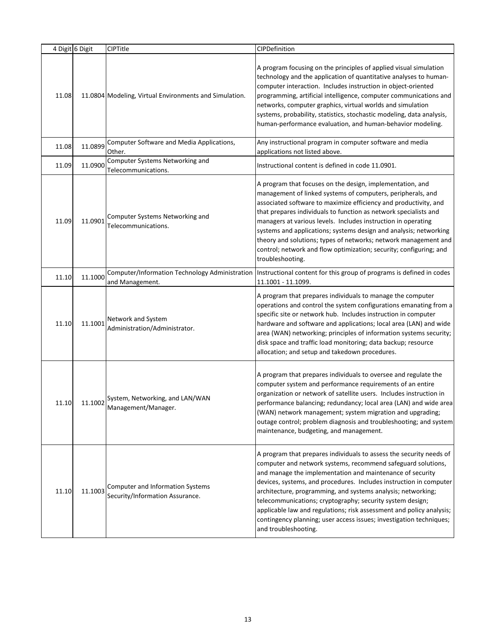|       | 4 Digit 6 Digit | <b>CIPTitle</b>                                                            | CIPDefinition                                                                                                                                                                                                                                                                                                                                                                                                                                                                                                                                                              |
|-------|-----------------|----------------------------------------------------------------------------|----------------------------------------------------------------------------------------------------------------------------------------------------------------------------------------------------------------------------------------------------------------------------------------------------------------------------------------------------------------------------------------------------------------------------------------------------------------------------------------------------------------------------------------------------------------------------|
| 11.08 |                 | 11.0804 Modeling, Virtual Environments and Simulation.                     | A program focusing on the principles of applied visual simulation<br>technology and the application of quantitative analyses to human-<br>computer interaction. Includes instruction in object-oriented<br>programming, artificial intelligence, computer communications and<br>networks, computer graphics, virtual worlds and simulation<br>systems, probability, statistics, stochastic modeling, data analysis,<br>human-performance evaluation, and human-behavior modeling.                                                                                          |
| 11.08 | 11.0899         | Computer Software and Media Applications,<br>Other.                        | Any instructional program in computer software and media<br>applications not listed above.                                                                                                                                                                                                                                                                                                                                                                                                                                                                                 |
| 11.09 | 11.0900         | Computer Systems Networking and<br>Telecommunications.                     | Instructional content is defined in code 11.0901.                                                                                                                                                                                                                                                                                                                                                                                                                                                                                                                          |
| 11.09 | 11.0901         | Computer Systems Networking and<br>Telecommunications.                     | A program that focuses on the design, implementation, and<br>management of linked systems of computers, peripherals, and<br>associated software to maximize efficiency and productivity, and<br>that prepares individuals to function as network specialists and<br>managers at various levels. Includes instruction in operating<br>systems and applications; systems design and analysis; networking<br>theory and solutions; types of networks; network management and<br>control; network and flow optimization; security; configuring; and<br>troubleshooting.        |
| 11.10 | 11.1000         | Computer/Information Technology Administration<br>and Management.          | Instructional content for this group of programs is defined in codes<br>11.1001 - 11.1099.                                                                                                                                                                                                                                                                                                                                                                                                                                                                                 |
| 11.10 | 11.1001         | Network and System<br>Administration/Administrator.                        | A program that prepares individuals to manage the computer<br>operations and control the system configurations emanating from a<br>specific site or network hub. Includes instruction in computer<br>hardware and software and applications; local area (LAN) and wide<br>area (WAN) networking; principles of information systems security;<br>disk space and traffic load monitoring; data backup; resource<br>allocation; and setup and takedown procedures.                                                                                                            |
| 11.10 | 11.1002         | System, Networking, and LAN/WAN<br>Management/Manager.                     | A program that prepares individuals to oversee and regulate the<br>computer system and performance requirements of an entire<br>organization or network of satellite users. Includes instruction in<br>performance balancing; redundancy; local area (LAN) and wide area<br>(WAN) network management; system migration and upgrading;<br>outage control; problem diagnosis and troubleshooting; and system<br>maintenance, budgeting, and management.                                                                                                                      |
| 11.10 | 11.1003         | <b>Computer and Information Systems</b><br>Security/Information Assurance. | A program that prepares individuals to assess the security needs of<br>computer and network systems, recommend safeguard solutions,<br>and manage the implementation and maintenance of security<br>devices, systems, and procedures. Includes instruction in computer<br>architecture, programming, and systems analysis; networking;<br>telecommunications; cryptography; security system design;<br>applicable law and regulations; risk assessment and policy analysis;<br>contingency planning; user access issues; investigation techniques;<br>and troubleshooting. |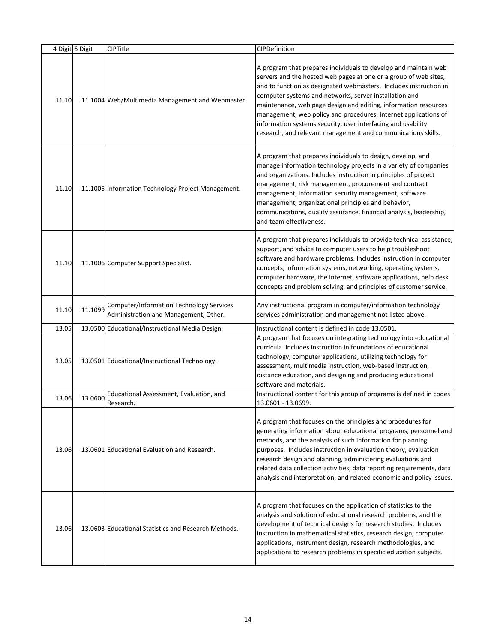|       | 4 Digit 6 Digit | <b>CIPTitle</b>                                                                          | CIPDefinition                                                                                                                                                                                                                                                                                                                                                                                                                                                                                                                            |
|-------|-----------------|------------------------------------------------------------------------------------------|------------------------------------------------------------------------------------------------------------------------------------------------------------------------------------------------------------------------------------------------------------------------------------------------------------------------------------------------------------------------------------------------------------------------------------------------------------------------------------------------------------------------------------------|
| 11.10 |                 | 11.1004 Web/Multimedia Management and Webmaster.                                         | A program that prepares individuals to develop and maintain web<br>servers and the hosted web pages at one or a group of web sites,<br>and to function as designated webmasters. Includes instruction in<br>computer systems and networks, server installation and<br>maintenance, web page design and editing, information resources<br>management, web policy and procedures, Internet applications of<br>information systems security, user interfacing and usability<br>research, and relevant management and communications skills. |
| 11.10 |                 | 11.1005 Information Technology Project Management.                                       | A program that prepares individuals to design, develop, and<br>manage information technology projects in a variety of companies<br>and organizations. Includes instruction in principles of project<br>management, risk management, procurement and contract<br>management, information security management, software<br>management, organizational principles and behavior,<br>communications, quality assurance, financial analysis, leadership,<br>and team effectiveness.                                                            |
| 11.10 |                 | 11.1006 Computer Support Specialist.                                                     | A program that prepares individuals to provide technical assistance,<br>support, and advice to computer users to help troubleshoot<br>software and hardware problems. Includes instruction in computer<br>concepts, information systems, networking, operating systems,<br>computer hardware, the Internet, software applications, help desk<br>concepts and problem solving, and principles of customer service.                                                                                                                        |
| 11.10 | 11.1099         | <b>Computer/Information Technology Services</b><br>Administration and Management, Other. | Any instructional program in computer/information technology<br>services administration and management not listed above.                                                                                                                                                                                                                                                                                                                                                                                                                 |
| 13.05 |                 | 13.0500 Educational/Instructional Media Design.                                          | Instructional content is defined in code 13.0501.                                                                                                                                                                                                                                                                                                                                                                                                                                                                                        |
| 13.05 |                 | 13.0501 Educational/Instructional Technology.                                            | A program that focuses on integrating technology into educational<br>curricula. Includes instruction in foundations of educational<br>technology, computer applications, utilizing technology for<br>assessment, multimedia instruction, web-based instruction,<br>distance education, and designing and producing educational<br>software and materials.                                                                                                                                                                                |
| 13.06 | 13.0600         | Educational Assessment, Evaluation, and<br>Research.                                     | Instructional content for this group of programs is defined in codes<br>13.0601 - 13.0699.                                                                                                                                                                                                                                                                                                                                                                                                                                               |
| 13.06 |                 | 13.0601 Educational Evaluation and Research.                                             | A program that focuses on the principles and procedures for<br>generating information about educational programs, personnel and<br>methods, and the analysis of such information for planning<br>purposes. Includes instruction in evaluation theory, evaluation<br>research design and planning, administering evaluations and<br>related data collection activities, data reporting requirements, data<br>analysis and interpretation, and related economic and policy issues.                                                         |
| 13.06 |                 | 13.0603 Educational Statistics and Research Methods.                                     | A program that focuses on the application of statistics to the<br>analysis and solution of educational research problems, and the<br>development of technical designs for research studies. Includes<br>instruction in mathematical statistics, research design, computer<br>applications, instrument design, research methodologies, and<br>applications to research problems in specific education subjects.                                                                                                                           |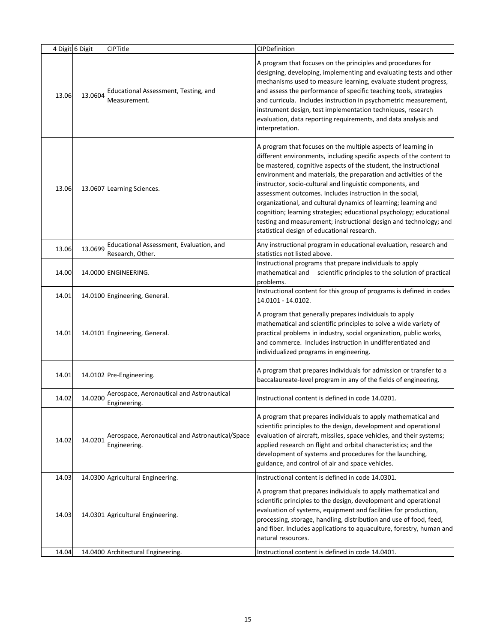|       | 4 Digit 6 Digit | <b>CIPTitle</b>                                                 | CIPDefinition                                                                                                                                                                                                                                                                                                                                                                                                                                                                                                                                                                                                                                                        |
|-------|-----------------|-----------------------------------------------------------------|----------------------------------------------------------------------------------------------------------------------------------------------------------------------------------------------------------------------------------------------------------------------------------------------------------------------------------------------------------------------------------------------------------------------------------------------------------------------------------------------------------------------------------------------------------------------------------------------------------------------------------------------------------------------|
| 13.06 | 13.0604         | Educational Assessment, Testing, and<br>Measurement.            | A program that focuses on the principles and procedures for<br>designing, developing, implementing and evaluating tests and other<br>mechanisms used to measure learning, evaluate student progress,<br>and assess the performance of specific teaching tools, strategies<br>and curricula. Includes instruction in psychometric measurement,<br>instrument design, test implementation techniques, research<br>evaluation, data reporting requirements, and data analysis and<br>interpretation.                                                                                                                                                                    |
| 13.06 |                 | 13.0607 Learning Sciences.                                      | A program that focuses on the multiple aspects of learning in<br>different environments, including specific aspects of the content to<br>be mastered, cognitive aspects of the student, the instructional<br>environment and materials, the preparation and activities of the<br>instructor, socio-cultural and linguistic components, and<br>assessment outcomes. Includes instruction in the social,<br>organizational, and cultural dynamics of learning; learning and<br>cognition; learning strategies; educational psychology; educational<br>testing and measurement; instructional design and technology; and<br>statistical design of educational research. |
| 13.06 | 13.0699         | Educational Assessment, Evaluation, and<br>Research, Other.     | Any instructional program in educational evaluation, research and<br>statistics not listed above.                                                                                                                                                                                                                                                                                                                                                                                                                                                                                                                                                                    |
| 14.00 |                 | 14.0000 ENGINEERING.                                            | Instructional programs that prepare individuals to apply<br>scientific principles to the solution of practical<br>mathematical and<br>problems.                                                                                                                                                                                                                                                                                                                                                                                                                                                                                                                      |
| 14.01 |                 | 14.0100 Engineering, General.                                   | Instructional content for this group of programs is defined in codes<br>14.0101 - 14.0102.                                                                                                                                                                                                                                                                                                                                                                                                                                                                                                                                                                           |
| 14.01 |                 | 14.0101 Engineering, General.                                   | A program that generally prepares individuals to apply<br>mathematical and scientific principles to solve a wide variety of<br>practical problems in industry, social organization, public works,<br>and commerce. Includes instruction in undifferentiated and<br>individualized programs in engineering.                                                                                                                                                                                                                                                                                                                                                           |
| 14.01 |                 | 14.0102 Pre-Engineering.                                        | A program that prepares individuals for admission or transfer to a<br>baccalaureate-level program in any of the fields of engineering.                                                                                                                                                                                                                                                                                                                                                                                                                                                                                                                               |
| 14.02 | 14.0200         | Aerospace, Aeronautical and Astronautical<br>Engineering.       | Instructional content is defined in code 14.0201.                                                                                                                                                                                                                                                                                                                                                                                                                                                                                                                                                                                                                    |
| 14.02 | 14.0201         | Aerospace, Aeronautical and Astronautical/Space<br>Engineering. | A program that prepares individuals to apply mathematical and<br>scientific principles to the design, development and operational<br>evaluation of aircraft, missiles, space vehicles, and their systems;<br>applied research on flight and orbital characteristics; and the<br>development of systems and procedures for the launching,<br>guidance, and control of air and space vehicles.                                                                                                                                                                                                                                                                         |
| 14.03 |                 | 14.0300 Agricultural Engineering.                               | Instructional content is defined in code 14.0301.                                                                                                                                                                                                                                                                                                                                                                                                                                                                                                                                                                                                                    |
| 14.03 |                 | 14.0301 Agricultural Engineering.                               | A program that prepares individuals to apply mathematical and<br>scientific principles to the design, development and operational<br>evaluation of systems, equipment and facilities for production,<br>processing, storage, handling, distribution and use of food, feed,<br>and fiber. Includes applications to aquaculture, forestry, human and<br>natural resources.                                                                                                                                                                                                                                                                                             |
| 14.04 |                 | 14.0400 Architectural Engineering.                              | Instructional content is defined in code 14.0401.                                                                                                                                                                                                                                                                                                                                                                                                                                                                                                                                                                                                                    |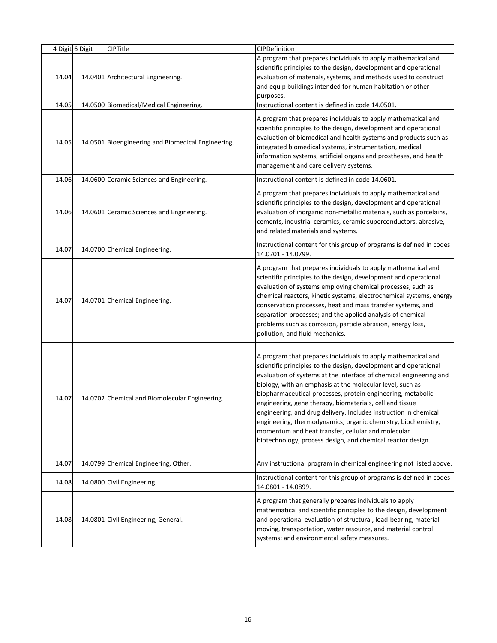|       | 4 Digit 6 Digit | CIPTitle                                           | CIPDefinition                                                                                                                                                                                                                                                                                                                                                                                                                                                                                                                                                                                                                                             |
|-------|-----------------|----------------------------------------------------|-----------------------------------------------------------------------------------------------------------------------------------------------------------------------------------------------------------------------------------------------------------------------------------------------------------------------------------------------------------------------------------------------------------------------------------------------------------------------------------------------------------------------------------------------------------------------------------------------------------------------------------------------------------|
| 14.04 |                 | 14.0401 Architectural Engineering.                 | A program that prepares individuals to apply mathematical and<br>scientific principles to the design, development and operational<br>evaluation of materials, systems, and methods used to construct<br>and equip buildings intended for human habitation or other<br>purposes.                                                                                                                                                                                                                                                                                                                                                                           |
| 14.05 |                 | 14.0500 Biomedical/Medical Engineering.            | Instructional content is defined in code 14.0501.                                                                                                                                                                                                                                                                                                                                                                                                                                                                                                                                                                                                         |
| 14.05 |                 | 14.0501 Bioengineering and Biomedical Engineering. | A program that prepares individuals to apply mathematical and<br>scientific principles to the design, development and operational<br>evaluation of biomedical and health systems and products such as<br>integrated biomedical systems, instrumentation, medical<br>information systems, artificial organs and prostheses, and health<br>management and care delivery systems.                                                                                                                                                                                                                                                                            |
| 14.06 |                 | 14.0600 Ceramic Sciences and Engineering.          | Instructional content is defined in code 14.0601.                                                                                                                                                                                                                                                                                                                                                                                                                                                                                                                                                                                                         |
| 14.06 |                 | 14.0601 Ceramic Sciences and Engineering.          | A program that prepares individuals to apply mathematical and<br>scientific principles to the design, development and operational<br>evaluation of inorganic non-metallic materials, such as porcelains,<br>cements, industrial ceramics, ceramic superconductors, abrasive,<br>and related materials and systems.                                                                                                                                                                                                                                                                                                                                        |
| 14.07 |                 | 14.0700 Chemical Engineering.                      | Instructional content for this group of programs is defined in codes<br>14.0701 - 14.0799.                                                                                                                                                                                                                                                                                                                                                                                                                                                                                                                                                                |
| 14.07 |                 | 14.0701 Chemical Engineering.                      | A program that prepares individuals to apply mathematical and<br>scientific principles to the design, development and operational<br>evaluation of systems employing chemical processes, such as<br>chemical reactors, kinetic systems, electrochemical systems, energy<br>conservation processes, heat and mass transfer systems, and<br>separation processes; and the applied analysis of chemical<br>problems such as corrosion, particle abrasion, energy loss,<br>pollution, and fluid mechanics.                                                                                                                                                    |
| 14.07 |                 | 14.0702 Chemical and Biomolecular Engineering.     | A program that prepares individuals to apply mathematical and<br>scientific principles to the design, development and operational<br>evaluation of systems at the interface of chemical engineering and<br>biology, with an emphasis at the molecular level, such as<br>biopharmaceutical processes, protein engineering, metabolic<br>engineering, gene therapy, biomaterials, cell and tissue<br>engineering, and drug delivery. Includes instruction in chemical<br>engineering, thermodynamics, organic chemistry, biochemistry,<br>momentum and heat transfer, cellular and molecular<br>biotechnology, process design, and chemical reactor design. |
| 14.07 |                 | 14.0799 Chemical Engineering, Other.               | Any instructional program in chemical engineering not listed above.                                                                                                                                                                                                                                                                                                                                                                                                                                                                                                                                                                                       |
| 14.08 |                 | 14.0800 Civil Engineering.                         | Instructional content for this group of programs is defined in codes<br>14.0801 - 14.0899.                                                                                                                                                                                                                                                                                                                                                                                                                                                                                                                                                                |
| 14.08 |                 | 14.0801 Civil Engineering, General.                | A program that generally prepares individuals to apply<br>mathematical and scientific principles to the design, development<br>and operational evaluation of structural, load-bearing, material<br>moving, transportation, water resource, and material control<br>systems; and environmental safety measures.                                                                                                                                                                                                                                                                                                                                            |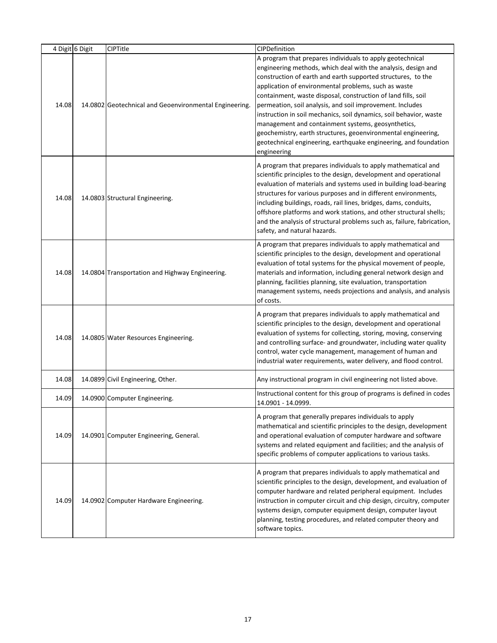|       | 4 Digit 6 Digit | CIPTitle                                               | CIPDefinition                                                                                                                                                                                                                                                                                                                                                                                                                                                                                                                                                                                                                                                    |
|-------|-----------------|--------------------------------------------------------|------------------------------------------------------------------------------------------------------------------------------------------------------------------------------------------------------------------------------------------------------------------------------------------------------------------------------------------------------------------------------------------------------------------------------------------------------------------------------------------------------------------------------------------------------------------------------------------------------------------------------------------------------------------|
| 14.08 |                 | 14.0802 Geotechnical and Geoenvironmental Engineering. | A program that prepares individuals to apply geotechnical<br>engineering methods, which deal with the analysis, design and<br>construction of earth and earth supported structures, to the<br>application of environmental problems, such as waste<br>containment, waste disposal, construction of land fills, soil<br>permeation, soil analysis, and soil improvement. Includes<br>instruction in soil mechanics, soil dynamics, soil behavior, waste<br>management and containment systems, geosynthetics,<br>geochemistry, earth structures, geoenvironmental engineering,<br>geotechnical engineering, earthquake engineering, and foundation<br>engineering |
| 14.08 |                 | 14.0803 Structural Engineering.                        | A program that prepares individuals to apply mathematical and<br>scientific principles to the design, development and operational<br>evaluation of materials and systems used in building load-bearing<br>structures for various purposes and in different environments,<br>including buildings, roads, rail lines, bridges, dams, conduits,<br>offshore platforms and work stations, and other structural shells;<br>and the analysis of structural problems such as, failure, fabrication,<br>safety, and natural hazards.                                                                                                                                     |
| 14.08 |                 | 14.0804 Transportation and Highway Engineering.        | A program that prepares individuals to apply mathematical and<br>scientific principles to the design, development and operational<br>evaluation of total systems for the physical movement of people,<br>materials and information, including general network design and<br>planning, facilities planning, site evaluation, transportation<br>management systems, needs projections and analysis, and analysis<br>of costs.                                                                                                                                                                                                                                      |
| 14.08 |                 | 14.0805 Water Resources Engineering.                   | A program that prepares individuals to apply mathematical and<br>scientific principles to the design, development and operational<br>evaluation of systems for collecting, storing, moving, conserving<br>and controlling surface- and groundwater, including water quality<br>control, water cycle management, management of human and<br>industrial water requirements, water delivery, and flood control.                                                                                                                                                                                                                                                     |
| 14.08 |                 | 14.0899 Civil Engineering, Other.                      | Any instructional program in civil engineering not listed above.                                                                                                                                                                                                                                                                                                                                                                                                                                                                                                                                                                                                 |
| 14.09 |                 | 14.0900 Computer Engineering.                          | Instructional content for this group of programs is defined in codes<br>14.0901 - 14.0999.                                                                                                                                                                                                                                                                                                                                                                                                                                                                                                                                                                       |
| 14.09 |                 | 14.0901 Computer Engineering, General.                 | A program that generally prepares individuals to apply<br>mathematical and scientific principles to the design, development<br>and operational evaluation of computer hardware and software<br>systems and related equipment and facilities; and the analysis of<br>specific problems of computer applications to various tasks.                                                                                                                                                                                                                                                                                                                                 |
| 14.09 |                 | 14.0902 Computer Hardware Engineering.                 | A program that prepares individuals to apply mathematical and<br>scientific principles to the design, development, and evaluation of<br>computer hardware and related peripheral equipment. Includes<br>instruction in computer circuit and chip design, circuitry, computer<br>systems design, computer equipment design, computer layout<br>planning, testing procedures, and related computer theory and<br>software topics.                                                                                                                                                                                                                                  |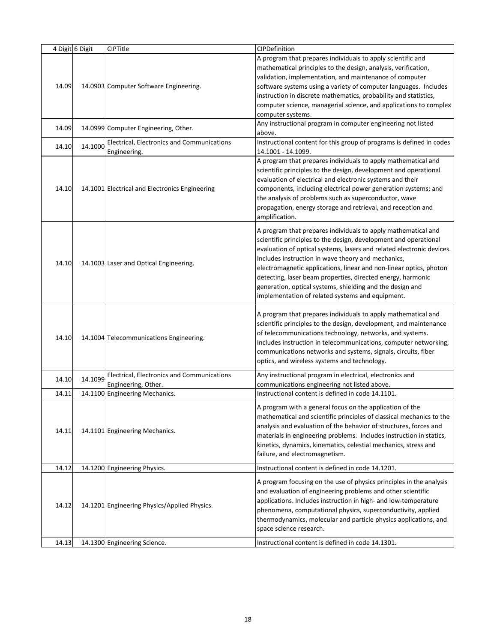|       | 4 Digit 6 Digit | CIPTitle                                       | CIPDefinition                                                         |
|-------|-----------------|------------------------------------------------|-----------------------------------------------------------------------|
|       |                 |                                                | A program that prepares individuals to apply scientific and           |
|       |                 |                                                | mathematical principles to the design, analysis, verification,        |
|       |                 |                                                | validation, implementation, and maintenance of computer               |
| 14.09 |                 | 14.0903 Computer Software Engineering.         | software systems using a variety of computer languages. Includes      |
|       |                 |                                                | instruction in discrete mathematics, probability and statistics,      |
|       |                 |                                                | computer science, managerial science, and applications to complex     |
|       |                 |                                                | computer systems.                                                     |
|       |                 |                                                | Any instructional program in computer engineering not listed          |
| 14.09 |                 | 14.0999 Computer Engineering, Other.           | above.                                                                |
|       |                 | Electrical, Electronics and Communications     | Instructional content for this group of programs is defined in codes  |
| 14.10 | 14.1000         | Engineering.                                   | 14.1001 - 14.1099.                                                    |
|       |                 |                                                | A program that prepares individuals to apply mathematical and         |
|       |                 |                                                | scientific principles to the design, development and operational      |
|       |                 |                                                | evaluation of electrical and electronic systems and their             |
| 14.10 |                 | 14.1001 Electrical and Electronics Engineering | components, including electrical power generation systems; and        |
|       |                 |                                                | the analysis of problems such as superconductor, wave                 |
|       |                 |                                                | propagation, energy storage and retrieval, and reception and          |
|       |                 |                                                | amplification.                                                        |
|       |                 |                                                |                                                                       |
|       |                 |                                                | A program that prepares individuals to apply mathematical and         |
|       |                 |                                                | scientific principles to the design, development and operational      |
|       |                 |                                                | evaluation of optical systems, lasers and related electronic devices. |
| 14.10 |                 | 14.1003 Laser and Optical Engineering.         | Includes instruction in wave theory and mechanics,                    |
|       |                 |                                                | electromagnetic applications, linear and non-linear optics, photon    |
|       |                 |                                                | detecting, laser beam properties, directed energy, harmonic           |
|       |                 |                                                | generation, optical systems, shielding and the design and             |
|       |                 |                                                | implementation of related systems and equipment.                      |
|       |                 |                                                | A program that prepares individuals to apply mathematical and         |
|       |                 |                                                | scientific principles to the design, development, and maintenance     |
|       |                 |                                                | of telecommunications technology, networks, and systems.              |
| 14.10 |                 | 14.1004 Telecommunications Engineering.        | Includes instruction in telecommunications, computer networking,      |
|       |                 |                                                | communications networks and systems, signals, circuits, fiber         |
|       |                 |                                                | optics, and wireless systems and technology.                          |
|       |                 |                                                |                                                                       |
| 14.10 | 14.1099         | Electrical, Electronics and Communications     | Any instructional program in electrical, electronics and              |
|       |                 | Engineering, Other.                            | communications engineering not listed above.                          |
| 14.11 |                 | 14.1100 Engineering Mechanics.                 | Instructional content is defined in code 14.1101.                     |
|       |                 |                                                | A program with a general focus on the application of the              |
|       |                 |                                                | mathematical and scientific principles of classical mechanics to the  |
| 14.11 |                 | 14.1101 Engineering Mechanics.                 | analysis and evaluation of the behavior of structures, forces and     |
|       |                 |                                                | materials in engineering problems. Includes instruction in statics,   |
|       |                 |                                                | kinetics, dynamics, kinematics, celestial mechanics, stress and       |
|       |                 |                                                | failure, and electromagnetism.                                        |
| 14.12 |                 | 14.1200 Engineering Physics.                   | Instructional content is defined in code 14.1201.                     |
|       |                 |                                                |                                                                       |
|       |                 |                                                | A program focusing on the use of physics principles in the analysis   |
|       |                 |                                                | and evaluation of engineering problems and other scientific           |
| 14.12 |                 | 14.1201 Engineering Physics/Applied Physics.   | applications. Includes instruction in high- and low-temperature       |
|       |                 |                                                | phenomena, computational physics, superconductivity, applied          |
|       |                 |                                                | thermodynamics, molecular and particle physics applications, and      |
|       |                 |                                                | space science research.                                               |
| 14.13 |                 | 14.1300 Engineering Science.                   | Instructional content is defined in code 14.1301.                     |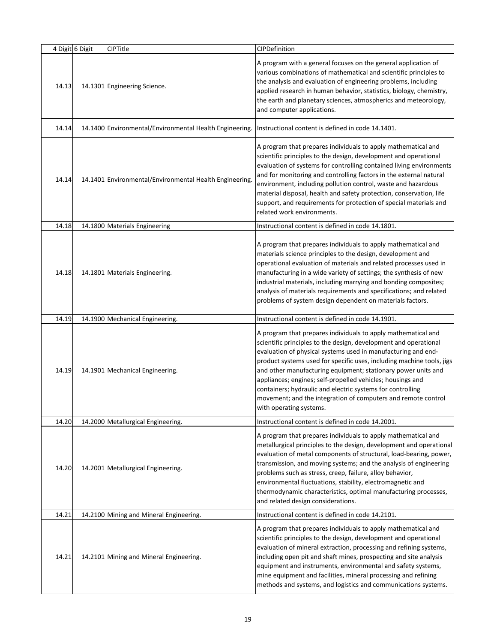|       | 4 Digit 6 Digit | CIPTitle                                                | CIPDefinition                                                                                                                                                                                                                                                                                                                                                                                                                                                                                                                                                        |
|-------|-----------------|---------------------------------------------------------|----------------------------------------------------------------------------------------------------------------------------------------------------------------------------------------------------------------------------------------------------------------------------------------------------------------------------------------------------------------------------------------------------------------------------------------------------------------------------------------------------------------------------------------------------------------------|
| 14.13 |                 | 14.1301 Engineering Science.                            | A program with a general focuses on the general application of<br>various combinations of mathematical and scientific principles to<br>the analysis and evaluation of engineering problems, including<br>applied research in human behavior, statistics, biology, chemistry,<br>the earth and planetary sciences, atmospherics and meteorology,<br>and computer applications.                                                                                                                                                                                        |
| 14.14 |                 | 14.1400 Environmental/Environmental Health Engineering. | Instructional content is defined in code 14.1401.                                                                                                                                                                                                                                                                                                                                                                                                                                                                                                                    |
| 14.14 |                 | 14.1401 Environmental/Environmental Health Engineering. | A program that prepares individuals to apply mathematical and<br>scientific principles to the design, development and operational<br>evaluation of systems for controlling contained living environments<br>and for monitoring and controlling factors in the external natural<br>environment, including pollution control, waste and hazardous<br>material disposal, health and safety protection, conservation, life<br>support, and requirements for protection of special materials and<br>related work environments.                                            |
| 14.18 |                 | 14.1800 Materials Engineering                           | Instructional content is defined in code 14.1801.                                                                                                                                                                                                                                                                                                                                                                                                                                                                                                                    |
| 14.18 |                 | 14.1801 Materials Engineering.                          | A program that prepares individuals to apply mathematical and<br>materials science principles to the design, development and<br>operational evaluation of materials and related processes used in<br>manufacturing in a wide variety of settings; the synthesis of new<br>industrial materials, including marrying and bonding composites;<br>analysis of materials requirements and specifications; and related<br>problems of system design dependent on materials factors.                                                                                        |
| 14.19 |                 | 14.1900 Mechanical Engineering.                         | Instructional content is defined in code 14.1901.                                                                                                                                                                                                                                                                                                                                                                                                                                                                                                                    |
| 14.19 |                 | 14.1901 Mechanical Engineering.                         | A program that prepares individuals to apply mathematical and<br>scientific principles to the design, development and operational<br>evaluation of physical systems used in manufacturing and end-<br>product systems used for specific uses, including machine tools, jigs<br>and other manufacturing equipment; stationary power units and<br>appliances; engines; self-propelled vehicles; housings and<br>containers; hydraulic and electric systems for controlling<br>movement; and the integration of computers and remote control<br>with operating systems. |
| 14.20 |                 | 14.2000 Metallurgical Engineering.                      | Instructional content is defined in code 14.2001.                                                                                                                                                                                                                                                                                                                                                                                                                                                                                                                    |
| 14.20 |                 | 14.2001 Metallurgical Engineering.                      | A program that prepares individuals to apply mathematical and<br>metallurgical principles to the design, development and operational<br>evaluation of metal components of structural, load-bearing, power,<br>transmission, and moving systems; and the analysis of engineering<br>problems such as stress, creep, failure, alloy behavior,<br>environmental fluctuations, stability, electromagnetic and<br>thermodynamic characteristics, optimal manufacturing processes,<br>and related design considerations.                                                   |
| 14.21 |                 | 14.2100 Mining and Mineral Engineering.                 | Instructional content is defined in code 14.2101.                                                                                                                                                                                                                                                                                                                                                                                                                                                                                                                    |
| 14.21 |                 | 14.2101 Mining and Mineral Engineering.                 | A program that prepares individuals to apply mathematical and<br>scientific principles to the design, development and operational<br>evaluation of mineral extraction, processing and refining systems,<br>including open pit and shaft mines, prospecting and site analysis<br>equipment and instruments, environmental and safety systems,<br>mine equipment and facilities, mineral processing and refining<br>methods and systems, and logistics and communications systems.                                                                                     |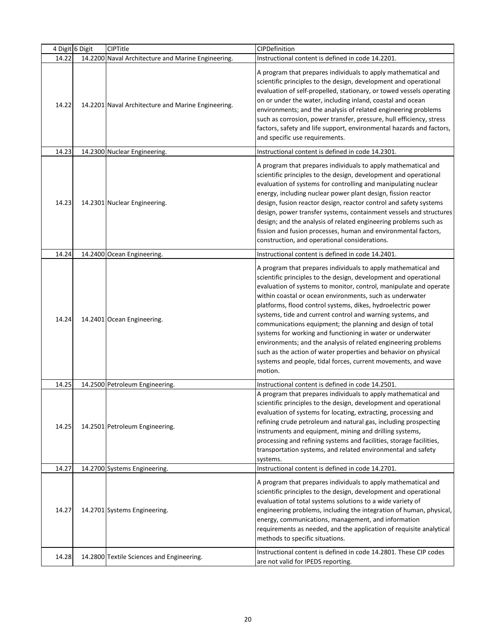|       | 4 Digit 6 Digit | CIPTitle                                           | CIPDefinition                                                                                                                                                                                                                                                                                                                                                                                                                                                                                                                                                                                                                                                                                                                                 |
|-------|-----------------|----------------------------------------------------|-----------------------------------------------------------------------------------------------------------------------------------------------------------------------------------------------------------------------------------------------------------------------------------------------------------------------------------------------------------------------------------------------------------------------------------------------------------------------------------------------------------------------------------------------------------------------------------------------------------------------------------------------------------------------------------------------------------------------------------------------|
| 14.22 |                 | 14.2200 Naval Architecture and Marine Engineering. | Instructional content is defined in code 14.2201.                                                                                                                                                                                                                                                                                                                                                                                                                                                                                                                                                                                                                                                                                             |
| 14.22 |                 | 14.2201 Naval Architecture and Marine Engineering. | A program that prepares individuals to apply mathematical and<br>scientific principles to the design, development and operational<br>evaluation of self-propelled, stationary, or towed vessels operating<br>on or under the water, including inland, coastal and ocean<br>environments; and the analysis of related engineering problems<br>such as corrosion, power transfer, pressure, hull efficiency, stress<br>factors, safety and life support, environmental hazards and factors,<br>and specific use requirements.                                                                                                                                                                                                                   |
| 14.23 |                 | 14.2300 Nuclear Engineering.                       | Instructional content is defined in code 14.2301.                                                                                                                                                                                                                                                                                                                                                                                                                                                                                                                                                                                                                                                                                             |
| 14.23 |                 | 14.2301 Nuclear Engineering.                       | A program that prepares individuals to apply mathematical and<br>scientific principles to the design, development and operational<br>evaluation of systems for controlling and manipulating nuclear<br>energy, including nuclear power plant design, fission reactor<br>design, fusion reactor design, reactor control and safety systems<br>design, power transfer systems, containment vessels and structures<br>design; and the analysis of related engineering problems such as<br>fission and fusion processes, human and environmental factors,<br>construction, and operational considerations.                                                                                                                                        |
| 14.24 |                 | 14.2400 Ocean Engineering.                         | Instructional content is defined in code 14.2401.                                                                                                                                                                                                                                                                                                                                                                                                                                                                                                                                                                                                                                                                                             |
| 14.24 |                 | 14.2401 Ocean Engineering.                         | A program that prepares individuals to apply mathematical and<br>scientific principles to the design, development and operational<br>evaluation of systems to monitor, control, manipulate and operate<br>within coastal or ocean environments, such as underwater<br>platforms, flood control systems, dikes, hydroelectric power<br>systems, tide and current control and warning systems, and<br>communications equipment; the planning and design of total<br>systems for working and functioning in water or underwater<br>environments; and the analysis of related engineering problems<br>such as the action of water properties and behavior on physical<br>systems and people, tidal forces, current movements, and wave<br>motion. |
| 14.25 |                 | 14.2500 Petroleum Engineering.                     | Instructional content is defined in code 14.2501.                                                                                                                                                                                                                                                                                                                                                                                                                                                                                                                                                                                                                                                                                             |
| 14.25 |                 | 14.2501 Petroleum Engineering.                     | A program that prepares individuals to apply mathematical and<br>scientific principles to the design, development and operational<br>evaluation of systems for locating, extracting, processing and<br>refining crude petroleum and natural gas, including prospecting<br>instruments and equipment, mining and drilling systems,<br>processing and refining systems and facilities, storage facilities,<br>transportation systems, and related environmental and safety<br>systems.                                                                                                                                                                                                                                                          |
| 14.27 |                 | 14.2700 Systems Engineering.                       | Instructional content is defined in code 14.2701.                                                                                                                                                                                                                                                                                                                                                                                                                                                                                                                                                                                                                                                                                             |
| 14.27 |                 | 14.2701 Systems Engineering.                       | A program that prepares individuals to apply mathematical and<br>scientific principles to the design, development and operational<br>evaluation of total systems solutions to a wide variety of<br>engineering problems, including the integration of human, physical,<br>energy, communications, management, and information<br>requirements as needed, and the application of requisite analytical<br>methods to specific situations.                                                                                                                                                                                                                                                                                                       |
| 14.28 |                 | 14.2800 Textile Sciences and Engineering.          | Instructional content is defined in code 14.2801. These CIP codes<br>are not valid for IPEDS reporting.                                                                                                                                                                                                                                                                                                                                                                                                                                                                                                                                                                                                                                       |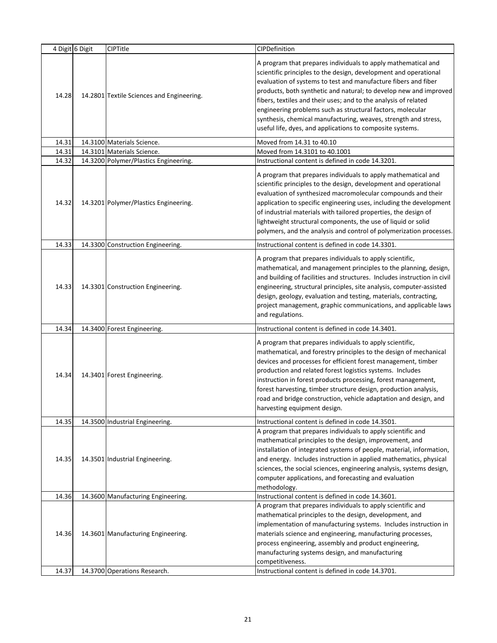|       | 4 Digit 6 Digit | CIPTitle                                  | CIPDefinition                                                                                                                                                                                                                                                                                                                                                                                                                                                                                                                             |
|-------|-----------------|-------------------------------------------|-------------------------------------------------------------------------------------------------------------------------------------------------------------------------------------------------------------------------------------------------------------------------------------------------------------------------------------------------------------------------------------------------------------------------------------------------------------------------------------------------------------------------------------------|
| 14.28 |                 | 14.2801 Textile Sciences and Engineering. | A program that prepares individuals to apply mathematical and<br>scientific principles to the design, development and operational<br>evaluation of systems to test and manufacture fibers and fiber<br>products, both synthetic and natural; to develop new and improved<br>fibers, textiles and their uses; and to the analysis of related<br>engineering problems such as structural factors, molecular<br>synthesis, chemical manufacturing, weaves, strength and stress,<br>useful life, dyes, and applications to composite systems. |
| 14.31 |                 | 14.3100 Materials Science.                | Moved from 14.31 to 40.10                                                                                                                                                                                                                                                                                                                                                                                                                                                                                                                 |
| 14.31 |                 | 14.3101 Materials Science.                | Moved from 14.3101 to 40.1001                                                                                                                                                                                                                                                                                                                                                                                                                                                                                                             |
| 14.32 |                 | 14.3200 Polymer/Plastics Engineering.     | Instructional content is defined in code 14.3201.                                                                                                                                                                                                                                                                                                                                                                                                                                                                                         |
| 14.32 |                 | 14.3201 Polymer/Plastics Engineering.     | A program that prepares individuals to apply mathematical and<br>scientific principles to the design, development and operational<br>evaluation of synthesized macromolecular compounds and their<br>application to specific engineering uses, including the development<br>of industrial materials with tailored properties, the design of<br>lightweight structural components, the use of liquid or solid<br>polymers, and the analysis and control of polymerization processes.                                                       |
| 14.33 |                 | 14.3300 Construction Engineering.         | Instructional content is defined in code 14.3301.                                                                                                                                                                                                                                                                                                                                                                                                                                                                                         |
| 14.33 |                 | 14.3301 Construction Engineering.         | A program that prepares individuals to apply scientific,<br>mathematical, and management principles to the planning, design,<br>and building of facilities and structures. Includes instruction in civil<br>engineering, structural principles, site analysis, computer-assisted<br>design, geology, evaluation and testing, materials, contracting,<br>project management, graphic communications, and applicable laws<br>and regulations.                                                                                               |
| 14.34 |                 | 14.3400 Forest Engineering.               | Instructional content is defined in code 14.3401.                                                                                                                                                                                                                                                                                                                                                                                                                                                                                         |
| 14.34 |                 | 14.3401 Forest Engineering.               | A program that prepares individuals to apply scientific,<br>mathematical, and forestry principles to the design of mechanical<br>devices and processes for efficient forest management, timber<br>production and related forest logistics systems. Includes<br>instruction in forest products processing, forest management,<br>forest harvesting, timber structure design, production analysis,<br>road and bridge construction, vehicle adaptation and design, and<br>harvesting equipment design.                                      |
| 14.35 |                 | 14.3500 Industrial Engineering.           | Instructional content is defined in code 14.3501.                                                                                                                                                                                                                                                                                                                                                                                                                                                                                         |
| 14.35 |                 | 14.3501 Industrial Engineering.           | A program that prepares individuals to apply scientific and<br>mathematical principles to the design, improvement, and<br>installation of integrated systems of people, material, information,<br>and energy. Includes instruction in applied mathematics, physical<br>sciences, the social sciences, engineering analysis, systems design,<br>computer applications, and forecasting and evaluation<br>methodology.                                                                                                                      |
| 14.36 |                 | 14.3600 Manufacturing Engineering.        | Instructional content is defined in code 14.3601.                                                                                                                                                                                                                                                                                                                                                                                                                                                                                         |
| 14.36 |                 | 14.3601 Manufacturing Engineering.        | A program that prepares individuals to apply scientific and<br>mathematical principles to the design, development, and<br>implementation of manufacturing systems. Includes instruction in<br>materials science and engineering, manufacturing processes,<br>process engineering, assembly and product engineering,<br>manufacturing systems design, and manufacturing<br>competitiveness.                                                                                                                                                |
| 14.37 |                 | 14.3700 Operations Research.              | Instructional content is defined in code 14.3701.                                                                                                                                                                                                                                                                                                                                                                                                                                                                                         |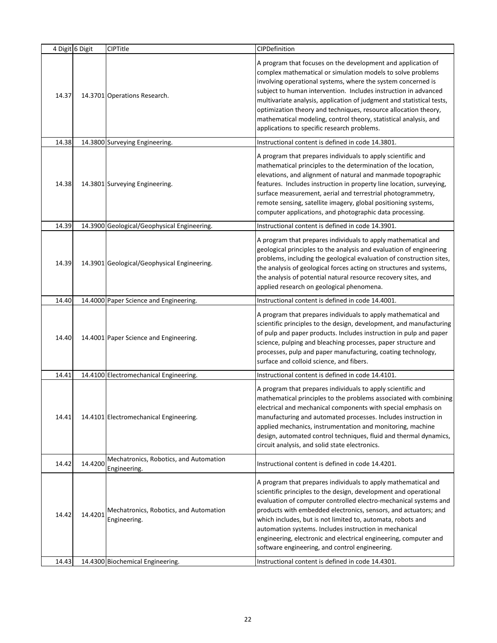|                | 4 Digit 6 Digit | CIPTitle                                                                                   | CIPDefinition                                                                                                                                                                                                                                                                                                                                                                                                                                                                                                                                                                |
|----------------|-----------------|--------------------------------------------------------------------------------------------|------------------------------------------------------------------------------------------------------------------------------------------------------------------------------------------------------------------------------------------------------------------------------------------------------------------------------------------------------------------------------------------------------------------------------------------------------------------------------------------------------------------------------------------------------------------------------|
| 14.37          |                 | 14.3701 Operations Research.                                                               | A program that focuses on the development and application of<br>complex mathematical or simulation models to solve problems<br>involving operational systems, where the system concerned is<br>subject to human intervention. Includes instruction in advanced<br>multivariate analysis, application of judgment and statistical tests,<br>optimization theory and techniques, resource allocation theory,<br>mathematical modeling, control theory, statistical analysis, and<br>applications to specific research problems.                                                |
| 14.38          |                 | 14.3800 Surveying Engineering.                                                             | Instructional content is defined in code 14.3801.                                                                                                                                                                                                                                                                                                                                                                                                                                                                                                                            |
| 14.38          |                 | 14.3801 Surveying Engineering.                                                             | A program that prepares individuals to apply scientific and<br>mathematical principles to the determination of the location,<br>elevations, and alignment of natural and manmade topographic<br>features. Includes instruction in property line location, surveying,<br>surface measurement, aerial and terrestrial photogrammetry,<br>remote sensing, satellite imagery, global positioning systems,<br>computer applications, and photographic data processing.                                                                                                            |
| 14.39          |                 | 14.3900 Geological/Geophysical Engineering.                                                | Instructional content is defined in code 14.3901.                                                                                                                                                                                                                                                                                                                                                                                                                                                                                                                            |
| 14.39          |                 | 14.3901 Geological/Geophysical Engineering.                                                | A program that prepares individuals to apply mathematical and<br>geological principles to the analysis and evaluation of engineering<br>problems, including the geological evaluation of construction sites,<br>the analysis of geological forces acting on structures and systems,<br>the analysis of potential natural resource recovery sites, and<br>applied research on geological phenomena.                                                                                                                                                                           |
| 14.40          |                 | 14.4000 Paper Science and Engineering.                                                     | Instructional content is defined in code 14.4001.                                                                                                                                                                                                                                                                                                                                                                                                                                                                                                                            |
| 14.40          |                 | 14.4001 Paper Science and Engineering.                                                     | A program that prepares individuals to apply mathematical and<br>scientific principles to the design, development, and manufacturing<br>of pulp and paper products. Includes instruction in pulp and paper<br>science, pulping and bleaching processes, paper structure and<br>processes, pulp and paper manufacturing, coating technology,<br>surface and colloid science, and fibers.                                                                                                                                                                                      |
| 14.41          |                 | 14.4100 Electromechanical Engineering.                                                     | Instructional content is defined in code 14.4101.                                                                                                                                                                                                                                                                                                                                                                                                                                                                                                                            |
| 14.41          |                 | 14.4101 Electromechanical Engineering.                                                     | A program that prepares individuals to apply scientific and<br>mathematical principles to the problems associated with combining<br>electrical and mechanical components with special emphasis on<br>manufacturing and automated processes. Includes instruction in<br>applied mechanics, instrumentation and monitoring, machine<br>design, automated control techniques, fluid and thermal dynamics,<br>circuit analysis, and solid state electronics.                                                                                                                     |
| 14.42          | 14.4200         | Mechatronics, Robotics, and Automation<br>Engineering.                                     | Instructional content is defined in code 14.4201.                                                                                                                                                                                                                                                                                                                                                                                                                                                                                                                            |
| 14.42<br>14.43 | 14.4201         | Mechatronics, Robotics, and Automation<br>Engineering.<br>14.4300 Biochemical Engineering. | A program that prepares individuals to apply mathematical and<br>scientific principles to the design, development and operational<br>evaluation of computer controlled electro-mechanical systems and<br>products with embedded electronics, sensors, and actuators; and<br>which includes, but is not limited to, automata, robots and<br>automation systems. Includes instruction in mechanical<br>engineering, electronic and electrical engineering, computer and<br>software engineering, and control engineering.<br>Instructional content is defined in code 14.4301. |
|                |                 |                                                                                            |                                                                                                                                                                                                                                                                                                                                                                                                                                                                                                                                                                              |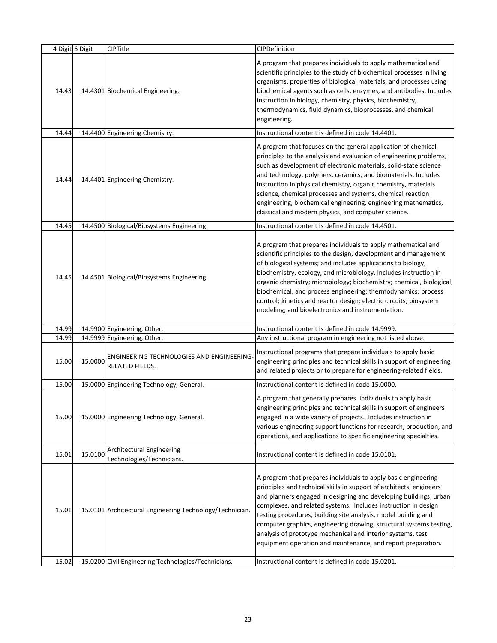|                | 4 Digit 6 Digit | <b>CIPTitle</b>                                                                                                 | CIPDefinition                                                                                                                                                                                                                                                                                                                                                                                                                                                                                                                                                                                             |
|----------------|-----------------|-----------------------------------------------------------------------------------------------------------------|-----------------------------------------------------------------------------------------------------------------------------------------------------------------------------------------------------------------------------------------------------------------------------------------------------------------------------------------------------------------------------------------------------------------------------------------------------------------------------------------------------------------------------------------------------------------------------------------------------------|
| 14.43          |                 | 14.4301 Biochemical Engineering.                                                                                | A program that prepares individuals to apply mathematical and<br>scientific principles to the study of biochemical processes in living<br>organisms, properties of biological materials, and processes using<br>biochemical agents such as cells, enzymes, and antibodies. Includes<br>instruction in biology, chemistry, physics, biochemistry,<br>thermodynamics, fluid dynamics, bioprocesses, and chemical<br>engineering.                                                                                                                                                                            |
| 14.44          |                 | 14.4400 Engineering Chemistry.                                                                                  | Instructional content is defined in code 14.4401.                                                                                                                                                                                                                                                                                                                                                                                                                                                                                                                                                         |
| 14.44          |                 | 14.4401 Engineering Chemistry.                                                                                  | A program that focuses on the general application of chemical<br>principles to the analysis and evaluation of engineering problems,<br>such as development of electronic materials, solid-state science<br>and technology, polymers, ceramics, and biomaterials. Includes<br>instruction in physical chemistry, organic chemistry, materials<br>science, chemical processes and systems, chemical reaction<br>engineering, biochemical engineering, engineering mathematics,<br>classical and modern physics, and computer science.                                                                       |
| 14.45          |                 | 14.4500 Biological/Biosystems Engineering.                                                                      | Instructional content is defined in code 14.4501.                                                                                                                                                                                                                                                                                                                                                                                                                                                                                                                                                         |
| 14.45          |                 | 14.4501 Biological/Biosystems Engineering.                                                                      | A program that prepares individuals to apply mathematical and<br>scientific principles to the design, development and management<br>of biological systems; and includes applications to biology,<br>biochemistry, ecology, and microbiology. Includes instruction in<br>organic chemistry; microbiology; biochemistry; chemical, biological,<br>biochemical, and process engineering; thermodynamics; process<br>control; kinetics and reactor design; electric circuits; biosystem<br>modeling; and bioelectronics and instrumentation.                                                                  |
| 14.99          |                 | 14.9900 Engineering, Other.                                                                                     | Instructional content is defined in code 14.9999.                                                                                                                                                                                                                                                                                                                                                                                                                                                                                                                                                         |
| 14.99          |                 | 14.9999 Engineering, Other.                                                                                     | Any instructional program in engineering not listed above.                                                                                                                                                                                                                                                                                                                                                                                                                                                                                                                                                |
| 15.00          | 15.0000         | ENGINEERING TECHNOLOGIES AND ENGINEERING<br><b>RELATED FIELDS.</b>                                              | Instructional programs that prepare individuals to apply basic<br>engineering principles and technical skills in support of engineering<br>and related projects or to prepare for engineering-related fields.                                                                                                                                                                                                                                                                                                                                                                                             |
| 15.00          |                 | 15.0000 Engineering Technology, General.                                                                        | Instructional content is defined in code 15.0000.                                                                                                                                                                                                                                                                                                                                                                                                                                                                                                                                                         |
| 15.00          |                 | 15.0000 Engineering Technology, General.                                                                        | A program that generally prepares individuals to apply basic<br>engineering principles and technical skills in support of engineers<br>engaged in a wide variety of projects. Includes instruction in<br>various engineering support functions for research, production, and<br>operations, and applications to specific engineering specialties.                                                                                                                                                                                                                                                         |
| 15.01          | 15.0100         | Architectural Engineering<br>Technologies/Technicians.                                                          | Instructional content is defined in code 15.0101.                                                                                                                                                                                                                                                                                                                                                                                                                                                                                                                                                         |
| 15.01<br>15.02 |                 | 15.0101 Architectural Engineering Technology/Technician.<br>15.0200 Civil Engineering Technologies/Technicians. | A program that prepares individuals to apply basic engineering<br>principles and technical skills in support of architects, engineers<br>and planners engaged in designing and developing buildings, urban<br>complexes, and related systems. Includes instruction in design<br>testing procedures, building site analysis, model building and<br>computer graphics, engineering drawing, structural systems testing,<br>analysis of prototype mechanical and interior systems, test<br>equipment operation and maintenance, and report preparation.<br>Instructional content is defined in code 15.0201. |
|                |                 |                                                                                                                 |                                                                                                                                                                                                                                                                                                                                                                                                                                                                                                                                                                                                           |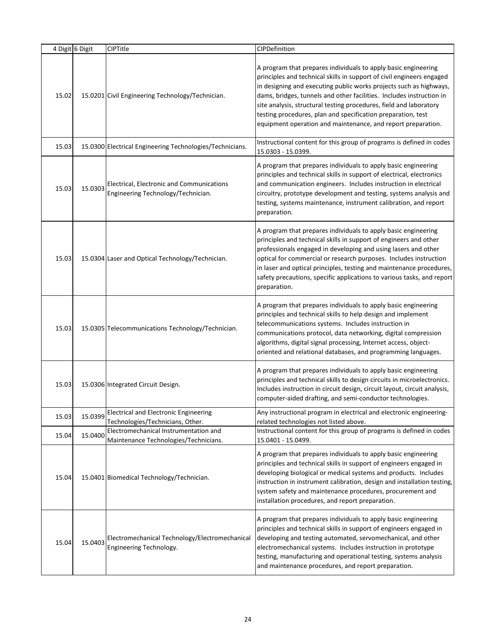|       | 4 Digit 6 Digit | <b>CIPTitle</b>                                                                  | CIPDefinition                                                                                                                                                                                                                                                                                                                                                                                                                                                                               |
|-------|-----------------|----------------------------------------------------------------------------------|---------------------------------------------------------------------------------------------------------------------------------------------------------------------------------------------------------------------------------------------------------------------------------------------------------------------------------------------------------------------------------------------------------------------------------------------------------------------------------------------|
| 15.02 |                 | 15.0201 Civil Engineering Technology/Technician.                                 | A program that prepares individuals to apply basic engineering<br>principles and technical skills in support of civil engineers engaged<br>in designing and executing public works projects such as highways,<br>dams, bridges, tunnels and other facilities. Includes instruction in<br>site analysis, structural testing procedures, field and laboratory<br>testing procedures, plan and specification preparation, test<br>equipment operation and maintenance, and report preparation. |
| 15.03 |                 | 15.0300 Electrical Engineering Technologies/Technicians.                         | Instructional content for this group of programs is defined in codes<br>15.0303 - 15.0399.                                                                                                                                                                                                                                                                                                                                                                                                  |
| 15.03 | 15.0303         | Electrical, Electronic and Communications<br>Engineering Technology/Technician.  | A program that prepares individuals to apply basic engineering<br>principles and technical skills in support of electrical, electronics<br>and communication engineers. Includes instruction in electrical<br>circuitry, prototype development and testing, systems analysis and<br>testing, systems maintenance, instrument calibration, and report<br>preparation.                                                                                                                        |
| 15.03 |                 | 15.0304 Laser and Optical Technology/Technician.                                 | A program that prepares individuals to apply basic engineering<br>principles and technical skills in support of engineers and other<br>professionals engaged in developing and using lasers and other<br>optical for commercial or research purposes. Includes instruction<br>in laser and optical principles, testing and maintenance procedures,<br>safety precautions, specific applications to various tasks, and report<br>preparation.                                                |
| 15.03 |                 | 15.0305 Telecommunications Technology/Technician.                                | A program that prepares individuals to apply basic engineering<br>principles and technical skills to help design and implement<br>telecommunications systems. Includes instruction in<br>communications protocol, data networking, digital compression<br>algorithms, digital signal processing, Internet access, object-<br>oriented and relational databases, and programming languages.                                                                                                  |
| 15.03 |                 | 15.0306 Integrated Circuit Design.                                               | A program that prepares individuals to apply basic engineering<br>principles and technical skills to design circuits in microelectronics.<br>Includes instruction in circuit design, circuit layout, circuit analysis,<br>computer-aided drafting, and semi-conductor technologies.                                                                                                                                                                                                         |
| 15.03 | 15.0399         | <b>Electrical and Electronic Engineering</b><br>Technologies/Technicians, Other. | Any instructional program in electrical and electronic engineering-<br>related technologies not listed above.                                                                                                                                                                                                                                                                                                                                                                               |
| 15.04 | 15.0400         | Electromechanical Instrumentation and<br>Maintenance Technologies/Technicians.   | Instructional content for this group of programs is defined in codes<br>15.0401 - 15.0499.                                                                                                                                                                                                                                                                                                                                                                                                  |
| 15.04 |                 | 15.0401 Biomedical Technology/Technician.                                        | A program that prepares individuals to apply basic engineering<br>principles and technical skills in support of engineers engaged in<br>developing biological or medical systems and products. Includes<br>instruction in instrument calibration, design and installation testing,<br>system safety and maintenance procedures, procurement and<br>installation procedures, and report preparation.                                                                                         |
| 15.04 | 15.0403         | Electromechanical Technology/Electromechanical<br>Engineering Technology.        | A program that prepares individuals to apply basic engineering<br>principles and technical skills in support of engineers engaged in<br>developing and testing automated, servomechanical, and other<br>electromechanical systems. Includes instruction in prototype<br>testing, manufacturing and operational testing, systems analysis<br>and maintenance procedures, and report preparation.                                                                                             |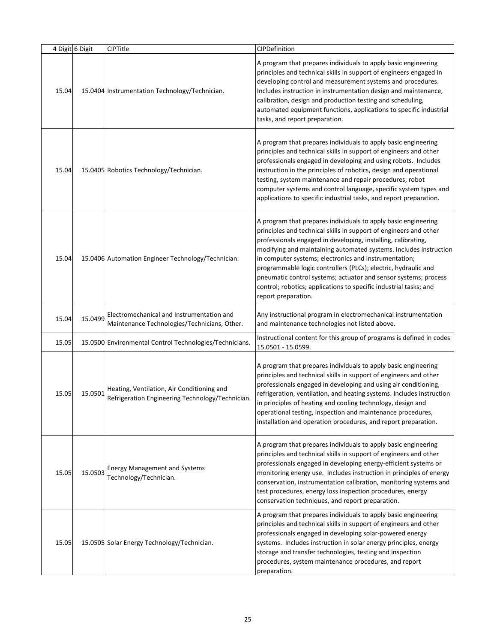|       | 4 Digit 6 Digit | CIPTitle                                                                                       | CIPDefinition                                                                                                                                                                                                                                                                                                                                                                                                                                                                                                                                                       |
|-------|-----------------|------------------------------------------------------------------------------------------------|---------------------------------------------------------------------------------------------------------------------------------------------------------------------------------------------------------------------------------------------------------------------------------------------------------------------------------------------------------------------------------------------------------------------------------------------------------------------------------------------------------------------------------------------------------------------|
| 15.04 |                 | 15.0404 Instrumentation Technology/Technician.                                                 | A program that prepares individuals to apply basic engineering<br>principles and technical skills in support of engineers engaged in<br>developing control and measurement systems and procedures.<br>Includes instruction in instrumentation design and maintenance,<br>calibration, design and production testing and scheduling,<br>automated equipment functions, applications to specific industrial<br>tasks, and report preparation.                                                                                                                         |
| 15.04 |                 | 15.0405 Robotics Technology/Technician.                                                        | A program that prepares individuals to apply basic engineering<br>principles and technical skills in support of engineers and other<br>professionals engaged in developing and using robots. Includes<br>instruction in the principles of robotics, design and operational<br>testing, system maintenance and repair procedures, robot<br>computer systems and control language, specific system types and<br>applications to specific industrial tasks, and report preparation.                                                                                    |
| 15.04 |                 | 15.0406 Automation Engineer Technology/Technician.                                             | A program that prepares individuals to apply basic engineering<br>principles and technical skills in support of engineers and other<br>professionals engaged in developing, installing, calibrating,<br>modifying and maintaining automated systems. Includes instruction<br>in computer systems; electronics and instrumentation;<br>programmable logic controllers (PLCs); electric, hydraulic and<br>pneumatic control systems; actuator and sensor systems; process<br>control; robotics; applications to specific industrial tasks; and<br>report preparation. |
| 15.04 | 15.0499         | Electromechanical and Instrumentation and<br>Maintenance Technologies/Technicians, Other.      | Any instructional program in electromechanical instrumentation<br>and maintenance technologies not listed above.                                                                                                                                                                                                                                                                                                                                                                                                                                                    |
| 15.05 |                 | 15.0500 Environmental Control Technologies/Technicians.                                        | Instructional content for this group of programs is defined in codes<br>15.0501 - 15.0599.                                                                                                                                                                                                                                                                                                                                                                                                                                                                          |
| 15.05 | 15.0501         | Heating, Ventilation, Air Conditioning and<br>Refrigeration Engineering Technology/Technician. | A program that prepares individuals to apply basic engineering<br>principles and technical skills in support of engineers and other<br>professionals engaged in developing and using air conditioning,<br>refrigeration, ventilation, and heating systems. Includes instruction<br>in principles of heating and cooling technology, design and<br>operational testing, inspection and maintenance procedures,<br>installation and operation procedures, and report preparation.                                                                                     |
| 15.05 | 15.0503         | <b>Energy Management and Systems</b><br>Technology/Technician.                                 | A program that prepares individuals to apply basic engineering<br>principles and technical skills in support of engineers and other<br>professionals engaged in developing energy-efficient systems or<br>monitoring energy use. Includes instruction in principles of energy<br>conservation, instrumentation calibration, monitoring systems and<br>test procedures, energy loss inspection procedures, energy<br>conservation techniques, and report preparation.                                                                                                |
| 15.05 |                 | 15.0505 Solar Energy Technology/Technician.                                                    | A program that prepares individuals to apply basic engineering<br>principles and technical skills in support of engineers and other<br>professionals engaged in developing solar-powered energy<br>systems. Includes instruction in solar energy principles, energy<br>storage and transfer technologies, testing and inspection<br>procedures, system maintenance procedures, and report<br>preparation.                                                                                                                                                           |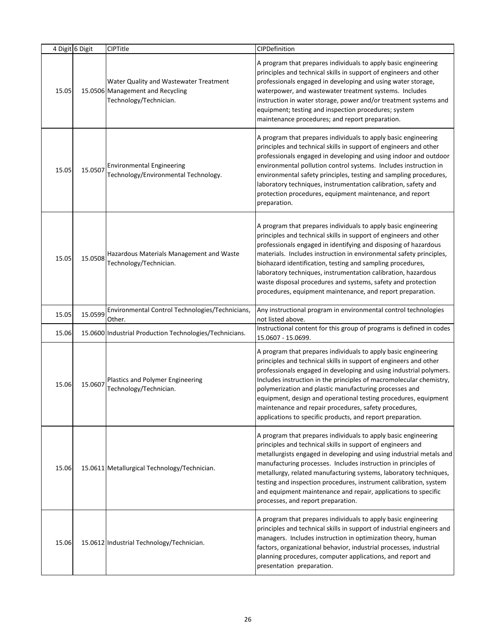|       | 4 Digit 6 Digit | CIPTitle                                                                                             | CIPDefinition                                                                                                                                                                                                                                                                                                                                                                                                                                                                                                                              |
|-------|-----------------|------------------------------------------------------------------------------------------------------|--------------------------------------------------------------------------------------------------------------------------------------------------------------------------------------------------------------------------------------------------------------------------------------------------------------------------------------------------------------------------------------------------------------------------------------------------------------------------------------------------------------------------------------------|
| 15.05 |                 | Water Quality and Wastewater Treatment<br>15.0506 Management and Recycling<br>Technology/Technician. | A program that prepares individuals to apply basic engineering<br>principles and technical skills in support of engineers and other<br>professionals engaged in developing and using water storage,<br>waterpower, and wastewater treatment systems. Includes<br>instruction in water storage, power and/or treatment systems and<br>equipment; testing and inspection procedures; system<br>maintenance procedures; and report preparation.                                                                                               |
| 15.05 | 15.0507         | <b>Environmental Engineering</b><br>Technology/Environmental Technology.                             | A program that prepares individuals to apply basic engineering<br>principles and technical skills in support of engineers and other<br>professionals engaged in developing and using indoor and outdoor<br>environmental pollution control systems. Includes instruction in<br>environmental safety principles, testing and sampling procedures,<br>laboratory techniques, instrumentation calibration, safety and<br>protection procedures, equipment maintenance, and report<br>preparation.                                             |
| 15.05 | 15.0508         | Hazardous Materials Management and Waste<br>Technology/Technician.                                   | A program that prepares individuals to apply basic engineering<br>principles and technical skills in support of engineers and other<br>professionals engaged in identifying and disposing of hazardous<br>materials. Includes instruction in environmental safety principles,<br>biohazard identification, testing and sampling procedures,<br>laboratory techniques, instrumentation calibration, hazardous<br>waste disposal procedures and systems, safety and protection<br>procedures, equipment maintenance, and report preparation. |
| 15.05 | 15.0599         | Environmental Control Technologies/Technicians,<br>Other.                                            | Any instructional program in environmental control technologies<br>not listed above.                                                                                                                                                                                                                                                                                                                                                                                                                                                       |
| 15.06 |                 | 15.0600 Industrial Production Technologies/Technicians.                                              | Instructional content for this group of programs is defined in codes<br>15.0607 - 15.0699.                                                                                                                                                                                                                                                                                                                                                                                                                                                 |
| 15.06 | 15.0607         | Plastics and Polymer Engineering<br>Technology/Technician.                                           | A program that prepares individuals to apply basic engineering<br>principles and technical skills in support of engineers and other<br>professionals engaged in developing and using industrial polymers.<br>Includes instruction in the principles of macromolecular chemistry,<br>polymerization and plastic manufacturing processes and<br>equipment, design and operational testing procedures, equipment<br>maintenance and repair procedures, safety procedures,<br>applications to specific products, and report preparation.       |
| 15.06 |                 | 15.0611 Metallurgical Technology/Technician.                                                         | A program that prepares individuals to apply basic engineering<br>principles and technical skills in support of engineers and<br>metallurgists engaged in developing and using industrial metals and<br>manufacturing processes. Includes instruction in principles of<br>metallurgy, related manufacturing systems, laboratory techniques,<br>testing and inspection procedures, instrument calibration, system<br>and equipment maintenance and repair, applications to specific<br>processes, and report preparation.                   |
| 15.06 |                 | 15.0612 Industrial Technology/Technician.                                                            | A program that prepares individuals to apply basic engineering<br>principles and technical skills in support of industrial engineers and<br>managers. Includes instruction in optimization theory, human<br>factors, organizational behavior, industrial processes, industrial<br>planning procedures, computer applications, and report and<br>presentation preparation.                                                                                                                                                                  |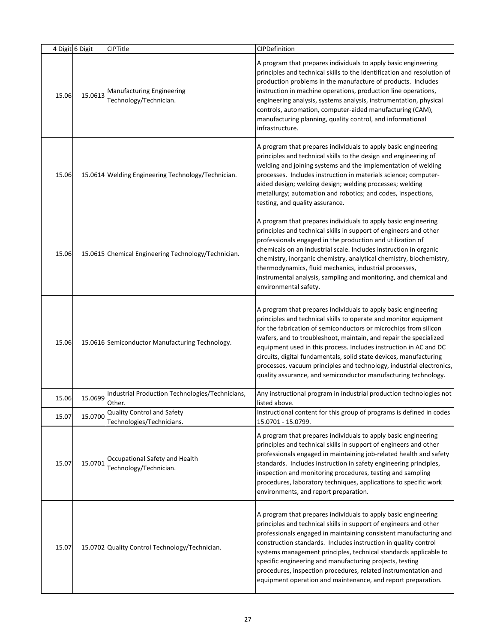|       | 4 Digit 6 Digit | CIPTitle                                                   | CIPDefinition                                                                                                                                                                                                                                                                                                                                                                                                                                                                                                                                                    |
|-------|-----------------|------------------------------------------------------------|------------------------------------------------------------------------------------------------------------------------------------------------------------------------------------------------------------------------------------------------------------------------------------------------------------------------------------------------------------------------------------------------------------------------------------------------------------------------------------------------------------------------------------------------------------------|
| 15.06 | 15.0613         | <b>Manufacturing Engineering</b><br>Technology/Technician. | A program that prepares individuals to apply basic engineering<br>principles and technical skills to the identification and resolution of<br>production problems in the manufacture of products. Includes<br>instruction in machine operations, production line operations,<br>engineering analysis, systems analysis, instrumentation, physical<br>controls, automation, computer-aided manufacturing (CAM),<br>manufacturing planning, quality control, and informational<br>infrastructure.                                                                   |
| 15.06 |                 | 15.0614 Welding Engineering Technology/Technician.         | A program that prepares individuals to apply basic engineering<br>principles and technical skills to the design and engineering of<br>welding and joining systems and the implementation of welding<br>processes. Includes instruction in materials science; computer-<br>aided design; welding design; welding processes; welding<br>metallurgy; automation and robotics; and codes, inspections,<br>testing, and quality assurance.                                                                                                                            |
| 15.06 |                 | 15.0615 Chemical Engineering Technology/Technician.        | A program that prepares individuals to apply basic engineering<br>principles and technical skills in support of engineers and other<br>professionals engaged in the production and utilization of<br>chemicals on an industrial scale. Includes instruction in organic<br>chemistry, inorganic chemistry, analytical chemistry, biochemistry,<br>thermodynamics, fluid mechanics, industrial processes,<br>instrumental analysis, sampling and monitoring, and chemical and<br>environmental safety.                                                             |
| 15.06 |                 | 15.0616 Semiconductor Manufacturing Technology.            | A program that prepares individuals to apply basic engineering<br>principles and technical skills to operate and monitor equipment<br>for the fabrication of semiconductors or microchips from silicon<br>wafers, and to troubleshoot, maintain, and repair the specialized<br>equipment used in this process. Includes instruction in AC and DC<br>circuits, digital fundamentals, solid state devices, manufacturing<br>processes, vacuum principles and technology, industrial electronics,<br>quality assurance, and semiconductor manufacturing technology. |
| 15.06 | 15.0699         | Industrial Production Technologies/Technicians,<br>Other.  | Any instructional program in industrial production technologies not<br>listed above.                                                                                                                                                                                                                                                                                                                                                                                                                                                                             |
| 15.07 | 15.0700         | Quality Control and Safety<br>Technologies/Technicians.    | Instructional content for this group of programs is defined in codes<br>15.0701 - 15.0799.                                                                                                                                                                                                                                                                                                                                                                                                                                                                       |
| 15.07 | 15.0701         | Occupational Safety and Health<br>Technology/Technician.   | A program that prepares individuals to apply basic engineering<br>principles and technical skills in support of engineers and other<br>professionals engaged in maintaining job-related health and safety<br>standards. Includes instruction in safety engineering principles,<br>inspection and monitoring procedures, testing and sampling<br>procedures, laboratory techniques, applications to specific work<br>environments, and report preparation.                                                                                                        |
| 15.07 |                 | 15.0702 Quality Control Technology/Technician.             | A program that prepares individuals to apply basic engineering<br>principles and technical skills in support of engineers and other<br>professionals engaged in maintaining consistent manufacturing and<br>construction standards. Includes instruction in quality control<br>systems management principles, technical standards applicable to<br>specific engineering and manufacturing projects, testing<br>procedures, inspection procedures, related instrumentation and<br>equipment operation and maintenance, and report preparation.                    |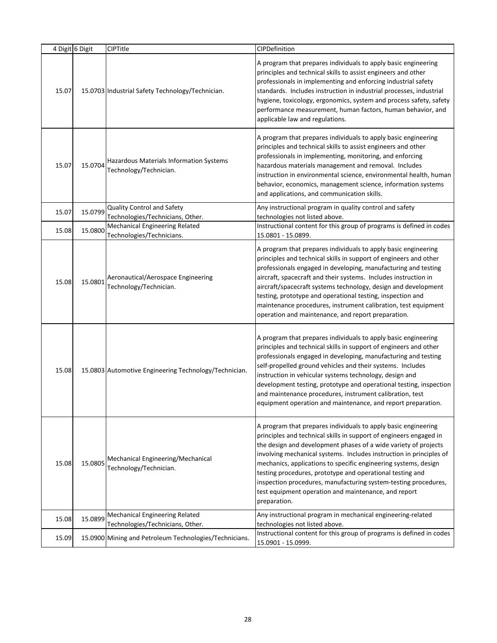|       | 4 Digit 6 Digit | CIPTitle                                                           | CIPDefinition                                                                                                                                                                                                                                                                                                                                                                                                                                                                                                                                             |
|-------|-----------------|--------------------------------------------------------------------|-----------------------------------------------------------------------------------------------------------------------------------------------------------------------------------------------------------------------------------------------------------------------------------------------------------------------------------------------------------------------------------------------------------------------------------------------------------------------------------------------------------------------------------------------------------|
| 15.07 |                 | 15.0703 Industrial Safety Technology/Technician.                   | A program that prepares individuals to apply basic engineering<br>principles and technical skills to assist engineers and other<br>professionals in implementing and enforcing industrial safety<br>standards. Includes instruction in industrial processes, industrial<br>hygiene, toxicology, ergonomics, system and process safety, safety<br>performance measurement, human factors, human behavior, and<br>applicable law and regulations.                                                                                                           |
| 15.07 | 15.0704         | Hazardous Materials Information Systems<br>Technology/Technician.  | A program that prepares individuals to apply basic engineering<br>principles and technical skills to assist engineers and other<br>professionals in implementing, monitoring, and enforcing<br>hazardous materials management and removal. Includes<br>instruction in environmental science, environmental health, human<br>behavior, economics, management science, information systems<br>and applications, and communication skills.                                                                                                                   |
| 15.07 | 15.0799         | Quality Control and Safety<br>Technologies/Technicians, Other.     | Any instructional program in quality control and safety<br>technologies not listed above.                                                                                                                                                                                                                                                                                                                                                                                                                                                                 |
| 15.08 | 15.0800         | <b>Mechanical Engineering Related</b><br>Technologies/Technicians. | Instructional content for this group of programs is defined in codes<br>15.0801 - 15.0899.                                                                                                                                                                                                                                                                                                                                                                                                                                                                |
| 15.08 | 15.0801         | Aeronautical/Aerospace Engineering<br>Technology/Technician.       | A program that prepares individuals to apply basic engineering<br>principles and technical skills in support of engineers and other<br>professionals engaged in developing, manufacturing and testing<br>aircraft, spacecraft and their systems. Includes instruction in<br>aircraft/spacecraft systems technology, design and development<br>testing, prototype and operational testing, inspection and<br>maintenance procedures, instrument calibration, test equipment<br>operation and maintenance, and report preparation.                          |
| 15.08 |                 | 15.0803 Automotive Engineering Technology/Technician.              | A program that prepares individuals to apply basic engineering<br>principles and technical skills in support of engineers and other<br>professionals engaged in developing, manufacturing and testing<br>self-propelled ground vehicles and their systems. Includes<br>instruction in vehicular systems technology, design and<br>development testing, prototype and operational testing, inspection<br>and maintenance procedures, instrument calibration, test<br>equipment operation and maintenance, and report preparation.                          |
| 15.08 | 15.0805         | Mechanical Engineering/Mechanical<br>Technology/Technician.        | A program that prepares individuals to apply basic engineering<br>principles and technical skills in support of engineers engaged in<br>the design and development phases of a wide variety of projects<br>involving mechanical systems. Includes instruction in principles of<br>mechanics, applications to specific engineering systems, design<br>testing procedures, prototype and operational testing and<br>inspection procedures, manufacturing system-testing procedures,<br>test equipment operation and maintenance, and report<br>preparation. |
| 15.08 | 15.0899         | Mechanical Engineering Related<br>Technologies/Technicians, Other. | Any instructional program in mechanical engineering-related<br>technologies not listed above.                                                                                                                                                                                                                                                                                                                                                                                                                                                             |
| 15.09 |                 | 15.0900 Mining and Petroleum Technologies/Technicians.             | Instructional content for this group of programs is defined in codes<br>15.0901 - 15.0999.                                                                                                                                                                                                                                                                                                                                                                                                                                                                |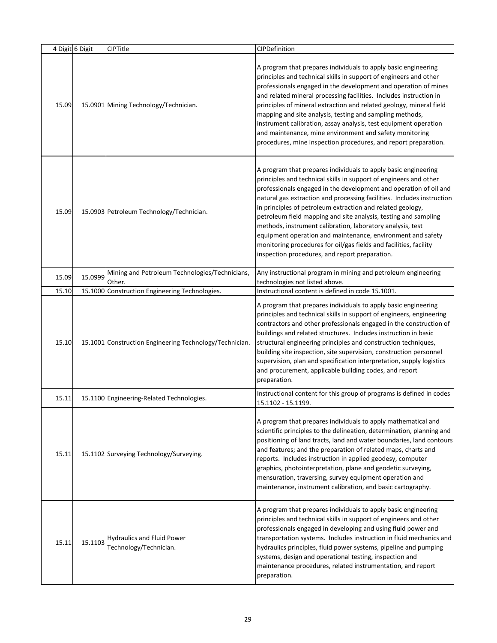|       | 4 Digit 6 Digit | CIPTitle                                                    | CIPDefinition                                                                                                                                                                                                                                                                                                                                                                                                                                                                                                                                                                                                                                                           |
|-------|-----------------|-------------------------------------------------------------|-------------------------------------------------------------------------------------------------------------------------------------------------------------------------------------------------------------------------------------------------------------------------------------------------------------------------------------------------------------------------------------------------------------------------------------------------------------------------------------------------------------------------------------------------------------------------------------------------------------------------------------------------------------------------|
| 15.09 |                 | 15.0901 Mining Technology/Technician.                       | A program that prepares individuals to apply basic engineering<br>principles and technical skills in support of engineers and other<br>professionals engaged in the development and operation of mines<br>and related mineral processing facilities. Includes instruction in<br>principles of mineral extraction and related geology, mineral field<br>mapping and site analysis, testing and sampling methods,<br>instrument calibration, assay analysis, test equipment operation<br>and maintenance, mine environment and safety monitoring<br>procedures, mine inspection procedures, and report preparation.                                                       |
| 15.09 |                 | 15.0903 Petroleum Technology/Technician.                    | A program that prepares individuals to apply basic engineering<br>principles and technical skills in support of engineers and other<br>professionals engaged in the development and operation of oil and<br>natural gas extraction and processing facilities. Includes instruction<br>in principles of petroleum extraction and related geology,<br>petroleum field mapping and site analysis, testing and sampling<br>methods, instrument calibration, laboratory analysis, test<br>equipment operation and maintenance, environment and safety<br>monitoring procedures for oil/gas fields and facilities, facility<br>inspection procedures, and report preparation. |
| 15.09 | 15.0999         | Mining and Petroleum Technologies/Technicians,<br>Other.    | Any instructional program in mining and petroleum engineering<br>technologies not listed above.                                                                                                                                                                                                                                                                                                                                                                                                                                                                                                                                                                         |
| 15.10 |                 | 15.1000 Construction Engineering Technologies.              | Instructional content is defined in code 15.1001.                                                                                                                                                                                                                                                                                                                                                                                                                                                                                                                                                                                                                       |
| 15.10 |                 | 15.1001 Construction Engineering Technology/Technician.     | A program that prepares individuals to apply basic engineering<br>principles and technical skills in support of engineers, engineering<br>contractors and other professionals engaged in the construction of<br>buildings and related structures. Includes instruction in basic<br>structural engineering principles and construction techniques,<br>building site inspection, site supervision, construction personnel<br>supervision, plan and specification interpretation, supply logistics<br>and procurement, applicable building codes, and report<br>preparation.                                                                                               |
| 15.11 |                 | 15.1100 Engineering-Related Technologies.                   | Instructional content for this group of programs is defined in codes<br>15.1102 - 15.1199.                                                                                                                                                                                                                                                                                                                                                                                                                                                                                                                                                                              |
| 15.11 |                 | 15.1102 Surveying Technology/Surveying.                     | A program that prepares individuals to apply mathematical and<br>scientific principles to the delineation, determination, planning and<br>positioning of land tracts, land and water boundaries, land contours<br>and features; and the preparation of related maps, charts and<br>reports. Includes instruction in applied geodesy, computer<br>graphics, photointerpretation, plane and geodetic surveying,<br>mensuration, traversing, survey equipment operation and<br>maintenance, instrument calibration, and basic cartography.                                                                                                                                 |
| 15.11 | 15.1103         | <b>Hydraulics and Fluid Power</b><br>Technology/Technician. | A program that prepares individuals to apply basic engineering<br>principles and technical skills in support of engineers and other<br>professionals engaged in developing and using fluid power and<br>transportation systems. Includes instruction in fluid mechanics and<br>hydraulics principles, fluid power systems, pipeline and pumping<br>systems, design and operational testing, inspection and<br>maintenance procedures, related instrumentation, and report<br>preparation.                                                                                                                                                                               |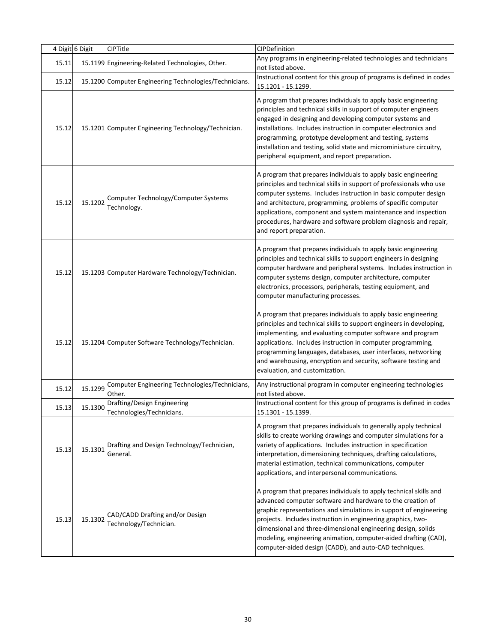|       | 4 Digit 6 Digit | CIPTitle                                                  | CIPDefinition                                                                                                                                                                                                                                                                                                                                                                                                                                                     |
|-------|-----------------|-----------------------------------------------------------|-------------------------------------------------------------------------------------------------------------------------------------------------------------------------------------------------------------------------------------------------------------------------------------------------------------------------------------------------------------------------------------------------------------------------------------------------------------------|
| 15.11 |                 | 15.1199 Engineering-Related Technologies, Other.          | Any programs in engineering-related technologies and technicians<br>not listed above.                                                                                                                                                                                                                                                                                                                                                                             |
| 15.12 |                 | 15.1200 Computer Engineering Technologies/Technicians.    | Instructional content for this group of programs is defined in codes<br>15.1201 - 15.1299.                                                                                                                                                                                                                                                                                                                                                                        |
| 15.12 |                 | 15.1201 Computer Engineering Technology/Technician.       | A program that prepares individuals to apply basic engineering<br>principles and technical skills in support of computer engineers<br>engaged in designing and developing computer systems and<br>installations. Includes instruction in computer electronics and<br>programming, prototype development and testing, systems<br>installation and testing, solid state and microminiature circuitry,<br>peripheral equipment, and report preparation.              |
| 15.12 | 15.1202         | Computer Technology/Computer Systems<br>Technology.       | A program that prepares individuals to apply basic engineering<br>principles and technical skills in support of professionals who use<br>computer systems. Includes instruction in basic computer design<br>and architecture, programming, problems of specific computer<br>applications, component and system maintenance and inspection<br>procedures, hardware and software problem diagnosis and repair,<br>and report preparation.                           |
| 15.12 |                 | 15.1203 Computer Hardware Technology/Technician.          | A program that prepares individuals to apply basic engineering<br>principles and technical skills to support engineers in designing<br>computer hardware and peripheral systems. Includes instruction in<br>computer systems design, computer architecture, computer<br>electronics, processors, peripherals, testing equipment, and<br>computer manufacturing processes.                                                                                         |
| 15.12 |                 | 15.1204 Computer Software Technology/Technician.          | A program that prepares individuals to apply basic engineering<br>principles and technical skills to support engineers in developing,<br>implementing, and evaluating computer software and program<br>applications. Includes instruction in computer programming,<br>programming languages, databases, user interfaces, networking<br>and warehousing, encryption and security, software testing and<br>evaluation, and customization.                           |
| 15.12 | 15.1299         | Computer Engineering Technologies/Technicians,<br>Other.  | Any instructional program in computer engineering technologies<br>not listed above.                                                                                                                                                                                                                                                                                                                                                                               |
| 15.13 | 15.1300         | Drafting/Design Engineering<br>Technologies/Technicians.  | Instructional content for this group of programs is defined in codes<br>15.1301 - 15.1399.                                                                                                                                                                                                                                                                                                                                                                        |
| 15.13 | 15.1301         | Drafting and Design Technology/Technician,<br>General.    | A program that prepares individuals to generally apply technical<br>skills to create working drawings and computer simulations for a<br>variety of applications. Includes instruction in specification<br>interpretation, dimensioning techniques, drafting calculations,<br>material estimation, technical communications, computer<br>applications, and interpersonal communications.                                                                           |
| 15.13 | 15.1302         | CAD/CADD Drafting and/or Design<br>Technology/Technician. | A program that prepares individuals to apply technical skills and<br>advanced computer software and hardware to the creation of<br>graphic representations and simulations in support of engineering<br>projects. Includes instruction in engineering graphics, two-<br>dimensional and three-dimensional engineering design, solids<br>modeling, engineering animation, computer-aided drafting (CAD),<br>computer-aided design (CADD), and auto-CAD techniques. |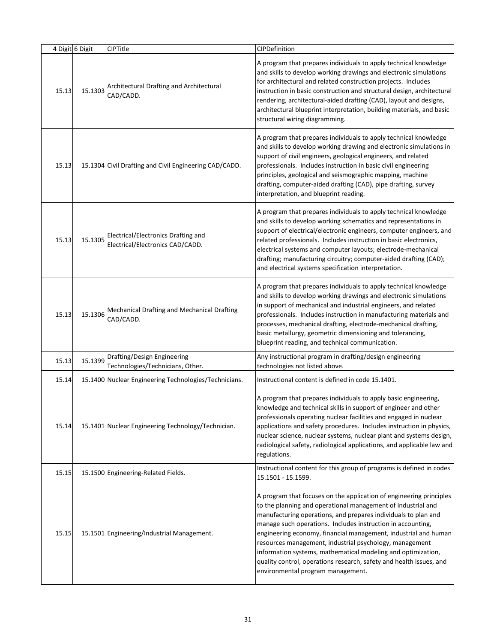|       | 4 Digit 6 Digit | <b>CIPTitle</b>                                                         | CIPDefinition                                                                                                                                                                                                                                                                                                                                                                                                                                                                                                                                                                  |
|-------|-----------------|-------------------------------------------------------------------------|--------------------------------------------------------------------------------------------------------------------------------------------------------------------------------------------------------------------------------------------------------------------------------------------------------------------------------------------------------------------------------------------------------------------------------------------------------------------------------------------------------------------------------------------------------------------------------|
| 15.13 | 15.1303         | Architectural Drafting and Architectural<br>CAD/CADD.                   | A program that prepares individuals to apply technical knowledge<br>and skills to develop working drawings and electronic simulations<br>for architectural and related construction projects. Includes<br>instruction in basic construction and structural design, architectural<br>rendering, architectural-aided drafting (CAD), layout and designs,<br>architectural blueprint interpretation, building materials, and basic<br>structural wiring diagramming.                                                                                                              |
| 15.13 |                 | 15.1304 Civil Drafting and Civil Engineering CAD/CADD.                  | A program that prepares individuals to apply technical knowledge<br>and skills to develop working drawing and electronic simulations in<br>support of civil engineers, geological engineers, and related<br>professionals. Includes instruction in basic civil engineering<br>principles, geological and seismographic mapping, machine<br>drafting, computer-aided drafting (CAD), pipe drafting, survey<br>interpretation, and blueprint reading.                                                                                                                            |
| 15.13 | 15.1305         | Electrical/Electronics Drafting and<br>Electrical/Electronics CAD/CADD. | A program that prepares individuals to apply technical knowledge<br>and skills to develop working schematics and representations in<br>support of electrical/electronic engineers, computer engineers, and<br>related professionals. Includes instruction in basic electronics,<br>electrical systems and computer layouts; electrode-mechanical<br>drafting; manufacturing circuitry; computer-aided drafting (CAD);<br>and electrical systems specification interpretation.                                                                                                  |
| 15.13 | 15.1306         | Mechanical Drafting and Mechanical Drafting<br>CAD/CADD.                | A program that prepares individuals to apply technical knowledge<br>and skills to develop working drawings and electronic simulations<br>in support of mechanical and industrial engineers, and related<br>professionals. Includes instruction in manufacturing materials and<br>processes, mechanical drafting, electrode-mechanical drafting,<br>basic metallurgy, geometric dimensioning and tolerancing,<br>blueprint reading, and technical communication.                                                                                                                |
| 15.13 | 15.1399         | Drafting/Design Engineering<br>Technologies/Technicians, Other.         | Any instructional program in drafting/design engineering<br>technologies not listed above.                                                                                                                                                                                                                                                                                                                                                                                                                                                                                     |
| 15.14 |                 | 15.1400 Nuclear Engineering Technologies/Technicians.                   | Instructional content is defined in code 15.1401.                                                                                                                                                                                                                                                                                                                                                                                                                                                                                                                              |
| 15.14 |                 | 15.1401 Nuclear Engineering Technology/Technician.                      | A program that prepares individuals to apply basic engineering,<br>knowledge and technical skills in support of engineer and other<br>professionals operating nuclear facilities and engaged in nuclear<br>applications and safety procedures. Includes instruction in physics,<br>nuclear science, nuclear systems, nuclear plant and systems design,<br>radiological safety, radiological applications, and applicable law and<br>regulations.                                                                                                                               |
| 15.15 |                 | 15.1500 Engineering-Related Fields.                                     | Instructional content for this group of programs is defined in codes<br>15.1501 - 15.1599.                                                                                                                                                                                                                                                                                                                                                                                                                                                                                     |
| 15.15 |                 | 15.1501 Engineering/Industrial Management.                              | A program that focuses on the application of engineering principles<br>to the planning and operational management of industrial and<br>manufacturing operations, and prepares individuals to plan and<br>manage such operations. Includes instruction in accounting,<br>engineering economy, financial management, industrial and human<br>resources management, industrial psychology, management<br>information systems, mathematical modeling and optimization,<br>quality control, operations research, safety and health issues, and<br>environmental program management. |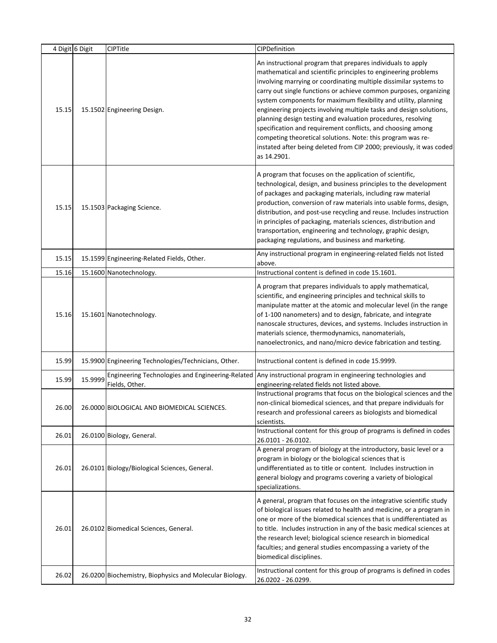|       | 4 Digit 6 Digit | CIPTitle                                                           | CIPDefinition                                                                                                                                                                                                                                                                                                                                                                                                                                                                                                                                                                                                                                                                                          |
|-------|-----------------|--------------------------------------------------------------------|--------------------------------------------------------------------------------------------------------------------------------------------------------------------------------------------------------------------------------------------------------------------------------------------------------------------------------------------------------------------------------------------------------------------------------------------------------------------------------------------------------------------------------------------------------------------------------------------------------------------------------------------------------------------------------------------------------|
| 15.15 |                 | 15.1502 Engineering Design.                                        | An instructional program that prepares individuals to apply<br>mathematical and scientific principles to engineering problems<br>involving marrying or coordinating multiple dissimilar systems to<br>carry out single functions or achieve common purposes, organizing<br>system components for maximum flexibility and utility, planning<br>engineering projects involving multiple tasks and design solutions,<br>planning design testing and evaluation procedures, resolving<br>specification and requirement conflicts, and choosing among<br>competing theoretical solutions. Note: this program was re-<br>instated after being deleted from CIP 2000; previously, it was coded<br>as 14.2901. |
| 15.15 |                 | 15.1503 Packaging Science.                                         | A program that focuses on the application of scientific,<br>technological, design, and business principles to the development<br>of packages and packaging materials, including raw material<br>production, conversion of raw materials into usable forms, design,<br>distribution, and post-use recycling and reuse. Includes instruction<br>in principles of packaging, materials sciences, distribution and<br>transportation, engineering and technology, graphic design,<br>packaging regulations, and business and marketing.                                                                                                                                                                    |
| 15.15 |                 | 15.1599 Engineering-Related Fields, Other.                         | Any instructional program in engineering-related fields not listed<br>above.                                                                                                                                                                                                                                                                                                                                                                                                                                                                                                                                                                                                                           |
| 15.16 |                 | 15.1600 Nanotechnology.                                            | Instructional content is defined in code 15.1601.                                                                                                                                                                                                                                                                                                                                                                                                                                                                                                                                                                                                                                                      |
| 15.16 |                 | 15.1601 Nanotechnology.                                            | A program that prepares individuals to apply mathematical,<br>scientific, and engineering principles and technical skills to<br>manipulate matter at the atomic and molecular level (in the range<br>of 1-100 nanometers) and to design, fabricate, and integrate<br>nanoscale structures, devices, and systems. Includes instruction in<br>materials science, thermodynamics, nanomaterials,<br>nanoelectronics, and nano/micro device fabrication and testing.                                                                                                                                                                                                                                       |
| 15.99 |                 | 15.9900 Engineering Technologies/Technicians, Other.               | Instructional content is defined in code 15.9999.                                                                                                                                                                                                                                                                                                                                                                                                                                                                                                                                                                                                                                                      |
| 15.99 | 15.9999         | Engineering Technologies and Engineering-Related<br>Fields, Other. | Any instructional program in engineering technologies and<br>engineering-related fields not listed above.                                                                                                                                                                                                                                                                                                                                                                                                                                                                                                                                                                                              |
| 26.00 |                 | 26.0000 BIOLOGICAL AND BIOMEDICAL SCIENCES.                        | Instructional programs that focus on the biological sciences and the<br>non-clinical biomedical sciences, and that prepare individuals for<br>research and professional careers as biologists and biomedical<br>scientists.                                                                                                                                                                                                                                                                                                                                                                                                                                                                            |
| 26.01 |                 | 26.0100 Biology, General.                                          | Instructional content for this group of programs is defined in codes<br>26.0101 - 26.0102.                                                                                                                                                                                                                                                                                                                                                                                                                                                                                                                                                                                                             |
| 26.01 |                 | 26.0101 Biology/Biological Sciences, General.                      | A general program of biology at the introductory, basic level or a<br>program in biology or the biological sciences that is<br>undifferentiated as to title or content. Includes instruction in<br>general biology and programs covering a variety of biological<br>specializations.                                                                                                                                                                                                                                                                                                                                                                                                                   |
| 26.01 |                 | 26.0102 Biomedical Sciences, General.                              | A general, program that focuses on the integrative scientific study<br>of biological issues related to health and medicine, or a program in<br>one or more of the biomedical sciences that is undifferentiated as<br>to title. Includes instruction in any of the basic medical sciences at<br>the research level; biological science research in biomedical<br>faculties; and general studies encompassing a variety of the<br>biomedical disciplines.<br>Instructional content for this group of programs is defined in codes                                                                                                                                                                        |
| 26.02 |                 | 26.0200 Biochemistry, Biophysics and Molecular Biology.            | 26.0202 - 26.0299.                                                                                                                                                                                                                                                                                                                                                                                                                                                                                                                                                                                                                                                                                     |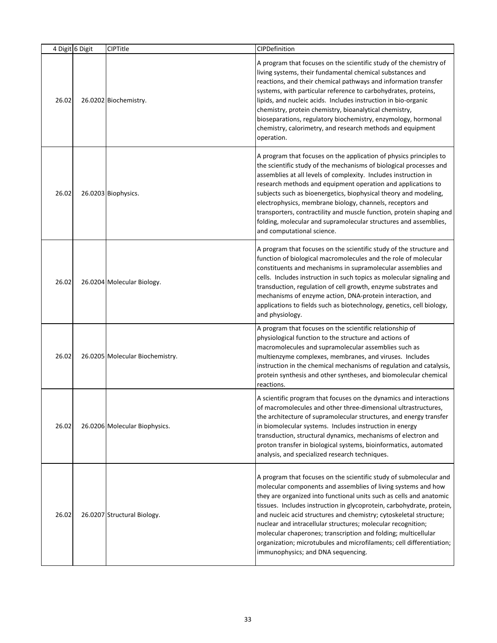|       | 4 Digit 6 Digit | <b>CIPTitle</b>                 | CIPDefinition                                                                                                                                                                                                                                                                                                                                                                                                                                                                                                                                                                                             |
|-------|-----------------|---------------------------------|-----------------------------------------------------------------------------------------------------------------------------------------------------------------------------------------------------------------------------------------------------------------------------------------------------------------------------------------------------------------------------------------------------------------------------------------------------------------------------------------------------------------------------------------------------------------------------------------------------------|
| 26.02 |                 | 26.0202 Biochemistry.           | A program that focuses on the scientific study of the chemistry of<br>living systems, their fundamental chemical substances and<br>reactions, and their chemical pathways and information transfer<br>systems, with particular reference to carbohydrates, proteins,<br>lipids, and nucleic acids. Includes instruction in bio-organic<br>chemistry, protein chemistry, bioanalytical chemistry,<br>bioseparations, regulatory biochemistry, enzymology, hormonal<br>chemistry, calorimetry, and research methods and equipment<br>operation.                                                             |
| 26.02 |                 | 26.0203 Biophysics.             | A program that focuses on the application of physics principles to<br>the scientific study of the mechanisms of biological processes and<br>assemblies at all levels of complexity. Includes instruction in<br>research methods and equipment operation and applications to<br>subjects such as bioenergetics, biophysical theory and modeling,<br>electrophysics, membrane biology, channels, receptors and<br>transporters, contractility and muscle function, protein shaping and<br>folding, molecular and supramolecular structures and assemblies,<br>and computational science.                    |
| 26.02 |                 | 26.0204 Molecular Biology.      | A program that focuses on the scientific study of the structure and<br>function of biological macromolecules and the role of molecular<br>constituents and mechanisms in supramolecular assemblies and<br>cells. Includes instruction in such topics as molecular signaling and<br>transduction, regulation of cell growth, enzyme substrates and<br>mechanisms of enzyme action, DNA-protein interaction, and<br>applications to fields such as biotechnology, genetics, cell biology,<br>and physiology.                                                                                                |
| 26.02 |                 | 26.0205 Molecular Biochemistry. | A program that focuses on the scientific relationship of<br>physiological function to the structure and actions of<br>macromolecules and supramolecular assemblies such as<br>multienzyme complexes, membranes, and viruses. Includes<br>instruction in the chemical mechanisms of regulation and catalysis,<br>protein synthesis and other syntheses, and biomolecular chemical<br>reactions.                                                                                                                                                                                                            |
| 26.02 |                 | 26.0206 Molecular Biophysics.   | A scientific program that focuses on the dynamics and interactions<br>of macromolecules and other three-dimensional ultrastructures,<br>the architecture of supramolecular structures, and energy transfer<br>in biomolecular systems. Includes instruction in energy<br>transduction, structural dynamics, mechanisms of electron and<br>proton transfer in biological systems, bioinformatics, automated<br>analysis, and specialized research techniques.                                                                                                                                              |
| 26.02 |                 | 26.0207 Structural Biology.     | A program that focuses on the scientific study of submolecular and<br>molecular components and assemblies of living systems and how<br>they are organized into functional units such as cells and anatomic<br>tissues. Includes instruction in glycoprotein, carbohydrate, protein,<br>and nucleic acid structures and chemistry; cytoskeletal structure;<br>nuclear and intracellular structures; molecular recognition;<br>molecular chaperones; transcription and folding; multicellular<br>organization; microtubules and microfilaments; cell differentiation;<br>immunophysics; and DNA sequencing. |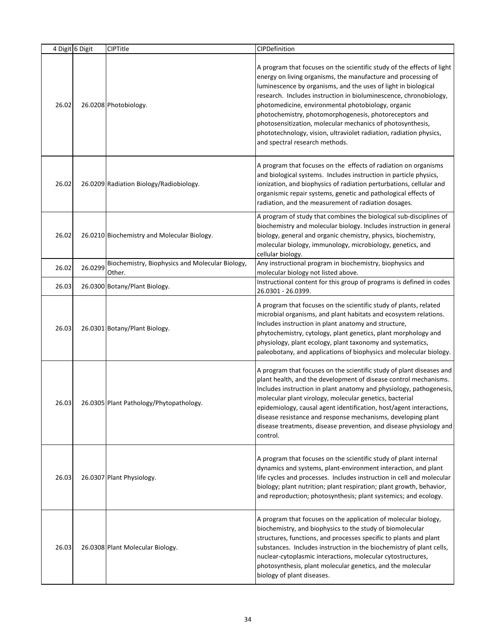|       | 4 Digit 6 Digit | CIPTitle                                                  | CIPDefinition                                                                                                                                                                                                                                                                                                                                                                                                                                                                                                                                                        |
|-------|-----------------|-----------------------------------------------------------|----------------------------------------------------------------------------------------------------------------------------------------------------------------------------------------------------------------------------------------------------------------------------------------------------------------------------------------------------------------------------------------------------------------------------------------------------------------------------------------------------------------------------------------------------------------------|
| 26.02 |                 | 26.0208 Photobiology.                                     | A program that focuses on the scientific study of the effects of light<br>energy on living organisms, the manufacture and processing of<br>luminescence by organisms, and the uses of light in biological<br>research. Includes instruction in bioluminescence, chronobiology,<br>photomedicine, environmental photobiology, organic<br>photochemistry, photomorphogenesis, photoreceptors and<br>photosensitization, molecular mechanics of photosynthesis,<br>phototechnology, vision, ultraviolet radiation, radiation physics,<br>and spectral research methods. |
| 26.02 |                 | 26.0209 Radiation Biology/Radiobiology.                   | A program that focuses on the effects of radiation on organisms<br>and biological systems. Includes instruction in particle physics,<br>ionization, and biophysics of radiation perturbations, cellular and<br>organismic repair systems, genetic and pathological effects of<br>radiation, and the measurement of radiation dosages.                                                                                                                                                                                                                                |
| 26.02 |                 | 26.0210 Biochemistry and Molecular Biology.               | A program of study that combines the biological sub-disciplines of<br>biochemistry and molecular biology. Includes instruction in general<br>biology, general and organic chemistry, physics, biochemistry,<br>molecular biology, immunology, microbiology, genetics, and<br>cellular biology.                                                                                                                                                                                                                                                                       |
| 26.02 | 26.0299         | Biochemistry, Biophysics and Molecular Biology,<br>Other. | Any instructional program in biochemistry, biophysics and<br>molecular biology not listed above.                                                                                                                                                                                                                                                                                                                                                                                                                                                                     |
| 26.03 |                 | 26.0300 Botany/Plant Biology.                             | Instructional content for this group of programs is defined in codes<br>26.0301 - 26.0399.                                                                                                                                                                                                                                                                                                                                                                                                                                                                           |
| 26.03 |                 | 26.0301 Botany/Plant Biology.                             | A program that focuses on the scientific study of plants, related<br>microbial organisms, and plant habitats and ecosystem relations.<br>Includes instruction in plant anatomy and structure,<br>phytochemistry, cytology, plant genetics, plant morphology and<br>physiology, plant ecology, plant taxonomy and systematics,<br>paleobotany, and applications of biophysics and molecular biology.                                                                                                                                                                  |
| 26.03 |                 | 26.0305 Plant Pathology/Phytopathology.                   | A program that focuses on the scientific study of plant diseases and<br>plant health, and the development of disease control mechanisms.<br>Includes instruction in plant anatomy and physiology, pathogenesis,<br>molecular plant virology, molecular genetics, bacterial<br>epidemiology, causal agent identification, host/agent interactions,<br>disease resistance and response mechanisms, developing plant<br>disease treatments, disease prevention, and disease physiology and<br>control.                                                                  |
| 26.03 |                 | 26.0307 Plant Physiology.                                 | A program that focuses on the scientific study of plant internal<br>dynamics and systems, plant-environment interaction, and plant<br>life cycles and processes. Includes instruction in cell and molecular<br>biology; plant nutrition; plant respiration; plant growth, behavior,<br>and reproduction; photosynthesis; plant systemics; and ecology.                                                                                                                                                                                                               |
| 26.03 |                 | 26.0308 Plant Molecular Biology.                          | A program that focuses on the application of molecular biology,<br>biochemistry, and biophysics to the study of biomolecular<br>structures, functions, and processes specific to plants and plant<br>substances. Includes instruction in the biochemistry of plant cells,<br>nuclear-cytoplasmic interactions, molecular cytostructures,<br>photosynthesis, plant molecular genetics, and the molecular<br>biology of plant diseases.                                                                                                                                |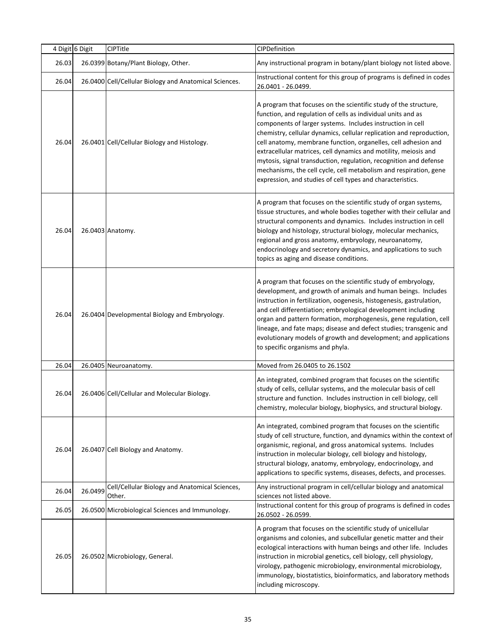|       | 4 Digit 6 Digit | CIPTitle                                                 | CIPDefinition                                                                                                                                                                                                                                                                                                                                                                                                                                                                                                                                                                                                       |
|-------|-----------------|----------------------------------------------------------|---------------------------------------------------------------------------------------------------------------------------------------------------------------------------------------------------------------------------------------------------------------------------------------------------------------------------------------------------------------------------------------------------------------------------------------------------------------------------------------------------------------------------------------------------------------------------------------------------------------------|
| 26.03 |                 | 26.0399 Botany/Plant Biology, Other.                     | Any instructional program in botany/plant biology not listed above.                                                                                                                                                                                                                                                                                                                                                                                                                                                                                                                                                 |
| 26.04 |                 | 26.0400 Cell/Cellular Biology and Anatomical Sciences.   | Instructional content for this group of programs is defined in codes<br>26.0401 - 26.0499.                                                                                                                                                                                                                                                                                                                                                                                                                                                                                                                          |
| 26.04 |                 | 26.0401 Cell/Cellular Biology and Histology.             | A program that focuses on the scientific study of the structure,<br>function, and regulation of cells as individual units and as<br>components of larger systems. Includes instruction in cell<br>chemistry, cellular dynamics, cellular replication and reproduction,<br>cell anatomy, membrane function, organelles, cell adhesion and<br>extracellular matrices, cell dynamics and motility, meiosis and<br>mytosis, signal transduction, regulation, recognition and defense<br>mechanisms, the cell cycle, cell metabolism and respiration, gene<br>expression, and studies of cell types and characteristics. |
| 26.04 |                 | 26.0403 Anatomy.                                         | A program that focuses on the scientific study of organ systems,<br>tissue structures, and whole bodies together with their cellular and<br>structural components and dynamics. Includes instruction in cell<br>biology and histology, structural biology, molecular mechanics,<br>regional and gross anatomy, embryology, neuroanatomy,<br>endocrinology and secretory dynamics, and applications to such<br>topics as aging and disease conditions.                                                                                                                                                               |
| 26.04 |                 | 26.0404 Developmental Biology and Embryology.            | A program that focuses on the scientific study of embryology,<br>development, and growth of animals and human beings. Includes<br>instruction in fertilization, oogenesis, histogenesis, gastrulation,<br>and cell differentiation; embryological development including<br>organ and pattern formation, morphogenesis, gene regulation, cell<br>lineage, and fate maps; disease and defect studies; transgenic and<br>evolutionary models of growth and development; and applications<br>to specific organisms and phyla.                                                                                           |
| 26.04 |                 | 26.0405 Neuroanatomy.                                    | Moved from 26.0405 to 26.1502                                                                                                                                                                                                                                                                                                                                                                                                                                                                                                                                                                                       |
| 26.04 |                 | 26.0406 Cell/Cellular and Molecular Biology.             | An integrated, combined program that focuses on the scientific<br>study of cells, cellular systems, and the molecular basis of cell<br>structure and function. Includes instruction in cell biology, cell<br>chemistry, molecular biology, biophysics, and structural biology.                                                                                                                                                                                                                                                                                                                                      |
| 26.04 |                 | 26.0407 Cell Biology and Anatomy.                        | An integrated, combined program that focuses on the scientific<br>study of cell structure, function, and dynamics within the context of<br>organismic, regional, and gross anatomical systems. Includes<br>instruction in molecular biology, cell biology and histology,<br>structural biology, anatomy, embryology, endocrinology, and<br>applications to specific systems, diseases, defects, and processes.                                                                                                                                                                                                      |
| 26.04 | 26.0499         | Cell/Cellular Biology and Anatomical Sciences,<br>Other. | Any instructional program in cell/cellular biology and anatomical<br>sciences not listed above.                                                                                                                                                                                                                                                                                                                                                                                                                                                                                                                     |
| 26.05 |                 | 26.0500 Microbiological Sciences and Immunology.         | Instructional content for this group of programs is defined in codes<br>26.0502 - 26.0599.                                                                                                                                                                                                                                                                                                                                                                                                                                                                                                                          |
| 26.05 |                 | 26.0502 Microbiology, General.                           | A program that focuses on the scientific study of unicellular<br>organisms and colonies, and subcellular genetic matter and their<br>ecological interactions with human beings and other life. Includes<br>instruction in microbial genetics, cell biology, cell physiology,<br>virology, pathogenic microbiology, environmental microbiology,<br>immunology, biostatistics, bioinformatics, and laboratory methods<br>including microscopy.                                                                                                                                                                        |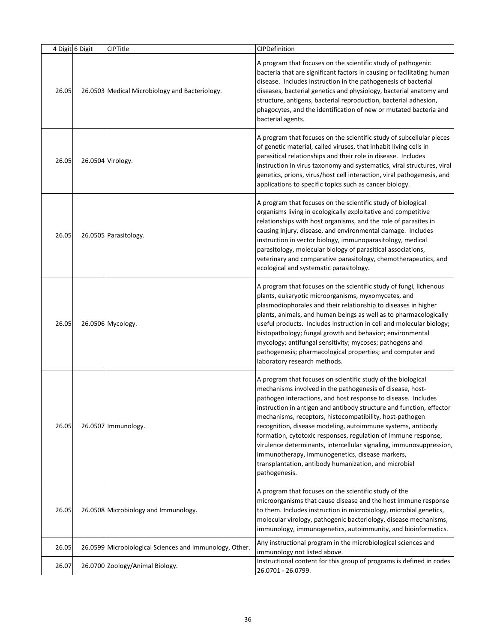|       | 4 Digit 6 Digit | CIPTitle                                                | CIPDefinition                                                                                                                                                                                                                                                                                                                                                                                                                                                                                                                                                                                                                                                       |
|-------|-----------------|---------------------------------------------------------|---------------------------------------------------------------------------------------------------------------------------------------------------------------------------------------------------------------------------------------------------------------------------------------------------------------------------------------------------------------------------------------------------------------------------------------------------------------------------------------------------------------------------------------------------------------------------------------------------------------------------------------------------------------------|
| 26.05 |                 | 26.0503 Medical Microbiology and Bacteriology.          | A program that focuses on the scientific study of pathogenic<br>bacteria that are significant factors in causing or facilitating human<br>disease. Includes instruction in the pathogenesis of bacterial<br>diseases, bacterial genetics and physiology, bacterial anatomy and<br>structure, antigens, bacterial reproduction, bacterial adhesion,<br>phagocytes, and the identification of new or mutated bacteria and<br>bacterial agents.                                                                                                                                                                                                                        |
| 26.05 |                 | 26.0504 Virology.                                       | A program that focuses on the scientific study of subcellular pieces<br>of genetic material, called viruses, that inhabit living cells in<br>parasitical relationships and their role in disease. Includes<br>instruction in virus taxonomy and systematics, viral structures, viral<br>genetics, prions, virus/host cell interaction, viral pathogenesis, and<br>applications to specific topics such as cancer biology.                                                                                                                                                                                                                                           |
| 26.05 |                 | 26.0505 Parasitology.                                   | A program that focuses on the scientific study of biological<br>organisms living in ecologically exploitative and competitive<br>relationships with host organisms, and the role of parasites in<br>causing injury, disease, and environmental damage. Includes<br>instruction in vector biology, immunoparasitology, medical<br>parasitology, molecular biology of parasitical associations,<br>veterinary and comparative parasitology, chemotherapeutics, and<br>ecological and systematic parasitology.                                                                                                                                                         |
| 26.05 |                 | 26.0506 Mycology.                                       | A program that focuses on the scientific study of fungi, lichenous<br>plants, eukaryotic microorganisms, myxomycetes, and<br>plasmodiophorales and their relationship to diseases in higher<br>plants, animals, and human beings as well as to pharmacologically<br>useful products. Includes instruction in cell and molecular biology;<br>histopathology; fungal growth and behavior; environmental<br>mycology; antifungal sensitivity; mycoses; pathogens and<br>pathogenesis; pharmacological properties; and computer and<br>laboratory research methods.                                                                                                     |
| 26.05 |                 | 26.0507 Immunology.                                     | A program that focuses on scientific study of the biological<br>mechanisms involved in the pathogenesis of disease, host-<br>pathogen interactions, and host response to disease. Includes<br>instruction in antigen and antibody structure and function, effector<br>mechanisms, receptors, histocompatibility, host-pathogen<br>recognition, disease modeling, autoimmune systems, antibody<br>formation, cytotoxic responses, regulation of immune response,<br>virulence determinants, intercellular signaling, immunosuppression,<br>immunotherapy, immunogenetics, disease markers,<br>transplantation, antibody humanization, and microbial<br>pathogenesis. |
| 26.05 |                 | 26.0508 Microbiology and Immunology.                    | A program that focuses on the scientific study of the<br>microorganisms that cause disease and the host immune response<br>to them. Includes instruction in microbiology, microbial genetics,<br>molecular virology, pathogenic bacteriology, disease mechanisms,<br>immunology, immunogenetics, autoimmunity, and bioinformatics.                                                                                                                                                                                                                                                                                                                                  |
| 26.05 |                 | 26.0599 Microbiological Sciences and Immunology, Other. | Any instructional program in the microbiological sciences and<br>immunology not listed above.                                                                                                                                                                                                                                                                                                                                                                                                                                                                                                                                                                       |
| 26.07 |                 | 26.0700 Zoology/Animal Biology.                         | Instructional content for this group of programs is defined in codes<br>26.0701 - 26.0799.                                                                                                                                                                                                                                                                                                                                                                                                                                                                                                                                                                          |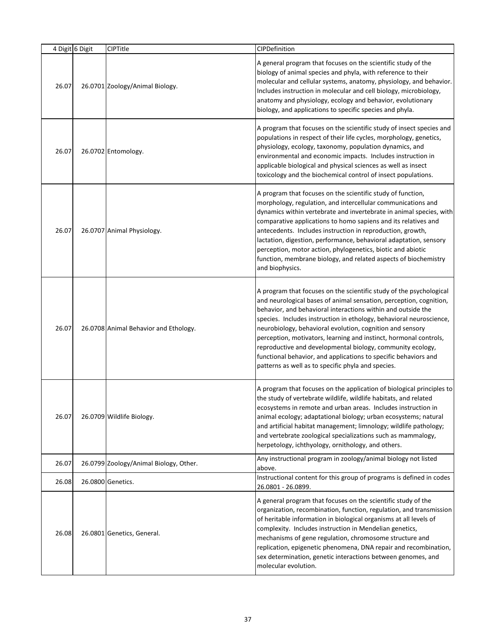|       | 4 Digit 6 Digit | CIPTitle                               | CIPDefinition                                                                                                                                                                                                                                                                                                                                                                                                                                                                                                                                                                                             |
|-------|-----------------|----------------------------------------|-----------------------------------------------------------------------------------------------------------------------------------------------------------------------------------------------------------------------------------------------------------------------------------------------------------------------------------------------------------------------------------------------------------------------------------------------------------------------------------------------------------------------------------------------------------------------------------------------------------|
| 26.07 |                 | 26.0701 Zoology/Animal Biology.        | A general program that focuses on the scientific study of the<br>biology of animal species and phyla, with reference to their<br>molecular and cellular systems, anatomy, physiology, and behavior.<br>Includes instruction in molecular and cell biology, microbiology,<br>anatomy and physiology, ecology and behavior, evolutionary<br>biology, and applications to specific species and phyla.                                                                                                                                                                                                        |
| 26.07 |                 | 26.0702 Entomology.                    | A program that focuses on the scientific study of insect species and<br>populations in respect of their life cycles, morphology, genetics,<br>physiology, ecology, taxonomy, population dynamics, and<br>environmental and economic impacts. Includes instruction in<br>applicable biological and physical sciences as well as insect<br>toxicology and the biochemical control of insect populations.                                                                                                                                                                                                    |
| 26.07 |                 | 26.0707 Animal Physiology.             | A program that focuses on the scientific study of function,<br>morphology, regulation, and intercellular communications and<br>dynamics within vertebrate and invertebrate in animal species, with<br>comparative applications to homo sapiens and its relatives and<br>antecedents. Includes instruction in reproduction, growth,<br>lactation, digestion, performance, behavioral adaptation, sensory<br>perception, motor action, phylogenetics, biotic and abiotic<br>function, membrane biology, and related aspects of biochemistry<br>and biophysics.                                              |
| 26.07 |                 | 26.0708 Animal Behavior and Ethology.  | A program that focuses on the scientific study of the psychological<br>and neurological bases of animal sensation, perception, cognition,<br>behavior, and behavioral interactions within and outside the<br>species. Includes instruction in ethology, behavioral neuroscience,<br>neurobiology, behavioral evolution, cognition and sensory<br>perception, motivators, learning and instinct, hormonal controls,<br>reproductive and developmental biology, community ecology,<br>functional behavior, and applications to specific behaviors and<br>patterns as well as to specific phyla and species. |
| 26.07 |                 | 26.0709 Wildlife Biology.              | A program that focuses on the application of biological principles to<br>the study of vertebrate wildlife, wildlife habitats, and related<br>ecosystems in remote and urban areas. Includes instruction in<br>animal ecology; adaptational biology; urban ecosystems; natural<br>and artificial habitat management; limnology; wildlife pathology;<br>and vertebrate zoological specializations such as mammalogy,<br>herpetology, ichthyology, ornithology, and others.                                                                                                                                  |
| 26.07 |                 | 26.0799 Zoology/Animal Biology, Other. | Any instructional program in zoology/animal biology not listed<br>above.                                                                                                                                                                                                                                                                                                                                                                                                                                                                                                                                  |
| 26.08 |                 | 26.0800 Genetics.                      | Instructional content for this group of programs is defined in codes<br>26.0801 - 26.0899.                                                                                                                                                                                                                                                                                                                                                                                                                                                                                                                |
| 26.08 |                 | 26.0801 Genetics, General.             | A general program that focuses on the scientific study of the<br>organization, recombination, function, regulation, and transmission<br>of heritable information in biological organisms at all levels of<br>complexity. Includes instruction in Mendelian genetics,<br>mechanisms of gene regulation, chromosome structure and<br>replication, epigenetic phenomena, DNA repair and recombination,<br>sex determination, genetic interactions between genomes, and<br>molecular evolution.                                                                                                               |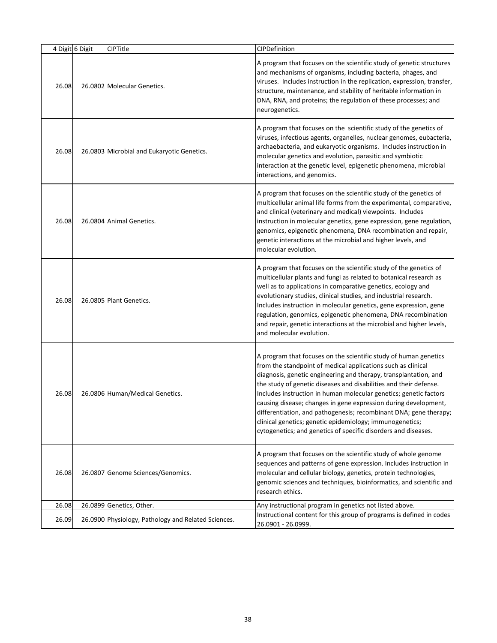|       | 4 Digit 6 Digit | CIPTitle                                            | <b>CIPDefinition</b>                                                                                                                                                                                                                                                                                                                                                                                                                                                                                                                                                                                                 |
|-------|-----------------|-----------------------------------------------------|----------------------------------------------------------------------------------------------------------------------------------------------------------------------------------------------------------------------------------------------------------------------------------------------------------------------------------------------------------------------------------------------------------------------------------------------------------------------------------------------------------------------------------------------------------------------------------------------------------------------|
| 26.08 |                 | 26.0802 Molecular Genetics.                         | A program that focuses on the scientific study of genetic structures<br>and mechanisms of organisms, including bacteria, phages, and<br>viruses. Includes instruction in the replication, expression, transfer,<br>structure, maintenance, and stability of heritable information in<br>DNA, RNA, and proteins; the regulation of these processes; and<br>neurogenetics.                                                                                                                                                                                                                                             |
| 26.08 |                 | 26.0803 Microbial and Eukaryotic Genetics.          | A program that focuses on the scientific study of the genetics of<br>viruses, infectious agents, organelles, nuclear genomes, eubacteria,<br>archaebacteria, and eukaryotic organisms. Includes instruction in<br>molecular genetics and evolution, parasitic and symbiotic<br>interaction at the genetic level, epigenetic phenomena, microbial<br>interactions, and genomics.                                                                                                                                                                                                                                      |
| 26.08 |                 | 26.0804 Animal Genetics.                            | A program that focuses on the scientific study of the genetics of<br>multicellular animal life forms from the experimental, comparative,<br>and clinical (veterinary and medical) viewpoints. Includes<br>instruction in molecular genetics, gene expression, gene regulation,<br>genomics, epigenetic phenomena, DNA recombination and repair,<br>genetic interactions at the microbial and higher levels, and<br>molecular evolution.                                                                                                                                                                              |
| 26.08 |                 | 26.0805 Plant Genetics.                             | A program that focuses on the scientific study of the genetics of<br>multicellular plants and fungi as related to botanical research as<br>well as to applications in comparative genetics, ecology and<br>evolutionary studies, clinical studies, and industrial research.<br>Includes instruction in molecular genetics, gene expression, gene<br>regulation, genomics, epigenetic phenomena, DNA recombination<br>and repair, genetic interactions at the microbial and higher levels,<br>and molecular evolution.                                                                                                |
| 26.08 |                 | 26.0806 Human/Medical Genetics.                     | A program that focuses on the scientific study of human genetics<br>from the standpoint of medical applications such as clinical<br>diagnosis, genetic engineering and therapy, transplantation, and<br>the study of genetic diseases and disabilities and their defense.<br>Includes instruction in human molecular genetics; genetic factors<br>causing disease; changes in gene expression during development,<br>differentiation, and pathogenesis; recombinant DNA; gene therapy;<br>clinical genetics; genetic epidemiology; immunogenetics;<br>cytogenetics; and genetics of specific disorders and diseases. |
| 26.08 |                 | 26.0807 Genome Sciences/Genomics.                   | A program that focuses on the scientific study of whole genome<br>sequences and patterns of gene expression. Includes instruction in<br>molecular and cellular biology, genetics, protein technologies,<br>genomic sciences and techniques, bioinformatics, and scientific and<br>research ethics.                                                                                                                                                                                                                                                                                                                   |
| 26.08 |                 | 26.0899 Genetics, Other.                            | Any instructional program in genetics not listed above.                                                                                                                                                                                                                                                                                                                                                                                                                                                                                                                                                              |
| 26.09 |                 | 26.0900 Physiology, Pathology and Related Sciences. | Instructional content for this group of programs is defined in codes<br>26.0901 - 26.0999.                                                                                                                                                                                                                                                                                                                                                                                                                                                                                                                           |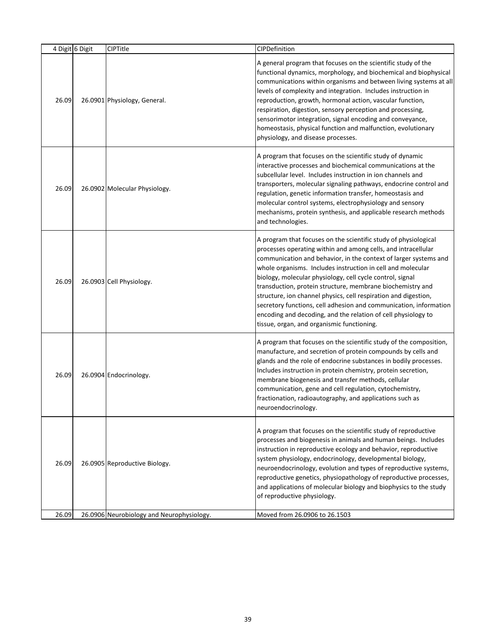|       | 4 Digit 6 Digit | CIPTitle                                  | CIPDefinition                                                                                                                                                                                                                                                                                                                                                                                                                                                                                                                                                                                                                                         |
|-------|-----------------|-------------------------------------------|-------------------------------------------------------------------------------------------------------------------------------------------------------------------------------------------------------------------------------------------------------------------------------------------------------------------------------------------------------------------------------------------------------------------------------------------------------------------------------------------------------------------------------------------------------------------------------------------------------------------------------------------------------|
| 26.09 |                 | 26.0901 Physiology, General.              | A general program that focuses on the scientific study of the<br>functional dynamics, morphology, and biochemical and biophysical<br>communications within organisms and between living systems at all<br>levels of complexity and integration. Includes instruction in<br>reproduction, growth, hormonal action, vascular function,<br>respiration, digestion, sensory perception and processing,<br>sensorimotor integration, signal encoding and conveyance,<br>homeostasis, physical function and malfunction, evolutionary<br>physiology, and disease processes.                                                                                 |
| 26.09 |                 | 26.0902 Molecular Physiology.             | A program that focuses on the scientific study of dynamic<br>interactive processes and biochemical communications at the<br>subcellular level. Includes instruction in ion channels and<br>transporters, molecular signaling pathways, endocrine control and<br>regulation, genetic information transfer, homeostasis and<br>molecular control systems, electrophysiology and sensory<br>mechanisms, protein synthesis, and applicable research methods<br>and technologies.                                                                                                                                                                          |
| 26.09 |                 | 26.0903 Cell Physiology.                  | A program that focuses on the scientific study of physiological<br>processes operating within and among cells, and intracellular<br>communication and behavior, in the context of larger systems and<br>whole organisms. Includes instruction in cell and molecular<br>biology, molecular physiology, cell cycle control, signal<br>transduction, protein structure, membrane biochemistry and<br>structure, ion channel physics, cell respiration and digestion,<br>secretory functions, cell adhesion and communication, information<br>encoding and decoding, and the relation of cell physiology to<br>tissue, organ, and organismic functioning. |
| 26.09 |                 | 26.0904 Endocrinology.                    | A program that focuses on the scientific study of the composition,<br>manufacture, and secretion of protein compounds by cells and<br>glands and the role of endocrine substances in bodily processes.<br>Includes instruction in protein chemistry, protein secretion,<br>membrane biogenesis and transfer methods, cellular<br>communication, gene and cell regulation, cytochemistry,<br>fractionation, radioautography, and applications such as<br>neuroendocrinology.                                                                                                                                                                           |
| 26.09 |                 | 26.0905 Reproductive Biology.             | A program that focuses on the scientific study of reproductive<br>processes and biogenesis in animals and human beings. Includes<br>instruction in reproductive ecology and behavior, reproductive<br>system physiology, endocrinology, developmental biology,<br>neuroendocrinology, evolution and types of reproductive systems,<br>reproductive genetics, physiopathology of reproductive processes,<br>and applications of molecular biology and biophysics to the study<br>of reproductive physiology.                                                                                                                                           |
| 26.09 |                 | 26.0906 Neurobiology and Neurophysiology. | Moved from 26.0906 to 26.1503                                                                                                                                                                                                                                                                                                                                                                                                                                                                                                                                                                                                                         |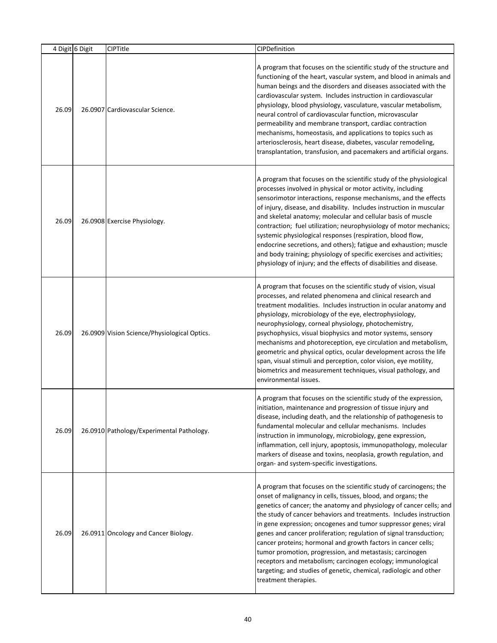|       | 4 Digit 6 Digit | CIPTitle                                     | CIPDefinition                                                                                                                                                                                                                                                                                                                                                                                                                                                                                                                                                                                                                                                                                                      |
|-------|-----------------|----------------------------------------------|--------------------------------------------------------------------------------------------------------------------------------------------------------------------------------------------------------------------------------------------------------------------------------------------------------------------------------------------------------------------------------------------------------------------------------------------------------------------------------------------------------------------------------------------------------------------------------------------------------------------------------------------------------------------------------------------------------------------|
| 26.09 |                 | 26.0907 Cardiovascular Science.              | A program that focuses on the scientific study of the structure and<br>functioning of the heart, vascular system, and blood in animals and<br>human beings and the disorders and diseases associated with the<br>cardiovascular system. Includes instruction in cardiovascular<br>physiology, blood physiology, vasculature, vascular metabolism,<br>neural control of cardiovascular function, microvascular<br>permeability and membrane transport, cardiac contraction<br>mechanisms, homeostasis, and applications to topics such as<br>arteriosclerosis, heart disease, diabetes, vascular remodeling,<br>transplantation, transfusion, and pacemakers and artificial organs.                                 |
| 26.09 |                 | 26.0908 Exercise Physiology.                 | A program that focuses on the scientific study of the physiological<br>processes involved in physical or motor activity, including<br>sensorimotor interactions, response mechanisms, and the effects<br>of injury, disease, and disability. Includes instruction in muscular<br>and skeletal anatomy; molecular and cellular basis of muscle<br>contraction; fuel utilization; neurophysiology of motor mechanics;<br>systemic physiological responses (respiration, blood flow,<br>endocrine secretions, and others); fatigue and exhaustion; muscle<br>and body training; physiology of specific exercises and activities;<br>physiology of injury; and the effects of disabilities and disease.                |
| 26.09 |                 | 26.0909 Vision Science/Physiological Optics. | A program that focuses on the scientific study of vision, visual<br>processes, and related phenomena and clinical research and<br>treatment modalities. Includes instruction in ocular anatomy and<br>physiology, microbiology of the eye, electrophysiology,<br>neurophysiology, corneal physiology, photochemistry,<br>psychophysics, visual biophysics and motor systems, sensory<br>mechanisms and photoreception, eye circulation and metabolism,<br>geometric and physical optics, ocular development across the life<br>span, visual stimuli and perception, color vision, eye motility,<br>biometrics and measurement techniques, visual pathology, and<br>environmental issues.                           |
| 26.09 |                 | 26.0910 Pathology/Experimental Pathology.    | A program that focuses on the scientific study of the expression,<br>initiation, maintenance and progression of tissue injury and<br>disease, including death, and the relationship of pathogenesis to<br>fundamental molecular and cellular mechanisms. Includes<br>instruction in immunology, microbiology, gene expression,<br>inflammation, cell injury, apoptosis, immunopathology, molecular<br>markers of disease and toxins, neoplasia, growth regulation, and<br>organ- and system-specific investigations.                                                                                                                                                                                               |
| 26.09 |                 | 26.0911 Oncology and Cancer Biology.         | A program that focuses on the scientific study of carcinogens; the<br>onset of malignancy in cells, tissues, blood, and organs; the<br>genetics of cancer; the anatomy and physiology of cancer cells; and<br>the study of cancer behaviors and treatments. Includes instruction<br>in gene expression; oncogenes and tumor suppressor genes; viral<br>genes and cancer proliferation; regulation of signal transduction;<br>cancer proteins; hormonal and growth factors in cancer cells;<br>tumor promotion, progression, and metastasis; carcinogen<br>receptors and metabolism; carcinogen ecology; immunological<br>targeting; and studies of genetic, chemical, radiologic and other<br>treatment therapies. |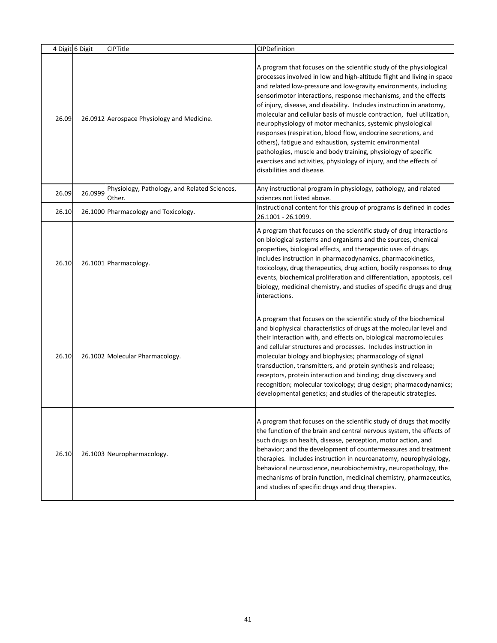|       | 4 Digit 6 Digit | <b>CIPTitle</b>                                        | CIPDefinition                                                                                                                                                                                                                                                                                                                                                                                                                                                                                                                                                                                                                                                                                                                                                                                       |
|-------|-----------------|--------------------------------------------------------|-----------------------------------------------------------------------------------------------------------------------------------------------------------------------------------------------------------------------------------------------------------------------------------------------------------------------------------------------------------------------------------------------------------------------------------------------------------------------------------------------------------------------------------------------------------------------------------------------------------------------------------------------------------------------------------------------------------------------------------------------------------------------------------------------------|
| 26.09 |                 | 26.0912 Aerospace Physiology and Medicine.             | A program that focuses on the scientific study of the physiological<br>processes involved in low and high-altitude flight and living in space<br>and related low-pressure and low-gravity environments, including<br>sensorimotor interactions, response mechanisms, and the effects<br>of injury, disease, and disability. Includes instruction in anatomy,<br>molecular and cellular basis of muscle contraction, fuel utilization,<br>neurophysiology of motor mechanics, systemic physiological<br>responses (respiration, blood flow, endocrine secretions, and<br>others), fatigue and exhaustion, systemic environmental<br>pathologies, muscle and body training, physiology of specific<br>exercises and activities, physiology of injury, and the effects of<br>disabilities and disease. |
| 26.09 | 26.0999         | Physiology, Pathology, and Related Sciences,<br>Other. | Any instructional program in physiology, pathology, and related<br>sciences not listed above.                                                                                                                                                                                                                                                                                                                                                                                                                                                                                                                                                                                                                                                                                                       |
| 26.10 |                 | 26.1000 Pharmacology and Toxicology.                   | Instructional content for this group of programs is defined in codes<br>26.1001 - 26.1099.                                                                                                                                                                                                                                                                                                                                                                                                                                                                                                                                                                                                                                                                                                          |
| 26.10 |                 | 26.1001 Pharmacology.                                  | A program that focuses on the scientific study of drug interactions<br>on biological systems and organisms and the sources, chemical<br>properties, biological effects, and therapeutic uses of drugs.<br>Includes instruction in pharmacodynamics, pharmacokinetics,<br>toxicology, drug therapeutics, drug action, bodily responses to drug<br>events, biochemical proliferation and differentiation, apoptosis, cell<br>biology, medicinal chemistry, and studies of specific drugs and drug<br>interactions.                                                                                                                                                                                                                                                                                    |
| 26.10 |                 | 26.1002 Molecular Pharmacology.                        | A program that focuses on the scientific study of the biochemical<br>and biophysical characteristics of drugs at the molecular level and<br>their interaction with, and effects on, biological macromolecules<br>and cellular structures and processes. Includes instruction in<br>molecular biology and biophysics; pharmacology of signal<br>transduction, transmitters, and protein synthesis and release;<br>receptors, protein interaction and binding; drug discovery and<br>recognition; molecular toxicology; drug design; pharmacodynamics;<br>developmental genetics; and studies of therapeutic strategies.                                                                                                                                                                              |
| 26.10 |                 | 26.1003 Neuropharmacology.                             | A program that focuses on the scientific study of drugs that modify<br>the function of the brain and central nervous system, the effects of<br>such drugs on health, disease, perception, motor action, and<br>behavior; and the development of countermeasures and treatment<br>therapies. Includes instruction in neuroanatomy, neurophysiology,<br>behavioral neuroscience, neurobiochemistry, neuropathology, the<br>mechanisms of brain function, medicinal chemistry, pharmaceutics,<br>and studies of specific drugs and drug therapies.                                                                                                                                                                                                                                                     |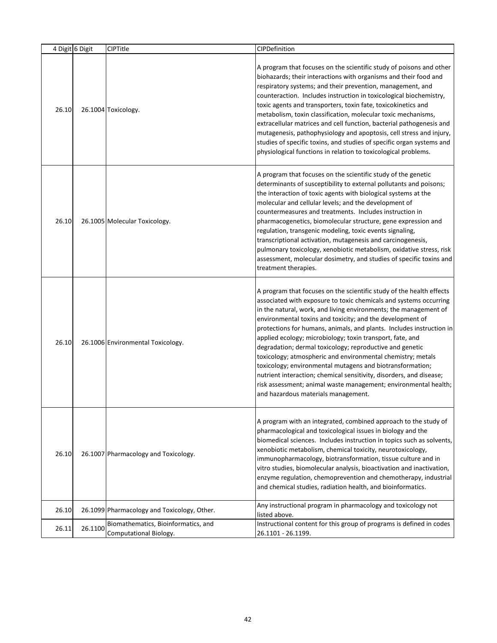|       | 4 Digit 6 Digit | <b>CIPTitle</b>                                               | CIPDefinition                                                                                                                                                                                                                                                                                                                                                                                                                                                                                                                                                                                                                                                                                                                                                                            |
|-------|-----------------|---------------------------------------------------------------|------------------------------------------------------------------------------------------------------------------------------------------------------------------------------------------------------------------------------------------------------------------------------------------------------------------------------------------------------------------------------------------------------------------------------------------------------------------------------------------------------------------------------------------------------------------------------------------------------------------------------------------------------------------------------------------------------------------------------------------------------------------------------------------|
| 26.10 |                 | 26.1004 Toxicology.                                           | A program that focuses on the scientific study of poisons and other<br>biohazards; their interactions with organisms and their food and<br>respiratory systems; and their prevention, management, and<br>counteraction. Includes instruction in toxicological biochemistry,<br>toxic agents and transporters, toxin fate, toxicokinetics and<br>metabolism, toxin classification, molecular toxic mechanisms,<br>extracellular matrices and cell function, bacterial pathogenesis and<br>mutagenesis, pathophysiology and apoptosis, cell stress and injury,<br>studies of specific toxins, and studies of specific organ systems and<br>physiological functions in relation to toxicological problems.                                                                                  |
| 26.10 |                 | 26.1005 Molecular Toxicology.                                 | A program that focuses on the scientific study of the genetic<br>determinants of susceptibility to external pollutants and poisons;<br>the interaction of toxic agents with biological systems at the<br>molecular and cellular levels; and the development of<br>countermeasures and treatments. Includes instruction in<br>pharmacogenetics, biomolecular structure, gene expression and<br>regulation, transgenic modeling, toxic events signaling,<br>transcriptional activation, mutagenesis and carcinogenesis,<br>pulmonary toxicology, xenobiotic metabolism, oxidative stress, risk<br>assessment, molecular dosimetry, and studies of specific toxins and<br>treatment therapies.                                                                                              |
| 26.10 |                 | 26.1006 Environmental Toxicology.                             | A program that focuses on the scientific study of the health effects<br>associated with exposure to toxic chemicals and systems occurring<br>in the natural, work, and living environments; the management of<br>environmental toxins and toxicity; and the development of<br>protections for humans, animals, and plants. Includes instruction in<br>applied ecology; microbiology; toxin transport, fate, and<br>degradation; dermal toxicology; reproductive and genetic<br>toxicology; atmospheric and environmental chemistry; metals<br>toxicology; environmental mutagens and biotransformation;<br>nutrient interaction; chemical sensitivity, disorders, and disease;<br>risk assessment; animal waste management; environmental health;<br>and hazardous materials management. |
| 26.10 |                 | 26.1007 Pharmacology and Toxicology.                          | A program with an integrated, combined approach to the study of<br>pharmacological and toxicological issues in biology and the<br>biomedical sciences. Includes instruction in topics such as solvents,<br>xenobiotic metabolism, chemical toxicity, neurotoxicology,<br>immunopharmacology, biotransformation, tissue culture and in<br>vitro studies, biomolecular analysis, bioactivation and inactivation,<br>enzyme regulation, chemoprevention and chemotherapy, industrial<br>and chemical studies, radiation health, and bioinformatics.                                                                                                                                                                                                                                         |
| 26.10 |                 | 26.1099 Pharmacology and Toxicology, Other.                   | Any instructional program in pharmacology and toxicology not<br>listed above.                                                                                                                                                                                                                                                                                                                                                                                                                                                                                                                                                                                                                                                                                                            |
| 26.11 | 26.1100         | Biomathematics, Bioinformatics, and<br>Computational Biology. | Instructional content for this group of programs is defined in codes<br>26.1101 - 26.1199.                                                                                                                                                                                                                                                                                                                                                                                                                                                                                                                                                                                                                                                                                               |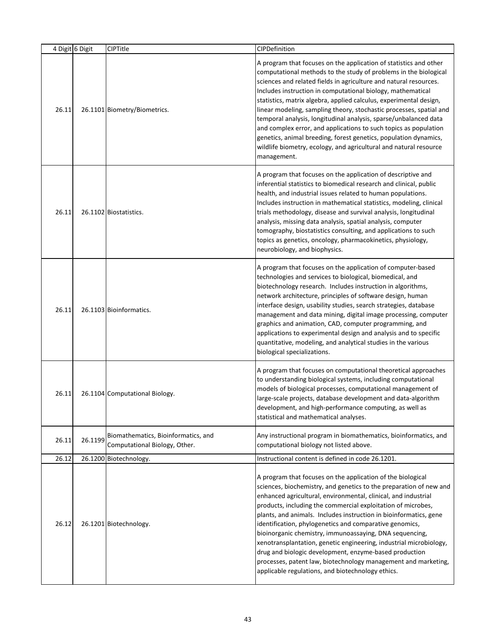|       | 4 Digit 6 Digit | <b>CIPTitle</b>                                                      | CIPDefinition                                                                                                                                                                                                                                                                                                                                                                                                                                                                                                                                                                                                                                                                                                          |
|-------|-----------------|----------------------------------------------------------------------|------------------------------------------------------------------------------------------------------------------------------------------------------------------------------------------------------------------------------------------------------------------------------------------------------------------------------------------------------------------------------------------------------------------------------------------------------------------------------------------------------------------------------------------------------------------------------------------------------------------------------------------------------------------------------------------------------------------------|
| 26.11 |                 | 26.1101 Biometry/Biometrics.                                         | A program that focuses on the application of statistics and other<br>computational methods to the study of problems in the biological<br>sciences and related fields in agriculture and natural resources.<br>Includes instruction in computational biology, mathematical<br>statistics, matrix algebra, applied calculus, experimental design,<br>linear modeling, sampling theory, stochastic processes, spatial and<br>temporal analysis, longitudinal analysis, sparse/unbalanced data<br>and complex error, and applications to such topics as population<br>genetics, animal breeding, forest genetics, population dynamics,<br>wildlife biometry, ecology, and agricultural and natural resource<br>management. |
| 26.11 |                 | 26.1102 Biostatistics.                                               | A program that focuses on the application of descriptive and<br>inferential statistics to biomedical research and clinical, public<br>health, and industrial issues related to human populations.<br>Includes instruction in mathematical statistics, modeling, clinical<br>trials methodology, disease and survival analysis, longitudinal<br>analysis, missing data analysis, spatial analysis, computer<br>tomography, biostatistics consulting, and applications to such<br>topics as genetics, oncology, pharmacokinetics, physiology,<br>neurobiology, and biophysics.                                                                                                                                           |
| 26.11 |                 | 26.1103 Bioinformatics.                                              | A program that focuses on the application of computer-based<br>technologies and services to biological, biomedical, and<br>biotechnology research. Includes instruction in algorithms,<br>network architecture, principles of software design, human<br>interface design, usability studies, search strategies, database<br>management and data mining, digital image processing, computer<br>graphics and animation, CAD, computer programming, and<br>applications to experimental design and analysis and to specific<br>quantitative, modeling, and analytical studies in the various<br>biological specializations.                                                                                               |
| 26.11 |                 | 26.1104 Computational Biology.                                       | A program that focuses on computational theoretical approaches<br>to understanding biological systems, including computational<br>models of biological processes, computational management of<br>large-scale projects, database development and data-algorithm<br>development, and high-performance computing, as well as<br>statistical and mathematical analyses.                                                                                                                                                                                                                                                                                                                                                    |
| 26.11 | 26.1199         | Biomathematics, Bioinformatics, and<br>Computational Biology, Other. | Any instructional program in biomathematics, bioinformatics, and<br>computational biology not listed above.                                                                                                                                                                                                                                                                                                                                                                                                                                                                                                                                                                                                            |
| 26.12 |                 | 26.1200 Biotechnology.                                               | Instructional content is defined in code 26.1201.                                                                                                                                                                                                                                                                                                                                                                                                                                                                                                                                                                                                                                                                      |
| 26.12 |                 | 26.1201 Biotechnology.                                               | A program that focuses on the application of the biological<br>sciences, biochemistry, and genetics to the preparation of new and<br>enhanced agricultural, environmental, clinical, and industrial<br>products, including the commercial exploitation of microbes,<br>plants, and animals. Includes instruction in bioinformatics, gene<br>identification, phylogenetics and comparative genomics,<br>bioinorganic chemistry, immunoassaying, DNA sequencing,<br>xenotransplantation, genetic engineering, industrial microbiology,<br>drug and biologic development, enzyme-based production<br>processes, patent law, biotechnology management and marketing,<br>applicable regulations, and biotechnology ethics.  |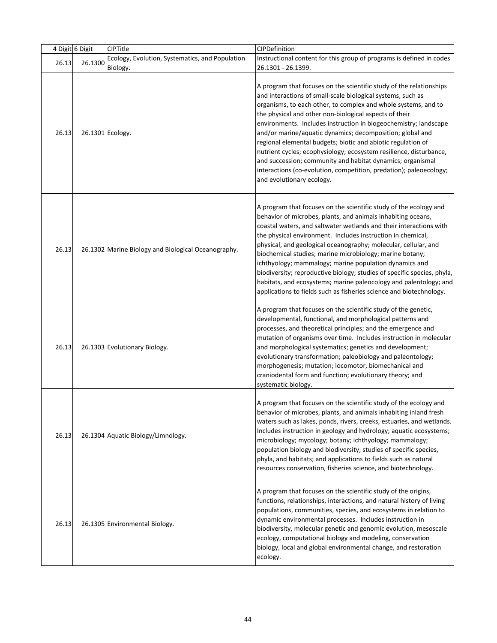|       | 4 Digit 6 Digit | CIPTitle                                            | CIPDefinition                                                                                                                                                                                                                                                                                                                                                                                                                                                                                                                                                                                                                                                                                          |
|-------|-----------------|-----------------------------------------------------|--------------------------------------------------------------------------------------------------------------------------------------------------------------------------------------------------------------------------------------------------------------------------------------------------------------------------------------------------------------------------------------------------------------------------------------------------------------------------------------------------------------------------------------------------------------------------------------------------------------------------------------------------------------------------------------------------------|
| 26.13 | 26.1300         | Ecology, Evolution, Systematics, and Population     | Instructional content for this group of programs is defined in codes                                                                                                                                                                                                                                                                                                                                                                                                                                                                                                                                                                                                                                   |
|       |                 | Biology.                                            | 26.1301 - 26.1399.                                                                                                                                                                                                                                                                                                                                                                                                                                                                                                                                                                                                                                                                                     |
| 26.13 |                 | 26.1301 Ecology.                                    | A program that focuses on the scientific study of the relationships<br>and interactions of small-scale biological systems, such as<br>organisms, to each other, to complex and whole systems, and to<br>the physical and other non-biological aspects of their<br>environments. Includes instruction in biogeochemistry; landscape<br>and/or marine/aquatic dynamics; decomposition; global and<br>regional elemental budgets; biotic and abiotic regulation of<br>nutrient cycles; ecophysiology; ecosystem resilience, disturbance,<br>and succession; community and habitat dynamics; organismal<br>interactions (co-evolution, competition, predation); paleoecology;<br>and evolutionary ecology. |
| 26.13 |                 | 26.1302 Marine Biology and Biological Oceanography. | A program that focuses on the scientific study of the ecology and<br>behavior of microbes, plants, and animals inhabiting oceans,<br>coastal waters, and saltwater wetlands and their interactions with<br>the physical environment. Includes instruction in chemical,<br>physical, and geological oceanography; molecular, cellular, and<br>biochemical studies; marine microbiology; marine botany;<br>ichthyology; mammalogy; marine population dynamics and<br>biodiversity; reproductive biology; studies of specific species, phyla,<br>habitats, and ecosystems; marine paleocology and palentology; and<br>applications to fields such as fisheries science and biotechnology.                 |
| 26.13 |                 | 26.1303 Evolutionary Biology.                       | A program that focuses on the scientific study of the genetic,<br>developmental, functional, and morphological patterns and<br>processes, and theoretical principles; and the emergence and<br>mutation of organisms over time. Includes instruction in molecular<br>and morphological systematics; genetics and development;<br>evolutionary transformation; paleobiology and paleontology;<br>morphogenesis; mutation; locomotor, biomechanical and<br>craniodental form and function; evolutionary theory; and<br>systematic biology.                                                                                                                                                               |
| 26.13 |                 | 26.1304 Aquatic Biology/Limnology.                  | A program that focuses on the scientific study of the ecology and<br>behavior of microbes, plants, and animals inhabiting inland fresh<br>waters such as lakes, ponds, rivers, creeks, estuaries, and wetlands.<br>Includes instruction in geology and hydrology; aquatic ecosystems;<br>microbiology; mycology; botany; ichthyology; mammalogy;<br>population biology and biodiversity; studies of specific species,<br>phyla, and habitats; and applications to fields such as natural<br>resources conservation, fisheries science, and biotechnology.                                                                                                                                              |
| 26.13 |                 | 26.1305 Environmental Biology.                      | A program that focuses on the scientific study of the origins,<br>functions, relationships, interactions, and natural history of living<br>populations, communities, species, and ecosystems in relation to<br>dynamic environmental processes. Includes instruction in<br>biodiversity, molecular genetic and genomic evolution, mesoscale<br>ecology, computational biology and modeling, conservation<br>biology, local and global environmental change, and restoration<br>ecology.                                                                                                                                                                                                                |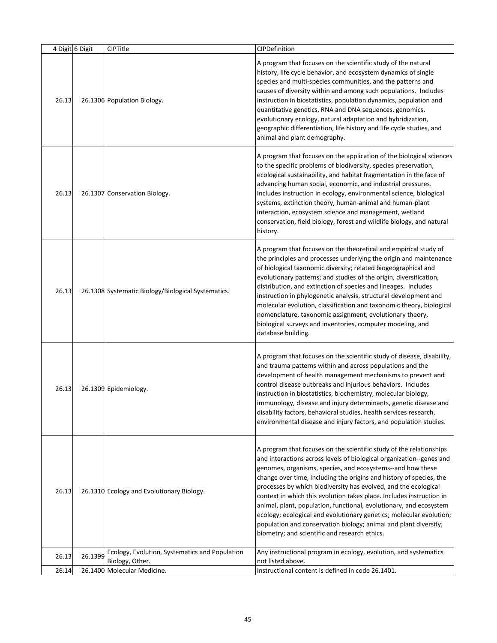|       | 4 Digit 6 Digit | CIPTitle                                                          | CIPDefinition                                                                                                                                                                                                                                                                                                                                                                                                                                                                                                                                                                                                                                                                                 |
|-------|-----------------|-------------------------------------------------------------------|-----------------------------------------------------------------------------------------------------------------------------------------------------------------------------------------------------------------------------------------------------------------------------------------------------------------------------------------------------------------------------------------------------------------------------------------------------------------------------------------------------------------------------------------------------------------------------------------------------------------------------------------------------------------------------------------------|
| 26.13 |                 | 26.1306 Population Biology.                                       | A program that focuses on the scientific study of the natural<br>history, life cycle behavior, and ecosystem dynamics of single<br>species and multi-species communities, and the patterns and<br>causes of diversity within and among such populations. Includes<br>instruction in biostatistics, population dynamics, population and<br>quantitative genetics, RNA and DNA sequences, genomics,<br>evolutionary ecology, natural adaptation and hybridization,<br>geographic differentiation, life history and life cycle studies, and<br>animal and plant demography.                                                                                                                      |
| 26.13 |                 | 26.1307 Conservation Biology.                                     | A program that focuses on the application of the biological sciences<br>to the specific problems of biodiversity, species preservation,<br>ecological sustainability, and habitat fragmentation in the face of<br>advancing human social, economic, and industrial pressures.<br>Includes instruction in ecology, environmental science, biological<br>systems, extinction theory, human-animal and human-plant<br>interaction, ecosystem science and management, wetland<br>conservation, field biology, forest and wildlife biology, and natural<br>history.                                                                                                                                |
| 26.13 |                 | 26.1308 Systematic Biology/Biological Systematics.                | A program that focuses on the theoretical and empirical study of<br>the principles and processes underlying the origin and maintenance<br>of biological taxonomic diversity; related biogeographical and<br>evolutionary patterns; and studies of the origin, diversification,<br>distribution, and extinction of species and lineages. Includes<br>instruction in phylogenetic analysis, structural development and<br>molecular evolution, classification and taxonomic theory, biological<br>nomenclature, taxonomic assignment, evolutionary theory,<br>biological surveys and inventories, computer modeling, and<br>database building.                                                  |
| 26.13 |                 | 26.1309 Epidemiology.                                             | A program that focuses on the scientific study of disease, disability,<br>and trauma patterns within and across populations and the<br>development of health management mechanisms to prevent and<br>control disease outbreaks and injurious behaviors. Includes<br>instruction in biostatistics, biochemistry, molecular biology,<br>immunology, disease and injury determinants, genetic disease and<br>disability factors, behavioral studies, health services research,<br>environmental disease and injury factors, and population studies.                                                                                                                                              |
| 26.13 |                 | 26.1310 Ecology and Evolutionary Biology.                         | A program that focuses on the scientific study of the relationships<br>and interactions across levels of biological organization--genes and<br>genomes, organisms, species, and ecosystems--and how these<br>change over time, including the origins and history of species, the<br>processes by which biodiversity has evolved, and the ecological<br>context in which this evolution takes place. Includes instruction in<br>animal, plant, population, functional, evolutionary, and ecosystem<br>ecology; ecological and evolutionary genetics; molecular evolution;<br>population and conservation biology; animal and plant diversity;<br>biometry; and scientific and research ethics. |
| 26.13 | 26.1399         | Ecology, Evolution, Systematics and Population<br>Biology, Other. | Any instructional program in ecology, evolution, and systematics<br>not listed above.                                                                                                                                                                                                                                                                                                                                                                                                                                                                                                                                                                                                         |
| 26.14 |                 | 26.1400 Molecular Medicine.                                       | Instructional content is defined in code 26.1401.                                                                                                                                                                                                                                                                                                                                                                                                                                                                                                                                                                                                                                             |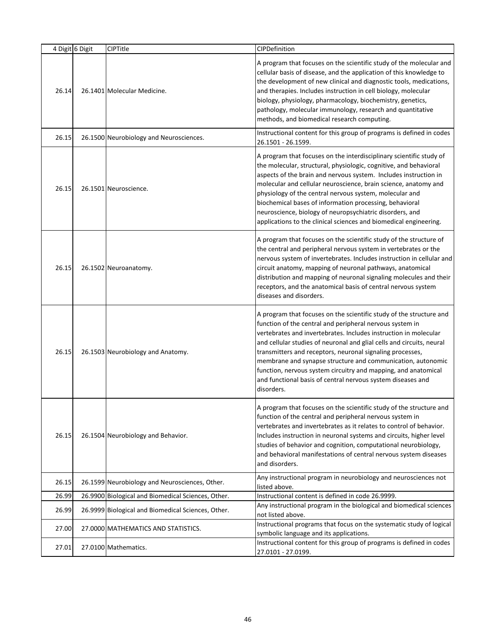|       | 4 Digit 6 Digit | CIPTitle                                           | CIPDefinition                                                                                                                                                                                                                                                                                                                                                                                                                                                                                                                                           |
|-------|-----------------|----------------------------------------------------|---------------------------------------------------------------------------------------------------------------------------------------------------------------------------------------------------------------------------------------------------------------------------------------------------------------------------------------------------------------------------------------------------------------------------------------------------------------------------------------------------------------------------------------------------------|
| 26.14 |                 | 26.1401 Molecular Medicine.                        | A program that focuses on the scientific study of the molecular and<br>cellular basis of disease, and the application of this knowledge to<br>the development of new clinical and diagnostic tools, medications,<br>and therapies. Includes instruction in cell biology, molecular<br>biology, physiology, pharmacology, biochemistry, genetics,<br>pathology, molecular immunology, research and quantitative<br>methods, and biomedical research computing.                                                                                           |
| 26.15 |                 | 26.1500 Neurobiology and Neurosciences.            | Instructional content for this group of programs is defined in codes<br>26.1501 - 26.1599.                                                                                                                                                                                                                                                                                                                                                                                                                                                              |
| 26.15 |                 | 26.1501 Neuroscience.                              | A program that focuses on the interdisciplinary scientific study of<br>the molecular, structural, physiologic, cognitive, and behavioral<br>aspects of the brain and nervous system. Includes instruction in<br>molecular and cellular neuroscience, brain science, anatomy and<br>physiology of the central nervous system, molecular and<br>biochemical bases of information processing, behavioral<br>neuroscience, biology of neuropsychiatric disorders, and<br>applications to the clinical sciences and biomedical engineering.                  |
| 26.15 |                 | 26.1502 Neuroanatomy.                              | A program that focuses on the scientific study of the structure of<br>the central and peripheral nervous system in vertebrates or the<br>nervous system of invertebrates. Includes instruction in cellular and<br>circuit anatomy, mapping of neuronal pathways, anatomical<br>distribution and mapping of neuronal signaling molecules and their<br>receptors, and the anatomical basis of central nervous system<br>diseases and disorders.                                                                                                           |
| 26.15 |                 | 26.1503 Neurobiology and Anatomy.                  | A program that focuses on the scientific study of the structure and<br>function of the central and peripheral nervous system in<br>vertebrates and invertebrates. Includes instruction in molecular<br>and cellular studies of neuronal and glial cells and circuits, neural<br>transmitters and receptors, neuronal signaling processes,<br>membrane and synapse structure and communication, autonomic<br>function, nervous system circuitry and mapping, and anatomical<br>and functional basis of central nervous system diseases and<br>disorders. |
| 26.15 |                 | 26.1504 Neurobiology and Behavior.                 | A program that focuses on the scientific study of the structure and<br>function of the central and peripheral nervous system in<br>vertebrates and invertebrates as it relates to control of behavior.<br>Includes instruction in neuronal systems and circuits, higher level<br>studies of behavior and cognition, computational neurobiology,<br>and behavioral manifestations of central nervous system diseases<br>and disorders.                                                                                                                   |
| 26.15 |                 | 26.1599 Neurobiology and Neurosciences, Other.     | Any instructional program in neurobiology and neurosciences not<br>listed above.                                                                                                                                                                                                                                                                                                                                                                                                                                                                        |
| 26.99 |                 | 26.9900 Biological and Biomedical Sciences, Other. | Instructional content is defined in code 26.9999.                                                                                                                                                                                                                                                                                                                                                                                                                                                                                                       |
| 26.99 |                 | 26.9999 Biological and Biomedical Sciences, Other. | Any instructional program in the biological and biomedical sciences<br>not listed above.                                                                                                                                                                                                                                                                                                                                                                                                                                                                |
| 27.00 |                 | 27.0000 MATHEMATICS AND STATISTICS.                | Instructional programs that focus on the systematic study of logical<br>symbolic language and its applications.                                                                                                                                                                                                                                                                                                                                                                                                                                         |
| 27.01 |                 | 27.0100 Mathematics.                               | Instructional content for this group of programs is defined in codes<br>27.0101 - 27.0199.                                                                                                                                                                                                                                                                                                                                                                                                                                                              |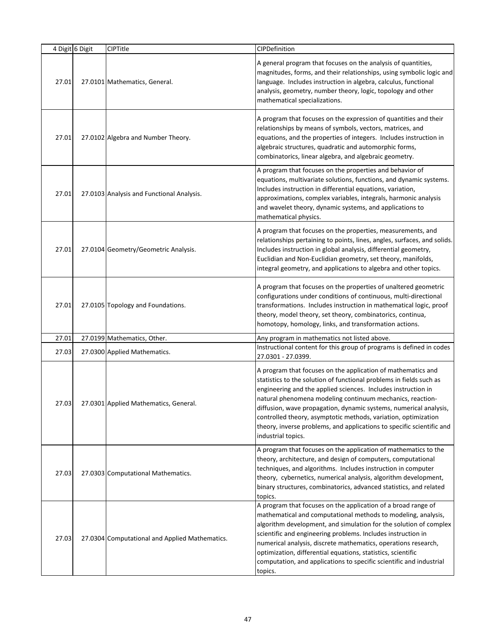|       | 4 Digit 6 Digit | <b>CIPTitle</b>                                | CIPDefinition                                                                                                                                                                                                                                                                                                                                                                                                                                                                                           |
|-------|-----------------|------------------------------------------------|---------------------------------------------------------------------------------------------------------------------------------------------------------------------------------------------------------------------------------------------------------------------------------------------------------------------------------------------------------------------------------------------------------------------------------------------------------------------------------------------------------|
| 27.01 |                 | 27.0101 Mathematics, General.                  | A general program that focuses on the analysis of quantities,<br>magnitudes, forms, and their relationships, using symbolic logic and<br>language. Includes instruction in algebra, calculus, functional<br>analysis, geometry, number theory, logic, topology and other<br>mathematical specializations.                                                                                                                                                                                               |
| 27.01 |                 | 27.0102 Algebra and Number Theory.             | A program that focuses on the expression of quantities and their<br>relationships by means of symbols, vectors, matrices, and<br>equations, and the properties of integers. Includes instruction in<br>algebraic structures, quadratic and automorphic forms,<br>combinatorics, linear algebra, and algebraic geometry.                                                                                                                                                                                 |
| 27.01 |                 | 27.0103 Analysis and Functional Analysis.      | A program that focuses on the properties and behavior of<br>equations, multivariate solutions, functions, and dynamic systems.<br>Includes instruction in differential equations, variation,<br>approximations, complex variables, integrals, harmonic analysis<br>and wavelet theory, dynamic systems, and applications to<br>mathematical physics.                                                                                                                                                    |
| 27.01 |                 | 27.0104 Geometry/Geometric Analysis.           | A program that focuses on the properties, measurements, and<br>relationships pertaining to points, lines, angles, surfaces, and solids.<br>Includes instruction in global analysis, differential geometry,<br>Euclidian and Non-Euclidian geometry, set theory, manifolds,<br>integral geometry, and applications to algebra and other topics.                                                                                                                                                          |
| 27.01 |                 | 27.0105 Topology and Foundations.              | A program that focuses on the properties of unaltered geometric<br>configurations under conditions of continuous, multi-directional<br>transformations. Includes instruction in mathematical logic, proof<br>theory, model theory, set theory, combinatorics, continua,<br>homotopy, homology, links, and transformation actions.                                                                                                                                                                       |
| 27.01 |                 | 27.0199 Mathematics, Other.                    | Any program in mathematics not listed above.                                                                                                                                                                                                                                                                                                                                                                                                                                                            |
| 27.03 |                 | 27.0300 Applied Mathematics.                   | Instructional content for this group of programs is defined in codes<br>27.0301 - 27.0399.                                                                                                                                                                                                                                                                                                                                                                                                              |
| 27.03 |                 | 27.0301 Applied Mathematics, General.          | A program that focuses on the application of mathematics and<br>statistics to the solution of functional problems in fields such as<br>engineering and the applied sciences. Includes instruction in<br>natural phenomena modeling continuum mechanics, reaction-<br>diffusion, wave propagation, dynamic systems, numerical analysis,<br>controlled theory, asymptotic methods, variation, optimization<br>theory, inverse problems, and applications to specific scientific and<br>industrial topics. |
| 27.03 |                 | 27.0303 Computational Mathematics.             | A program that focuses on the application of mathematics to the<br>theory, architecture, and design of computers, computational<br>techniques, and algorithms. Includes instruction in computer<br>theory, cybernetics, numerical analysis, algorithm development,<br>binary structures, combinatorics, advanced statistics, and related<br>topics.                                                                                                                                                     |
| 27.03 |                 | 27.0304 Computational and Applied Mathematics. | A program that focuses on the application of a broad range of<br>mathematical and computational methods to modeling, analysis,<br>algorithm development, and simulation for the solution of complex<br>scientific and engineering problems. Includes instruction in<br>numerical analysis, discrete mathematics, operations research,<br>optimization, differential equations, statistics, scientific<br>computation, and applications to specific scientific and industrial<br>topics.                 |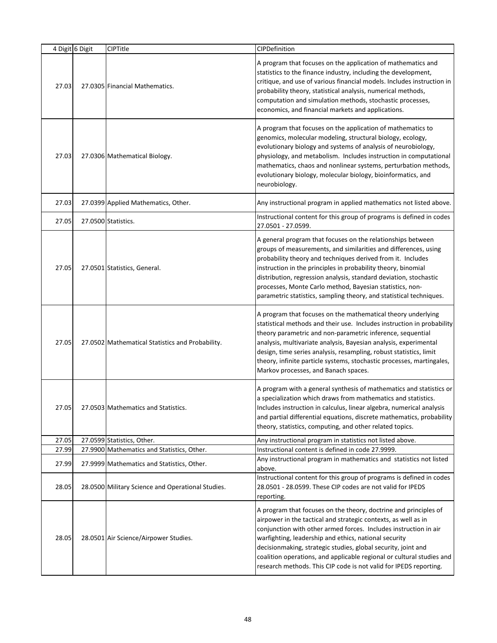|       | 4 Digit 6 Digit | CIPTitle                                          | CIPDefinition                                                                                                                                                                                                                                                                                                                                                                                                                                                                  |
|-------|-----------------|---------------------------------------------------|--------------------------------------------------------------------------------------------------------------------------------------------------------------------------------------------------------------------------------------------------------------------------------------------------------------------------------------------------------------------------------------------------------------------------------------------------------------------------------|
| 27.03 |                 | 27.0305 Financial Mathematics.                    | A program that focuses on the application of mathematics and<br>statistics to the finance industry, including the development,<br>critique, and use of various financial models. Includes instruction in<br>probability theory, statistical analysis, numerical methods,<br>computation and simulation methods, stochastic processes,<br>economics, and financial markets and applications.                                                                                    |
| 27.03 |                 | 27.0306 Mathematical Biology.                     | A program that focuses on the application of mathematics to<br>genomics, molecular modeling, structural biology, ecology,<br>evolutionary biology and systems of analysis of neurobiology,<br>physiology, and metabolism. Includes instruction in computational<br>mathematics, chaos and nonlinear systems, perturbation methods,<br>evolutionary biology, molecular biology, bioinformatics, and<br>neurobiology.                                                            |
| 27.03 |                 | 27.0399 Applied Mathematics, Other.               | Any instructional program in applied mathematics not listed above.                                                                                                                                                                                                                                                                                                                                                                                                             |
| 27.05 |                 | 27.0500 Statistics.                               | Instructional content for this group of programs is defined in codes<br>27.0501 - 27.0599.                                                                                                                                                                                                                                                                                                                                                                                     |
| 27.05 |                 | 27.0501 Statistics, General.                      | A general program that focuses on the relationships between<br>groups of measurements, and similarities and differences, using<br>probability theory and techniques derived from it. Includes<br>instruction in the principles in probability theory, binomial<br>distribution, regression analysis, standard deviation, stochastic<br>processes, Monte Carlo method, Bayesian statistics, non-<br>parametric statistics, sampling theory, and statistical techniques.         |
| 27.05 |                 | 27.0502 Mathematical Statistics and Probability.  | A program that focuses on the mathematical theory underlying<br>statistical methods and their use. Includes instruction in probability<br>theory parametric and non-parametric inference, sequential<br>analysis, multivariate analysis, Bayesian analysis, experimental<br>design, time series analysis, resampling, robust statistics, limit<br>theory, infinite particle systems, stochastic processes, martingales,<br>Markov processes, and Banach spaces.                |
| 27.05 |                 | 27.0503 Mathematics and Statistics.               | A program with a general synthesis of mathematics and statistics or<br>a specialization which draws from mathematics and statistics.<br>Includes instruction in calculus, linear algebra, numerical analysis<br>and partial differential equations, discrete mathematics, probability<br>theory, statistics, computing, and other related topics.                                                                                                                              |
| 27.05 |                 | 27.0599 Statistics, Other.                        | Any instructional program in statistics not listed above.                                                                                                                                                                                                                                                                                                                                                                                                                      |
| 27.99 |                 | 27.9900 Mathematics and Statistics, Other.        | Instructional content is defined in code 27.9999.                                                                                                                                                                                                                                                                                                                                                                                                                              |
| 27.99 |                 | 27.9999 Mathematics and Statistics, Other.        | Any instructional program in mathematics and statistics not listed<br>above.                                                                                                                                                                                                                                                                                                                                                                                                   |
| 28.05 |                 | 28.0500 Military Science and Operational Studies. | Instructional content for this group of programs is defined in codes<br>28.0501 - 28.0599. These CIP codes are not valid for IPEDS<br>reporting.                                                                                                                                                                                                                                                                                                                               |
| 28.05 |                 | 28.0501 Air Science/Airpower Studies.             | A program that focuses on the theory, doctrine and principles of<br>airpower in the tactical and strategic contexts, as well as in<br>conjunction with other armed forces. Includes instruction in air<br>warfighting, leadership and ethics, national security<br>decisionmaking, strategic studies, global security, joint and<br>coalition operations, and applicable regional or cultural studies and<br>research methods. This CIP code is not valid for IPEDS reporting. |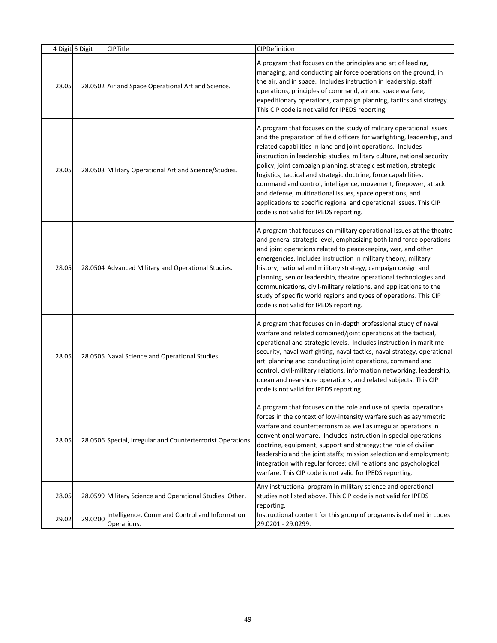|       | 4 Digit 6 Digit | CIPTitle                                                     | CIPDefinition                                                                                                                                                                                                                                                                                                                                                                                                                                                                                                                                                                                                                                                              |
|-------|-----------------|--------------------------------------------------------------|----------------------------------------------------------------------------------------------------------------------------------------------------------------------------------------------------------------------------------------------------------------------------------------------------------------------------------------------------------------------------------------------------------------------------------------------------------------------------------------------------------------------------------------------------------------------------------------------------------------------------------------------------------------------------|
| 28.05 |                 | 28.0502 Air and Space Operational Art and Science.           | A program that focuses on the principles and art of leading,<br>managing, and conducting air force operations on the ground, in<br>the air, and in space. Includes instruction in leadership, staff<br>operations, principles of command, air and space warfare,<br>expeditionary operations, campaign planning, tactics and strategy.<br>This CIP code is not valid for IPEDS reporting.                                                                                                                                                                                                                                                                                  |
| 28.05 |                 | 28.0503 Military Operational Art and Science/Studies.        | A program that focuses on the study of military operational issues<br>and the preparation of field officers for warfighting, leadership, and<br>related capabilities in land and joint operations. Includes<br>instruction in leadership studies, military culture, national security<br>policy, joint campaign planning, strategic estimation, strategic<br>logistics, tactical and strategic doctrine, force capabilities,<br>command and control, intelligence, movement, firepower, attack<br>and defense, multinational issues, space operations, and<br>applications to specific regional and operational issues. This CIP<br>code is not valid for IPEDS reporting. |
| 28.05 |                 | 28.0504 Advanced Military and Operational Studies.           | A program that focuses on military operational issues at the theatre<br>and general strategic level, emphasizing both land force operations<br>and joint operations related to peacekeeping, war, and other<br>emergencies. Includes instruction in military theory, military<br>history, national and military strategy, campaign design and<br>planning, senior leadership, theatre operational technologies and<br>communications, civil-military relations, and applications to the<br>study of specific world regions and types of operations. This CIP<br>code is not valid for IPEDS reporting.                                                                     |
| 28.05 |                 | 28.0505 Naval Science and Operational Studies.               | A program that focuses on in-depth professional study of naval<br>warfare and related combined/joint operations at the tactical,<br>operational and strategic levels. Includes instruction in maritime<br>security, naval warfighting, naval tactics, naval strategy, operational<br>art, planning and conducting joint operations, command and<br>control, civil-military relations, information networking, leadership,<br>ocean and nearshore operations, and related subjects. This CIP<br>code is not valid for IPEDS reporting.                                                                                                                                      |
| 28.05 |                 | 28.0506 Special, Irregular and Counterterrorist Operations.  | A program that focuses on the role and use of special operations<br>forces in the context of low-intensity warfare such as asymmetric<br>warfare and counterterrorism as well as irregular operations in<br>conventional warfare. Includes instruction in special operations<br>doctrine, equipment, support and strategy; the role of civilian<br>leadership and the joint staffs; mission selection and employment;<br>integration with regular forces; civil relations and psychological<br>warfare. This CIP code is not valid for IPEDS reporting.                                                                                                                    |
| 28.05 |                 | 28.0599 Military Science and Operational Studies, Other.     | Any instructional program in military science and operational<br>studies not listed above. This CIP code is not valid for IPEDS<br>reporting.                                                                                                                                                                                                                                                                                                                                                                                                                                                                                                                              |
| 29.02 | 29.0200         | Intelligence, Command Control and Information<br>Operations. | Instructional content for this group of programs is defined in codes<br>29.0201 - 29.0299.                                                                                                                                                                                                                                                                                                                                                                                                                                                                                                                                                                                 |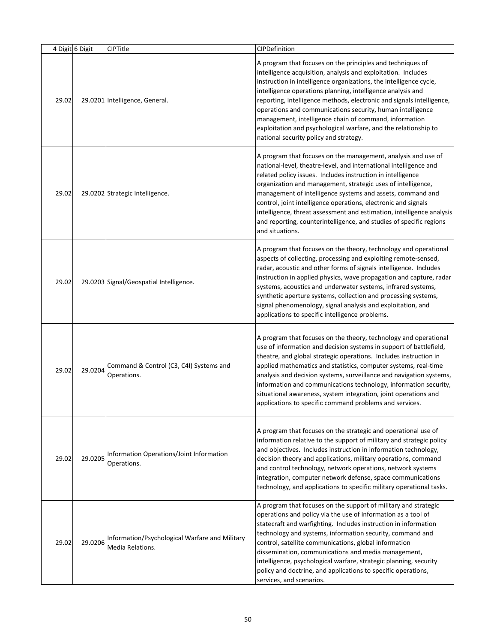| 4 Digit 6 Digit |         | CIPTitle                                                           | CIPDefinition                                                                                                                                                                                                                                                                                                                                                                                                                                                                                                                                                                  |
|-----------------|---------|--------------------------------------------------------------------|--------------------------------------------------------------------------------------------------------------------------------------------------------------------------------------------------------------------------------------------------------------------------------------------------------------------------------------------------------------------------------------------------------------------------------------------------------------------------------------------------------------------------------------------------------------------------------|
| 29.02           |         | 29.0201 Intelligence, General.                                     | A program that focuses on the principles and techniques of<br>intelligence acquisition, analysis and exploitation. Includes<br>instruction in intelligence organizations, the intelligence cycle,<br>intelligence operations planning, intelligence analysis and<br>reporting, intelligence methods, electronic and signals intelligence,<br>operations and communications security, human intelligence<br>management, intelligence chain of command, information<br>exploitation and psychological warfare, and the relationship to<br>national security policy and strategy. |
| 29.02           |         | 29.0202 Strategic Intelligence.                                    | A program that focuses on the management, analysis and use of<br>national-level, theatre-level, and international intelligence and<br>related policy issues. Includes instruction in intelligence<br>organization and management, strategic uses of intelligence,<br>management of intelligence systems and assets, command and<br>control, joint intelligence operations, electronic and signals<br>intelligence, threat assessment and estimation, intelligence analysis<br>and reporting, counterintelligence, and studies of specific regions<br>and situations.           |
| 29.02           |         | 29.0203 Signal/Geospatial Intelligence.                            | A program that focuses on the theory, technology and operational<br>aspects of collecting, processing and exploiting remote-sensed,<br>radar, acoustic and other forms of signals intelligence. Includes<br>instruction in applied physics, wave propagation and capture, radar<br>systems, acoustics and underwater systems, infrared systems,<br>synthetic aperture systems, collection and processing systems,<br>signal phenomenology, signal analysis and exploitation, and<br>applications to specific intelligence problems.                                            |
| 29.02           | 29.0204 | Command & Control (C3, C4I) Systems and<br>Operations.             | A program that focuses on the theory, technology and operational<br>use of information and decision systems in support of battlefield,<br>theatre, and global strategic operations. Includes instruction in<br>applied mathematics and statistics, computer systems, real-time<br>analysis and decision systems, surveillance and navigation systems,<br>information and communications technology, information security,<br>situational awareness, system integration, joint operations and<br>applications to specific command problems and services.                        |
| 29.02           | 29.0205 | Information Operations/Joint Information<br>Operations.            | A program that focuses on the strategic and operational use of<br>information relative to the support of military and strategic policy<br>and objectives. Includes instruction in information technology,<br>decision theory and applications, military operations, command<br>and control technology, network operations, network systems<br>integration, computer network defense, space communications<br>technology, and applications to specific military operational tasks.                                                                                              |
| 29.02           | 29.0206 | Information/Psychological Warfare and Military<br>Media Relations. | A program that focuses on the support of military and strategic<br>operations and policy via the use of information as a tool of<br>statecraft and warfighting. Includes instruction in information<br>technology and systems, information security, command and<br>control, satellite communications, global information<br>dissemination, communications and media management,<br>intelligence, psychological warfare, strategic planning, security<br>policy and doctrine, and applications to specific operations,<br>services, and scenarios.                             |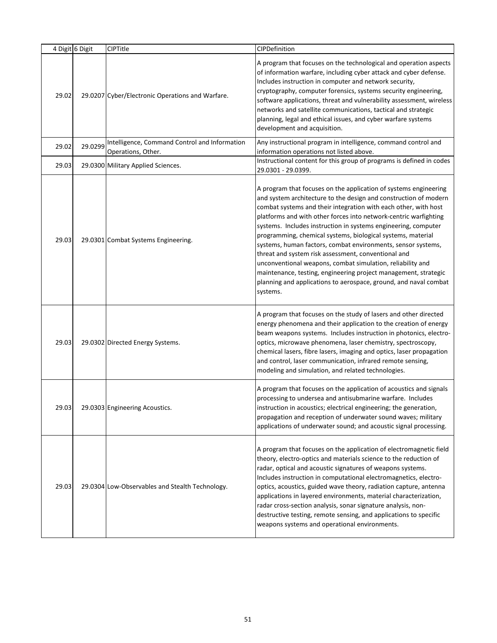|       | 4 Digit 6 Digit | <b>CIPTitle</b>                                                     | CIPDefinition                                                                                                                                                                                                                                                                                                                                                                                                                                                                                                                                                                                                                                                                                                                                        |
|-------|-----------------|---------------------------------------------------------------------|------------------------------------------------------------------------------------------------------------------------------------------------------------------------------------------------------------------------------------------------------------------------------------------------------------------------------------------------------------------------------------------------------------------------------------------------------------------------------------------------------------------------------------------------------------------------------------------------------------------------------------------------------------------------------------------------------------------------------------------------------|
| 29.02 |                 | 29.0207 Cyber/Electronic Operations and Warfare.                    | A program that focuses on the technological and operation aspects<br>of information warfare, including cyber attack and cyber defense.<br>Includes instruction in computer and network security,<br>cryptography, computer forensics, systems security engineering,<br>software applications, threat and vulnerability assessment, wireless<br>networks and satellite communications, tactical and strategic<br>planning, legal and ethical issues, and cyber warfare systems<br>development and acquisition.                                                                                                                                                                                                                                        |
| 29.02 | 29.0299         | Intelligence, Command Control and Information<br>Operations, Other. | Any instructional program in intelligence, command control and<br>information operations not listed above.                                                                                                                                                                                                                                                                                                                                                                                                                                                                                                                                                                                                                                           |
| 29.03 |                 | 29.0300 Military Applied Sciences.                                  | Instructional content for this group of programs is defined in codes<br>29.0301 - 29.0399.                                                                                                                                                                                                                                                                                                                                                                                                                                                                                                                                                                                                                                                           |
| 29.03 |                 | 29.0301 Combat Systems Engineering.                                 | A program that focuses on the application of systems engineering<br>and system architecture to the design and construction of modern<br>combat systems and their integration with each other, with host<br>platforms and with other forces into network-centric warfighting<br>systems. Includes instruction in systems engineering, computer<br>programming, chemical systems, biological systems, material<br>systems, human factors, combat environments, sensor systems,<br>threat and system risk assessment, conventional and<br>unconventional weapons, combat simulation, reliability and<br>maintenance, testing, engineering project management, strategic<br>planning and applications to aerospace, ground, and naval combat<br>systems. |
| 29.03 |                 | 29.0302 Directed Energy Systems.                                    | A program that focuses on the study of lasers and other directed<br>energy phenomena and their application to the creation of energy<br>beam weapons systems. Includes instruction in photonics, electro-<br>optics, microwave phenomena, laser chemistry, spectroscopy,<br>chemical lasers, fibre lasers, imaging and optics, laser propagation<br>and control, laser communication, infrared remote sensing,<br>modeling and simulation, and related technologies.                                                                                                                                                                                                                                                                                 |
| 29.03 |                 | 29.0303 Engineering Acoustics.                                      | A program that focuses on the application of acoustics and signals<br>processing to undersea and antisubmarine warfare. Includes<br>instruction in acoustics; electrical engineering; the generation,<br>propagation and reception of underwater sound waves; military<br>applications of underwater sound; and acoustic signal processing.                                                                                                                                                                                                                                                                                                                                                                                                          |
| 29.03 |                 | 29.0304 Low-Observables and Stealth Technology.                     | A program that focuses on the application of electromagnetic field<br>theory, electro-optics and materials science to the reduction of<br>radar, optical and acoustic signatures of weapons systems.<br>Includes instruction in computational electromagnetics, electro-<br>optics, acoustics, guided wave theory, radiation capture, antenna<br>applications in layered environments, material characterization,<br>radar cross-section analysis, sonar signature analysis, non-<br>destructive testing, remote sensing, and applications to specific<br>weapons systems and operational environments.                                                                                                                                              |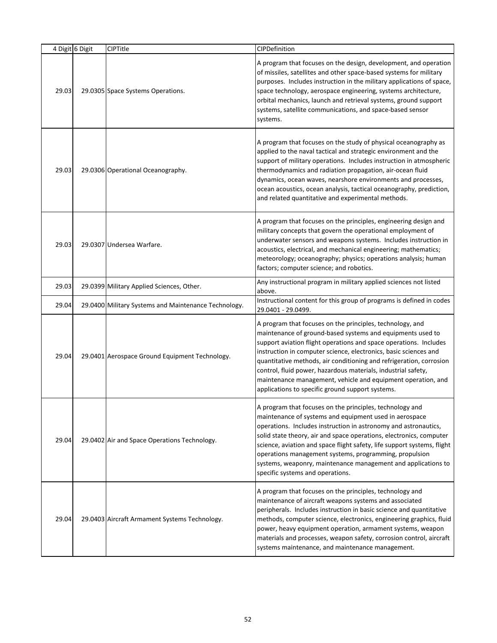|       | 4 Digit 6 Digit | <b>CIPTitle</b>                                      | CIPDefinition                                                                                                                                                                                                                                                                                                                                                                                                                                                                                                                |
|-------|-----------------|------------------------------------------------------|------------------------------------------------------------------------------------------------------------------------------------------------------------------------------------------------------------------------------------------------------------------------------------------------------------------------------------------------------------------------------------------------------------------------------------------------------------------------------------------------------------------------------|
| 29.03 |                 | 29.0305 Space Systems Operations.                    | A program that focuses on the design, development, and operation<br>of missiles, satellites and other space-based systems for military<br>purposes. Includes instruction in the military applications of space,<br>space technology, aerospace engineering, systems architecture,<br>orbital mechanics, launch and retrieval systems, ground support<br>systems, satellite communications, and space-based sensor<br>systems.                                                                                                |
| 29.03 |                 | 29.0306 Operational Oceanography.                    | A program that focuses on the study of physical oceanography as<br>applied to the naval tactical and strategic environment and the<br>support of military operations. Includes instruction in atmospheric<br>thermodynamics and radiation propagation, air-ocean fluid<br>dynamics, ocean waves, nearshore environments and processes,<br>ocean acoustics, ocean analysis, tactical oceanography, prediction,<br>and related quantitative and experimental methods.                                                          |
| 29.03 |                 | 29.0307 Undersea Warfare.                            | A program that focuses on the principles, engineering design and<br>military concepts that govern the operational employment of<br>underwater sensors and weapons systems. Includes instruction in<br>acoustics, electrical, and mechanical engineering; mathematics;<br>meteorology; oceanography; physics; operations analysis; human<br>factors; computer science; and robotics.                                                                                                                                          |
| 29.03 |                 | 29.0399 Military Applied Sciences, Other.            | Any instructional program in military applied sciences not listed<br>above.                                                                                                                                                                                                                                                                                                                                                                                                                                                  |
| 29.04 |                 | 29.0400 Military Systems and Maintenance Technology. | Instructional content for this group of programs is defined in codes<br>29.0401 - 29.0499.                                                                                                                                                                                                                                                                                                                                                                                                                                   |
| 29.04 |                 | 29.0401 Aerospace Ground Equipment Technology.       | A program that focuses on the principles, technology, and<br>maintenance of ground-based systems and equipments used to<br>support aviation flight operations and space operations. Includes<br>instruction in computer science, electronics, basic sciences and<br>quantitative methods, air conditioning and refrigeration, corrosion<br>control, fluid power, hazardous materials, industrial safety,<br>maintenance management, vehicle and equipment operation, and<br>applications to specific ground support systems. |
| 29.04 |                 | 29.0402 Air and Space Operations Technology.         | A program that focuses on the principles, technology and<br>maintenance of systems and equipment used in aerospace<br>operations. Includes instruction in astronomy and astronautics,<br>solid state theory, air and space operations, electronics, computer<br>science, aviation and space flight safety, life support systems, flight<br>operations management systems, programming, propulsion<br>systems, weaponry, maintenance management and applications to<br>specific systems and operations.                       |
| 29.04 |                 | 29.0403 Aircraft Armament Systems Technology.        | A program that focuses on the principles, technology and<br>maintenance of aircraft weapons systems and associated<br>peripherals. Includes instruction in basic science and quantitative<br>methods, computer science, electronics, engineering graphics, fluid<br>power, heavy equipment operation, armament systems, weapon<br>materials and processes, weapon safety, corrosion control, aircraft<br>systems maintenance, and maintenance management.                                                                    |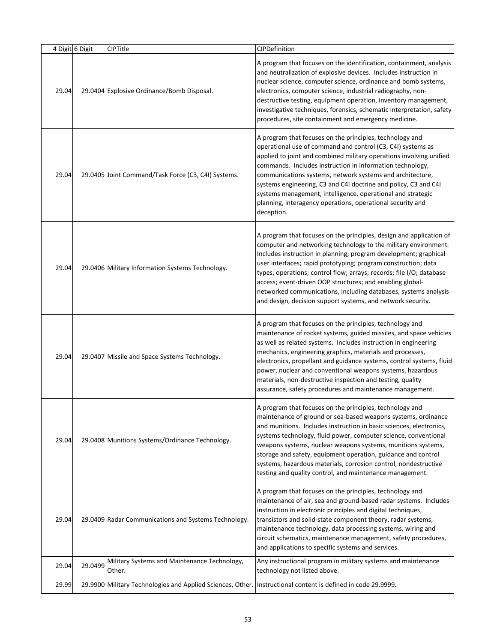|       | 4 Digit 6 Digit | <b>CIPTitle</b>                                                                                                | CIPDefinition                                                                                                                                                                                                                                                                                                                                                                                                                                                                                                                                       |
|-------|-----------------|----------------------------------------------------------------------------------------------------------------|-----------------------------------------------------------------------------------------------------------------------------------------------------------------------------------------------------------------------------------------------------------------------------------------------------------------------------------------------------------------------------------------------------------------------------------------------------------------------------------------------------------------------------------------------------|
| 29.04 |                 | 29.0404 Explosive Ordinance/Bomb Disposal.                                                                     | A program that focuses on the identification, containment, analysis<br>and neutralization of explosive devices. Includes instruction in<br>nuclear science, computer science, ordinance and bomb systems,<br>electronics, computer science, industrial radiography, non-<br>destructive testing, equipment operation, inventory management,<br>investigative techniques, forensics, schematic interpretation, safety<br>procedures, site containment and emergency medicine.                                                                        |
| 29.04 |                 | 29.0405 Joint Command/Task Force (C3, C4I) Systems.                                                            | A program that focuses on the principles, technology and<br>operational use of command and control (C3, C4I) systems as<br>applied to joint and combined military operations involving unified<br>commands. Includes instruction in information technology,<br>communications systems, network systems and architecture,<br>systems engineering, C3 and C4I doctrine and policy, C3 and C4I<br>systems management, intelligence, operational and strategic<br>planning, interagency operations, operational security and<br>deception.              |
| 29.04 |                 | 29.0406 Military Information Systems Technology.                                                               | A program that focuses on the principles, design and application of<br>computer and networking technology to the military environment.<br>Includes instruction in planning; program development; graphical<br>user interfaces; rapid prototyping; program construction; data<br>types, operations; control flow; arrays; records; file I/O; database<br>access; event-driven OOP structures; and enabling global-<br>networked communications, including databases, systems analysis<br>and design, decision support systems, and network security. |
| 29.04 |                 | 29.0407 Missile and Space Systems Technology.                                                                  | A program that focuses on the principles, technology and<br>maintenance of rocket systems, guided missiles, and space vehicles<br>as well as related systems. Includes instruction in engineering<br>mechanics, engineering graphics, materials and processes,<br>electronics, propellant and guidance systems, control systems, fluid<br>power, nuclear and conventional weapons systems, hazardous<br>materials, non-destructive inspection and testing, quality<br>assurance, safety procedures and maintenance management.                      |
| 29.04 |                 | 29.0408 Munitions Systems/Ordinance Technology.                                                                | A program that focuses on the principles, technology and<br>maintenance of ground or sea-based weapons systems, ordinance<br>and munitions. Includes instruction in basic sciences, electronics,<br>systems technology, fluid power, computer science, conventional<br>weapons systems, nuclear weapons systems, munitions systems,<br>storage and safety, equipment operation, guidance and control<br>systems, hazardous materials, corrosion control, nondestructive<br>testing and quality control, and maintenance management.                 |
| 29.04 |                 | 29.0409 Radar Communications and Systems Technology.                                                           | A program that focuses on the principles, technology and<br>maintenance of air, sea and ground-based radar systems. Includes<br>instruction in electronic principles and digital techniques,<br>transistors and solid-state component theory, radar systems;<br>maintenance technology, data processing systems, wiring and<br>circuit schematics, maintenance management, safety procedures,<br>and applications to specific systems and services.                                                                                                 |
| 29.04 | 29.0499         | Military Systems and Maintenance Technology,<br>Other.                                                         | Any instructional program in military systems and maintenance<br>technology not listed above.                                                                                                                                                                                                                                                                                                                                                                                                                                                       |
| 29.99 |                 | 29.9900 Military Technologies and Applied Sciences, Other.   Instructional content is defined in code 29.9999. |                                                                                                                                                                                                                                                                                                                                                                                                                                                                                                                                                     |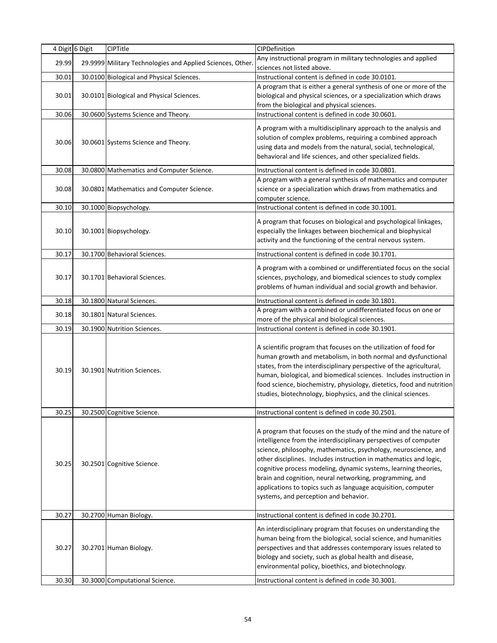|       | 4 Digit 6 Digit | <b>CIPTitle</b>                                            | CIPDefinition                                                                                                                                                                                                                                                                                                                                                                                                                                                                                                          |
|-------|-----------------|------------------------------------------------------------|------------------------------------------------------------------------------------------------------------------------------------------------------------------------------------------------------------------------------------------------------------------------------------------------------------------------------------------------------------------------------------------------------------------------------------------------------------------------------------------------------------------------|
| 29.99 |                 | 29.9999 Military Technologies and Applied Sciences, Other. | Any instructional program in military technologies and applied<br>sciences not listed above.                                                                                                                                                                                                                                                                                                                                                                                                                           |
| 30.01 |                 | 30.0100 Biological and Physical Sciences.                  | Instructional content is defined in code 30.0101.                                                                                                                                                                                                                                                                                                                                                                                                                                                                      |
| 30.01 |                 | 30.0101 Biological and Physical Sciences.                  | A program that is either a general synthesis of one or more of the<br>biological and physical sciences, or a specialization which draws<br>from the biological and physical sciences.                                                                                                                                                                                                                                                                                                                                  |
| 30.06 |                 | 30.0600 Systems Science and Theory.                        | Instructional content is defined in code 30.0601.                                                                                                                                                                                                                                                                                                                                                                                                                                                                      |
| 30.06 |                 | 30.0601 Systems Science and Theory.                        | A program with a multidisciplinary approach to the analysis and<br>solution of complex problems, requiring a combined approach<br>using data and models from the natural, social, technological,<br>behavioral and life sciences, and other specialized fields.                                                                                                                                                                                                                                                        |
| 30.08 |                 | 30.0800 Mathematics and Computer Science.                  | Instructional content is defined in code 30.0801.                                                                                                                                                                                                                                                                                                                                                                                                                                                                      |
| 30.08 |                 | 30.0801 Mathematics and Computer Science.                  | A program with a general synthesis of mathematics and computer<br>science or a specialization which draws from mathematics and<br>computer science.                                                                                                                                                                                                                                                                                                                                                                    |
| 30.10 |                 | 30.1000 Biopsychology.                                     | Instructional content is defined in code 30.1001.                                                                                                                                                                                                                                                                                                                                                                                                                                                                      |
| 30.10 |                 | 30.1001 Biopsychology.                                     | A program that focuses on biological and psychological linkages,<br>especially the linkages between biochemical and biophysical<br>activity and the functioning of the central nervous system.                                                                                                                                                                                                                                                                                                                         |
| 30.17 |                 | 30.1700 Behavioral Sciences.                               | Instructional content is defined in code 30.1701.                                                                                                                                                                                                                                                                                                                                                                                                                                                                      |
| 30.17 |                 | 30.1701 Behavioral Sciences.                               | A program with a combined or undifferentiated focus on the social<br>sciences, psychology, and biomedical sciences to study complex<br>problems of human individual and social growth and behavior.                                                                                                                                                                                                                                                                                                                    |
| 30.18 |                 | 30.1800 Natural Sciences.                                  | Instructional content is defined in code 30.1801.                                                                                                                                                                                                                                                                                                                                                                                                                                                                      |
| 30.18 |                 | 30.1801 Natural Sciences.                                  | A program with a combined or undifferentiated focus on one or<br>more of the physical and biological sciences.                                                                                                                                                                                                                                                                                                                                                                                                         |
| 30.19 |                 | 30.1900 Nutrition Sciences.                                | Instructional content is defined in code 30.1901.                                                                                                                                                                                                                                                                                                                                                                                                                                                                      |
| 30.19 |                 | 30.1901 Nutrition Sciences.                                | A scientific program that focuses on the utilization of food for<br>human growth and metabolism, in both normal and dysfunctional<br>states, from the interdisciplinary perspective of the agricultural,<br>human, biological, and biomedical sciences. Includes instruction in<br>food science, biochemistry, physiology, dietetics, food and nutrition<br>studies, biotechnology, biophysics, and the clinical sciences.                                                                                             |
| 30.25 |                 | 30.2500 Cognitive Science.                                 | Instructional content is defined in code 30.2501.                                                                                                                                                                                                                                                                                                                                                                                                                                                                      |
| 30.25 |                 | 30.2501 Cognitive Science.                                 | A program that focuses on the study of the mind and the nature of<br>intelligence from the interdisciplinary perspectives of computer<br>science, philosophy, mathematics, psychology, neuroscience, and<br>other disciplines. Includes instruction in mathematics and logic,<br>cognitive process modeling, dynamic systems, learning theories,<br>brain and cognition, neural networking, programming, and<br>applications to topics such as language acquisition, computer<br>systems, and perception and behavior. |
| 30.27 |                 | 30.2700 Human Biology.                                     | Instructional content is defined in code 30.2701.                                                                                                                                                                                                                                                                                                                                                                                                                                                                      |
| 30.27 |                 | 30.2701 Human Biology.                                     | An interdisciplinary program that focuses on understanding the<br>human being from the biological, social science, and humanities<br>perspectives and that addresses contemporary issues related to<br>biology and society, such as global health and disease,<br>environmental policy, bioethics, and biotechnology.                                                                                                                                                                                                  |
| 30.30 |                 | 30.3000 Computational Science.                             | Instructional content is defined in code 30.3001.                                                                                                                                                                                                                                                                                                                                                                                                                                                                      |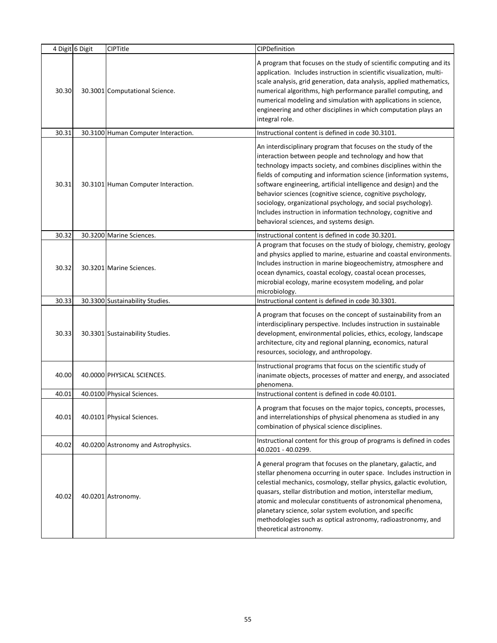|       | 4 Digit 6 Digit | <b>CIPTitle</b>                     | CIPDefinition                                                                                                                                                                                                                                                                                                                                                                                                                                                                                                                                                                     |
|-------|-----------------|-------------------------------------|-----------------------------------------------------------------------------------------------------------------------------------------------------------------------------------------------------------------------------------------------------------------------------------------------------------------------------------------------------------------------------------------------------------------------------------------------------------------------------------------------------------------------------------------------------------------------------------|
| 30.30 |                 | 30.3001 Computational Science.      | A program that focuses on the study of scientific computing and its<br>application. Includes instruction in scientific visualization, multi-<br>scale analysis, grid generation, data analysis, applied mathematics,<br>numerical algorithms, high performance parallel computing, and<br>numerical modeling and simulation with applications in science,<br>engineering and other disciplines in which computation plays an<br>integral role.                                                                                                                                    |
| 30.31 |                 | 30.3100 Human Computer Interaction. | Instructional content is defined in code 30.3101.                                                                                                                                                                                                                                                                                                                                                                                                                                                                                                                                 |
| 30.31 |                 | 30.3101 Human Computer Interaction. | An interdisciplinary program that focuses on the study of the<br>interaction between people and technology and how that<br>technology impacts society, and combines disciplines within the<br>fields of computing and information science (information systems,<br>software engineering, artificial intelligence and design) and the<br>behavior sciences (cognitive science, cognitive psychology,<br>sociology, organizational psychology, and social psychology).<br>Includes instruction in information technology, cognitive and<br>behavioral sciences, and systems design. |
| 30.32 |                 | 30.3200 Marine Sciences.            | Instructional content is defined in code 30.3201.                                                                                                                                                                                                                                                                                                                                                                                                                                                                                                                                 |
| 30.32 |                 | 30.3201 Marine Sciences.            | A program that focuses on the study of biology, chemistry, geology<br>and physics applied to marine, estuarine and coastal environments.<br>Includes instruction in marine biogeochemistry, atmosphere and<br>ocean dynamics, coastal ecology, coastal ocean processes,<br>microbial ecology, marine ecosystem modeling, and polar<br>microbiology.                                                                                                                                                                                                                               |
| 30.33 |                 | 30.3300 Sustainability Studies.     | Instructional content is defined in code 30.3301.                                                                                                                                                                                                                                                                                                                                                                                                                                                                                                                                 |
| 30.33 |                 | 30.3301 Sustainability Studies.     | A program that focuses on the concept of sustainability from an<br>interdisciplinary perspective. Includes instruction in sustainable<br>development, environmental policies, ethics, ecology, landscape<br>architecture, city and regional planning, economics, natural<br>resources, sociology, and anthropology.                                                                                                                                                                                                                                                               |
| 40.00 |                 | 40.0000 PHYSICAL SCIENCES.          | Instructional programs that focus on the scientific study of<br>inanimate objects, processes of matter and energy, and associated<br>phenomena.                                                                                                                                                                                                                                                                                                                                                                                                                                   |
| 40.01 |                 | 40.0100 Physical Sciences.          | Instructional content is defined in code 40.0101.                                                                                                                                                                                                                                                                                                                                                                                                                                                                                                                                 |
| 40.01 |                 | 40.0101 Physical Sciences.          | A program that focuses on the major topics, concepts, processes,<br>and interrelationships of physical phenomena as studied in any<br>combination of physical science disciplines.                                                                                                                                                                                                                                                                                                                                                                                                |
| 40.02 |                 | 40.0200 Astronomy and Astrophysics. | Instructional content for this group of programs is defined in codes<br>40.0201 - 40.0299.                                                                                                                                                                                                                                                                                                                                                                                                                                                                                        |
| 40.02 |                 | 40.0201 Astronomy.                  | A general program that focuses on the planetary, galactic, and<br>stellar phenomena occurring in outer space. Includes instruction in<br>celestial mechanics, cosmology, stellar physics, galactic evolution,<br>quasars, stellar distribution and motion, interstellar medium,<br>atomic and molecular constituents of astronomical phenomena,<br>planetary science, solar system evolution, and specific<br>methodologies such as optical astronomy, radioastronomy, and<br>theoretical astronomy.                                                                              |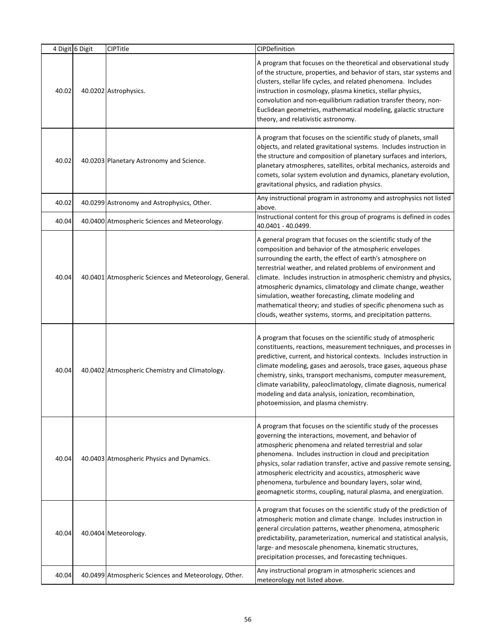|       | 4 Digit 6 Digit | <b>CIPTitle</b>                                        | CIPDefinition                                                                                                                                                                                                                                                                                                                                                                                                                                                                                                                                                                           |
|-------|-----------------|--------------------------------------------------------|-----------------------------------------------------------------------------------------------------------------------------------------------------------------------------------------------------------------------------------------------------------------------------------------------------------------------------------------------------------------------------------------------------------------------------------------------------------------------------------------------------------------------------------------------------------------------------------------|
| 40.02 |                 | 40.0202 Astrophysics.                                  | A program that focuses on the theoretical and observational study<br>of the structure, properties, and behavior of stars, star systems and<br>clusters, stellar life cycles, and related phenomena. Includes<br>instruction in cosmology, plasma kinetics, stellar physics,<br>convolution and non-equilibrium radiation transfer theory, non-<br>Euclidean geometries, mathematical modeling, galactic structure<br>theory, and relativistic astronomy.                                                                                                                                |
| 40.02 |                 | 40.0203 Planetary Astronomy and Science.               | A program that focuses on the scientific study of planets, small<br>objects, and related gravitational systems. Includes instruction in<br>the structure and composition of planetary surfaces and interiors,<br>planetary atmospheres, satellites, orbital mechanics, asteroids and<br>comets, solar system evolution and dynamics, planetary evolution,<br>gravitational physics, and radiation physics.                                                                                                                                                                              |
| 40.02 |                 | 40.0299 Astronomy and Astrophysics, Other.             | Any instructional program in astronomy and astrophysics not listed<br>above.                                                                                                                                                                                                                                                                                                                                                                                                                                                                                                            |
| 40.04 |                 | 40.0400 Atmospheric Sciences and Meteorology.          | Instructional content for this group of programs is defined in codes<br>40.0401 - 40.0499.                                                                                                                                                                                                                                                                                                                                                                                                                                                                                              |
| 40.04 |                 | 40.0401 Atmospheric Sciences and Meteorology, General. | A general program that focuses on the scientific study of the<br>composition and behavior of the atmospheric envelopes<br>surrounding the earth, the effect of earth's atmosphere on<br>terrestrial weather, and related problems of environment and<br>climate. Includes instruction in atmospheric chemistry and physics,<br>atmospheric dynamics, climatology and climate change, weather<br>simulation, weather forecasting, climate modeling and<br>mathematical theory; and studies of specific phenomena such as<br>clouds, weather systems, storms, and precipitation patterns. |
| 40.04 |                 | 40.0402 Atmospheric Chemistry and Climatology.         | A program that focuses on the scientific study of atmospheric<br>constituents, reactions, measurement techniques, and processes in<br>predictive, current, and historical contexts. Includes instruction in<br>climate modeling, gases and aerosols, trace gases, aqueous phase<br>chemistry, sinks, transport mechanisms, computer measurement,<br>climate variability, paleoclimatology, climate diagnosis, numerical<br>modeling and data analysis, ionization, recombination,<br>photoemission, and plasma chemistry.                                                               |
| 40.04 |                 | 40.0403 Atmospheric Physics and Dynamics.              | A program that focuses on the scientific study of the processes<br>governing the interactions, movement, and behavior of<br>atmospheric phenomena and related terrestrial and solar<br>phenomena. Includes instruction in cloud and precipitation<br>physics, solar radiation transfer, active and passive remote sensing,<br>atmospheric electricity and acoustics, atmospheric wave<br>phenomena, turbulence and boundary layers, solar wind,<br>geomagnetic storms, coupling, natural plasma, and energization.                                                                      |
| 40.04 |                 | 40.0404 Meteorology.                                   | A program that focuses on the scientific study of the prediction of<br>atmospheric motion and climate change. Includes instruction in<br>general circulation patterns, weather phenomena, atmospheric<br>predictability, parameterization, numerical and statistical analysis,<br>large- and mesoscale phenomena, kinematic structures,<br>precipitation processes, and forecasting techniques.                                                                                                                                                                                         |
| 40.04 |                 | 40.0499 Atmospheric Sciences and Meteorology, Other.   | Any instructional program in atmospheric sciences and<br>meteorology not listed above.                                                                                                                                                                                                                                                                                                                                                                                                                                                                                                  |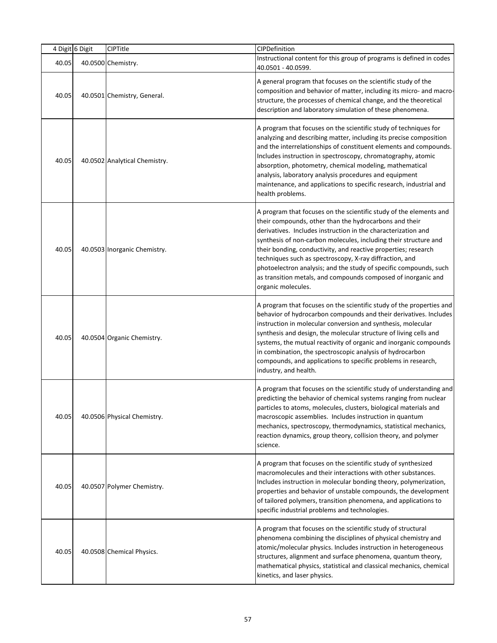|       | 4 Digit 6 Digit | CIPTitle                      | CIPDefinition                                                                                                                                                                                                                                                                                                                                                                                                                                                                                                                                              |
|-------|-----------------|-------------------------------|------------------------------------------------------------------------------------------------------------------------------------------------------------------------------------------------------------------------------------------------------------------------------------------------------------------------------------------------------------------------------------------------------------------------------------------------------------------------------------------------------------------------------------------------------------|
| 40.05 |                 | 40.0500 Chemistry.            | Instructional content for this group of programs is defined in codes<br>40.0501 - 40.0599.                                                                                                                                                                                                                                                                                                                                                                                                                                                                 |
| 40.05 |                 | 40.0501 Chemistry, General.   | A general program that focuses on the scientific study of the<br>composition and behavior of matter, including its micro- and macro-<br>structure, the processes of chemical change, and the theoretical<br>description and laboratory simulation of these phenomena.                                                                                                                                                                                                                                                                                      |
| 40.05 |                 | 40.0502 Analytical Chemistry. | A program that focuses on the scientific study of techniques for<br>analyzing and describing matter, including its precise composition<br>and the interrelationships of constituent elements and compounds.<br>Includes instruction in spectroscopy, chromatography, atomic<br>absorption, photometry, chemical modeling, mathematical<br>analysis, laboratory analysis procedures and equipment<br>maintenance, and applications to specific research, industrial and<br>health problems.                                                                 |
| 40.05 |                 | 40.0503 Inorganic Chemistry.  | A program that focuses on the scientific study of the elements and<br>their compounds, other than the hydrocarbons and their<br>derivatives. Includes instruction in the characterization and<br>synthesis of non-carbon molecules, including their structure and<br>their bonding, conductivity, and reactive properties; research<br>techniques such as spectroscopy, X-ray diffraction, and<br>photoelectron analysis; and the study of specific compounds, such<br>as transition metals, and compounds composed of inorganic and<br>organic molecules. |
| 40.05 |                 | 40.0504 Organic Chemistry.    | A program that focuses on the scientific study of the properties and<br>behavior of hydrocarbon compounds and their derivatives. Includes<br>instruction in molecular conversion and synthesis, molecular<br>synthesis and design, the molecular structure of living cells and<br>systems, the mutual reactivity of organic and inorganic compounds<br>in combination, the spectroscopic analysis of hydrocarbon<br>compounds, and applications to specific problems in research,<br>industry, and health.                                                 |
| 40.05 |                 | 40.0506 Physical Chemistry.   | A program that focuses on the scientific study of understanding and<br>predicting the behavior of chemical systems ranging from nuclear<br>particles to atoms, molecules, clusters, biological materials and<br>macroscopic assemblies. Includes instruction in quantum<br>mechanics, spectroscopy, thermodynamics, statistical mechanics,<br>reaction dynamics, group theory, collision theory, and polymer<br>science.                                                                                                                                   |
| 40.05 |                 | 40.0507 Polymer Chemistry.    | A program that focuses on the scientific study of synthesized<br>macromolecules and their interactions with other substances.<br>Includes instruction in molecular bonding theory, polymerization,<br>properties and behavior of unstable compounds, the development<br>of tailored polymers, transition phenomena, and applications to<br>specific industrial problems and technologies.                                                                                                                                                                  |
| 40.05 |                 | 40.0508 Chemical Physics.     | A program that focuses on the scientific study of structural<br>phenomena combining the disciplines of physical chemistry and<br>atomic/molecular physics. Includes instruction in heterogeneous<br>structures, alignment and surface phenomena, quantum theory,<br>mathematical physics, statistical and classical mechanics, chemical<br>kinetics, and laser physics.                                                                                                                                                                                    |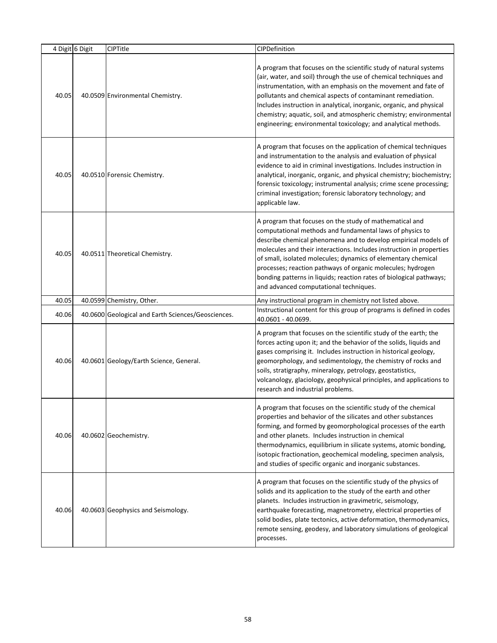|       | 4 Digit 6 Digit | <b>CIPTitle</b>                                    | CIPDefinition                                                                                                                                                                                                                                                                                                                                                                                                                                                                                                  |
|-------|-----------------|----------------------------------------------------|----------------------------------------------------------------------------------------------------------------------------------------------------------------------------------------------------------------------------------------------------------------------------------------------------------------------------------------------------------------------------------------------------------------------------------------------------------------------------------------------------------------|
| 40.05 |                 | 40.0509 Environmental Chemistry.                   | A program that focuses on the scientific study of natural systems<br>(air, water, and soil) through the use of chemical techniques and<br>instrumentation, with an emphasis on the movement and fate of<br>pollutants and chemical aspects of contaminant remediation.<br>Includes instruction in analytical, inorganic, organic, and physical<br>chemistry; aquatic, soil, and atmospheric chemistry; environmental<br>engineering; environmental toxicology; and analytical methods.                         |
| 40.05 |                 | 40.0510 Forensic Chemistry.                        | A program that focuses on the application of chemical techniques<br>and instrumentation to the analysis and evaluation of physical<br>evidence to aid in criminal investigations. Includes instruction in<br>analytical, inorganic, organic, and physical chemistry; biochemistry;<br>forensic toxicology; instrumental analysis; crime scene processing;<br>criminal investigation; forensic laboratory technology; and<br>applicable law.                                                                    |
| 40.05 |                 | 40.0511 Theoretical Chemistry.                     | A program that focuses on the study of mathematical and<br>computational methods and fundamental laws of physics to<br>describe chemical phenomena and to develop empirical models of<br>molecules and their interactions. Includes instruction in properties<br>of small, isolated molecules; dynamics of elementary chemical<br>processes; reaction pathways of organic molecules; hydrogen<br>bonding patterns in liquids; reaction rates of biological pathways;<br>and advanced computational techniques. |
| 40.05 |                 | 40.0599 Chemistry, Other.                          | Any instructional program in chemistry not listed above.                                                                                                                                                                                                                                                                                                                                                                                                                                                       |
| 40.06 |                 | 40.0600 Geological and Earth Sciences/Geosciences. | Instructional content for this group of programs is defined in codes<br>40.0601 - 40.0699.                                                                                                                                                                                                                                                                                                                                                                                                                     |
| 40.06 |                 | 40.0601 Geology/Earth Science, General.            | A program that focuses on the scientific study of the earth; the<br>forces acting upon it; and the behavior of the solids, liquids and<br>gases comprising it. Includes instruction in historical geology,<br>geomorphology, and sedimentology, the chemistry of rocks and<br>soils, stratigraphy, mineralogy, petrology, geostatistics,<br>volcanology, glaciology, geophysical principles, and applications to<br>research and industrial problems.                                                          |
| 40.06 |                 | 40.0602 Geochemistry.                              | A program that focuses on the scientific study of the chemical<br>properties and behavior of the silicates and other substances<br>forming, and formed by geomorphological processes of the earth<br>and other planets. Includes instruction in chemical<br>thermodynamics, equilibrium in silicate systems, atomic bonding,<br>isotopic fractionation, geochemical modeling, specimen analysis,<br>and studies of specific organic and inorganic substances.                                                  |
| 40.06 |                 | 40.0603 Geophysics and Seismology.                 | A program that focuses on the scientific study of the physics of<br>solids and its application to the study of the earth and other<br>planets. Includes instruction in gravimetric, seismology,<br>earthquake forecasting, magnetrometry, electrical properties of<br>solid bodies, plate tectonics, active deformation, thermodynamics,<br>remote sensing, geodesy, and laboratory simulations of geological<br>processes.                                                                                    |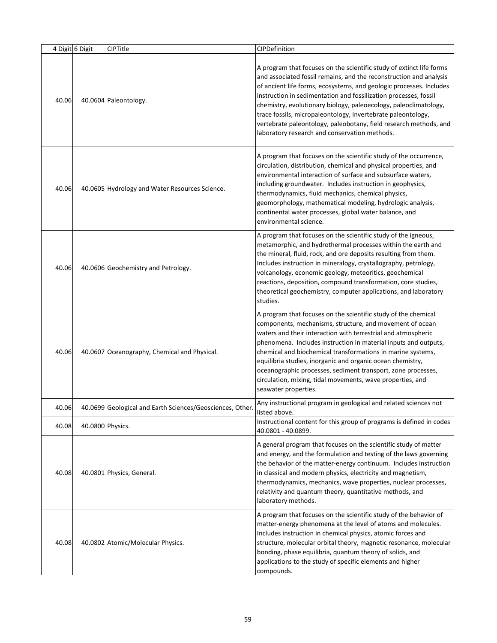|       | 4 Digit 6 Digit  | <b>CIPTitle</b>                                          | CIPDefinition                                                                                                                                                                                                                                                                                                                                                                                                                                                                                                                                     |
|-------|------------------|----------------------------------------------------------|---------------------------------------------------------------------------------------------------------------------------------------------------------------------------------------------------------------------------------------------------------------------------------------------------------------------------------------------------------------------------------------------------------------------------------------------------------------------------------------------------------------------------------------------------|
| 40.06 |                  | 40.0604 Paleontology.                                    | A program that focuses on the scientific study of extinct life forms<br>and associated fossil remains, and the reconstruction and analysis<br>of ancient life forms, ecosystems, and geologic processes. Includes<br>instruction in sedimentation and fossilization processes, fossil<br>chemistry, evolutionary biology, paleoecology, paleoclimatology,<br>trace fossils, micropaleontology, invertebrate paleontology,<br>vertebrate paleontology, paleobotany, field research methods, and<br>laboratory research and conservation methods.   |
| 40.06 |                  | 40.0605 Hydrology and Water Resources Science.           | A program that focuses on the scientific study of the occurrence,<br>circulation, distribution, chemical and physical properties, and<br>environmental interaction of surface and subsurface waters,<br>including groundwater. Includes instruction in geophysics,<br>thermodynamics, fluid mechanics, chemical physics,<br>geomorphology, mathematical modeling, hydrologic analysis,<br>continental water processes, global water balance, and<br>environmental science.                                                                        |
| 40.06 |                  | 40.0606 Geochemistry and Petrology.                      | A program that focuses on the scientific study of the igneous,<br>metamorphic, and hydrothermal processes within the earth and<br>the mineral, fluid, rock, and ore deposits resulting from them.<br>Includes instruction in mineralogy, crystallography, petrology,<br>volcanology, economic geology, meteoritics, geochemical<br>reactions, deposition, compound transformation, core studies,<br>theoretical geochemistry, computer applications, and laboratory<br>studies.                                                                   |
| 40.06 |                  | 40.0607 Oceanography, Chemical and Physical.             | A program that focuses on the scientific study of the chemical<br>components, mechanisms, structure, and movement of ocean<br>waters and their interaction with terrestrial and atmospheric<br>phenomena. Includes instruction in material inputs and outputs,<br>chemical and biochemical transformations in marine systems,<br>equilibria studies, inorganic and organic ocean chemistry,<br>oceanographic processes, sediment transport, zone processes,<br>circulation, mixing, tidal movements, wave properties, and<br>seawater properties. |
| 40.06 |                  | 40.0699 Geological and Earth Sciences/Geosciences, Other | Any instructional program in geological and related sciences not<br>listed above.                                                                                                                                                                                                                                                                                                                                                                                                                                                                 |
| 40.08 | 40.0800 Physics. |                                                          | Instructional content for this group of programs is defined in codes<br>40.0801 - 40.0899.                                                                                                                                                                                                                                                                                                                                                                                                                                                        |
| 40.08 |                  | 40.0801 Physics, General.                                | A general program that focuses on the scientific study of matter<br>and energy, and the formulation and testing of the laws governing<br>the behavior of the matter-energy continuum. Includes instruction<br>in classical and modern physics, electricity and magnetism,<br>thermodynamics, mechanics, wave properties, nuclear processes,<br>relativity and quantum theory, quantitative methods, and<br>laboratory methods.                                                                                                                    |
| 40.08 |                  | 40.0802 Atomic/Molecular Physics.                        | A program that focuses on the scientific study of the behavior of<br>matter-energy phenomena at the level of atoms and molecules.<br>Includes instruction in chemical physics, atomic forces and<br>structure, molecular orbital theory, magnetic resonance, molecular<br>bonding, phase equilibria, quantum theory of solids, and<br>applications to the study of specific elements and higher<br>compounds.                                                                                                                                     |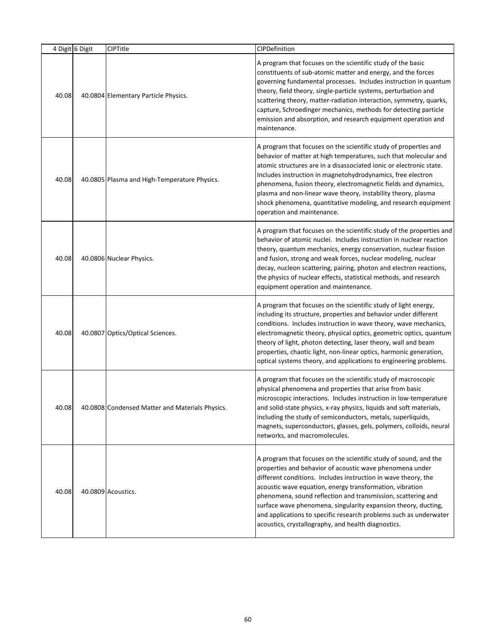| 4 Digit 6 Digit | <b>CIPTitle</b>                                 | CIPDefinition                                                                                                                                                                                                                                                                                                                                                                                                                                                                                                            |
|-----------------|-------------------------------------------------|--------------------------------------------------------------------------------------------------------------------------------------------------------------------------------------------------------------------------------------------------------------------------------------------------------------------------------------------------------------------------------------------------------------------------------------------------------------------------------------------------------------------------|
| 40.08           | 40.0804 Elementary Particle Physics.            | A program that focuses on the scientific study of the basic<br>constituents of sub-atomic matter and energy, and the forces<br>governing fundamental processes. Includes instruction in quantum<br>theory, field theory, single-particle systems, perturbation and<br>scattering theory, matter-radiation interaction, symmetry, quarks,<br>capture, Schroedinger mechanics, methods for detecting particle<br>emission and absorption, and research equipment operation and<br>maintenance.                             |
| 40.08           | 40.0805 Plasma and High-Temperature Physics.    | A program that focuses on the scientific study of properties and<br>behavior of matter at high temperatures, such that molecular and<br>atomic structures are in a disassociated ionic or electronic state.<br>Includes instruction in magnetohydrodynamics, free electron<br>phenomena, fusion theory, electromagnetic fields and dynamics,<br>plasma and non-linear wave theory, instability theory, plasma<br>shock phenomena, quantitative modeling, and research equipment<br>operation and maintenance.            |
| 40.08           | 40.0806 Nuclear Physics.                        | A program that focuses on the scientific study of the properties and<br>behavior of atomic nuclei. Includes instruction in nuclear reaction<br>theory, quantum mechanics, energy conservation, nuclear fission<br>and fusion, strong and weak forces, nuclear modeling, nuclear<br>decay, nucleon scattering, pairing, photon and electron reactions,<br>the physics of nuclear effects, statistical methods, and research<br>equipment operation and maintenance.                                                       |
| 40.08           | 40.0807 Optics/Optical Sciences.                | A program that focuses on the scientific study of light energy,<br>including its structure, properties and behavior under different<br>conditions. Includes instruction in wave theory, wave mechanics,<br>electromagnetic theory, physical optics, geometric optics, quantum<br>theory of light, photon detecting, laser theory, wall and beam<br>properties, chaotic light, non-linear optics, harmonic generation,<br>optical systems theory, and applications to engineering problems.                               |
| 40.08           | 40.0808 Condensed Matter and Materials Physics. | A program that focuses on the scientific study of macroscopic<br>physical phenomena and properties that arise from basic<br>microscopic interactions. Includes instruction in low-temperature<br>and solid-state physics, x-ray physics, liquids and soft materials,<br>including the study of semiconductors, metals, superliquids,<br>magnets, superconductors, glasses, gels, polymers, colloids, neural<br>networks, and macromolecules.                                                                             |
| 40.08           | 40.0809 Acoustics.                              | A program that focuses on the scientific study of sound, and the<br>properties and behavior of acoustic wave phenomena under<br>different conditions. Includes instruction in wave theory, the<br>acoustic wave equation, energy transformation, vibration<br>phenomena, sound reflection and transmission, scattering and<br>surface wave phenomena, singularity expansion theory, ducting,<br>and applications to specific research problems such as underwater<br>acoustics, crystallography, and health diagnostics. |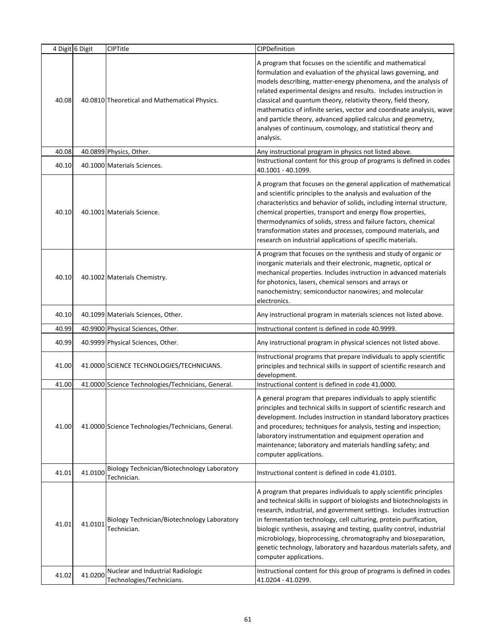|       | 4 Digit 6 Digit | CIPTitle                                                       | CIPDefinition                                                                                                                                                                                                                                                                                                                                                                                                                                                                                                                                              |
|-------|-----------------|----------------------------------------------------------------|------------------------------------------------------------------------------------------------------------------------------------------------------------------------------------------------------------------------------------------------------------------------------------------------------------------------------------------------------------------------------------------------------------------------------------------------------------------------------------------------------------------------------------------------------------|
| 40.08 |                 | 40.0810 Theoretical and Mathematical Physics.                  | A program that focuses on the scientific and mathematical<br>formulation and evaluation of the physical laws governing, and<br>models describing, matter-energy phenomena, and the analysis of<br>related experimental designs and results. Includes instruction in<br>classical and quantum theory, relativity theory, field theory,<br>mathematics of infinite series, vector and coordinate analysis, wave<br>and particle theory, advanced applied calculus and geometry,<br>analyses of continuum, cosmology, and statistical theory and<br>analysis. |
| 40.08 |                 | 40.0899 Physics, Other.                                        | Any instructional program in physics not listed above.                                                                                                                                                                                                                                                                                                                                                                                                                                                                                                     |
| 40.10 |                 | 40.1000 Materials Sciences.                                    | Instructional content for this group of programs is defined in codes<br>40.1001 - 40.1099.                                                                                                                                                                                                                                                                                                                                                                                                                                                                 |
| 40.10 |                 | 40.1001 Materials Science.                                     | A program that focuses on the general application of mathematical<br>and scientific principles to the analysis and evaluation of the<br>characteristics and behavior of solids, including internal structure,<br>chemical properties, transport and energy flow properties,<br>thermodynamics of solids, stress and failure factors, chemical<br>transformation states and processes, compound materials, and<br>research on industrial applications of specific materials.                                                                                |
| 40.10 |                 | 40.1002 Materials Chemistry.                                   | A program that focuses on the synthesis and study of organic or<br>inorganic materials and their electronic, magnetic, optical or<br>mechanical properties. Includes instruction in advanced materials<br>for photonics, lasers, chemical sensors and arrays or<br>nanochemistry; semiconductor nanowires; and molecular<br>electronics.                                                                                                                                                                                                                   |
| 40.10 |                 | 40.1099 Materials Sciences, Other.                             | Any instructional program in materials sciences not listed above.                                                                                                                                                                                                                                                                                                                                                                                                                                                                                          |
| 40.99 |                 | 40.9900 Physical Sciences, Other.                              | Instructional content is defined in code 40.9999.                                                                                                                                                                                                                                                                                                                                                                                                                                                                                                          |
| 40.99 |                 | 40.9999 Physical Sciences, Other.                              | Any instructional program in physical sciences not listed above.                                                                                                                                                                                                                                                                                                                                                                                                                                                                                           |
| 41.00 |                 | 41.0000 SCIENCE TECHNOLOGIES/TECHNICIANS.                      | Instructional programs that prepare individuals to apply scientific<br>principles and technical skills in support of scientific research and<br>development.                                                                                                                                                                                                                                                                                                                                                                                               |
| 41.00 |                 | 41.0000 Science Technologies/Technicians, General.             | Instructional content is defined in code 41.0000.                                                                                                                                                                                                                                                                                                                                                                                                                                                                                                          |
| 41.00 |                 | 41.0000 Science Technologies/Technicians, General.             | A general program that prepares individuals to apply scientific<br>principles and technical skills in support of scientific research and<br>development. Includes instruction in standard laboratory practices<br>and procedures; techniques for analysis, testing and inspection;<br>laboratory instrumentation and equipment operation and<br>maintenance; laboratory and materials handling safety; and<br>computer applications.                                                                                                                       |
| 41.01 | 41.0100         | Biology Technician/Biotechnology Laboratory<br>Technician.     | Instructional content is defined in code 41.0101.                                                                                                                                                                                                                                                                                                                                                                                                                                                                                                          |
| 41.01 | 41.0101         | Biology Technician/Biotechnology Laboratory<br>Technician.     | A program that prepares individuals to apply scientific principles<br>and technical skills in support of biologists and biotechnologists in<br>research, industrial, and government settings. Includes instruction<br>in fermentation technology, cell culturing, protein purification,<br>biologic synthesis, assaying and testing, quality control, industrial<br>microbiology, bioprocessing, chromatography and bioseparation,<br>genetic technology, laboratory and hazardous materials safety, and<br>computer applications.                         |
| 41.02 | 41.0200         | Nuclear and Industrial Radiologic<br>Technologies/Technicians. | Instructional content for this group of programs is defined in codes<br>41.0204 - 41.0299.                                                                                                                                                                                                                                                                                                                                                                                                                                                                 |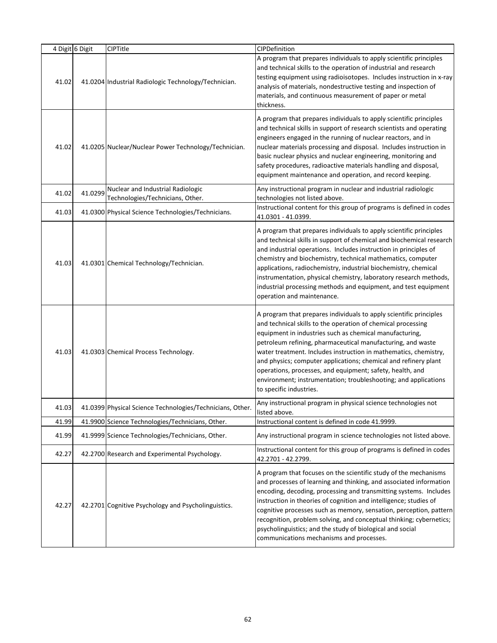|       | 4 Digit 6 Digit | CIPTitle                                                                               | CIPDefinition                                                                                                                                                                                                                                                                                                                                                                                                                                                                                                                                                  |
|-------|-----------------|----------------------------------------------------------------------------------------|----------------------------------------------------------------------------------------------------------------------------------------------------------------------------------------------------------------------------------------------------------------------------------------------------------------------------------------------------------------------------------------------------------------------------------------------------------------------------------------------------------------------------------------------------------------|
| 41.02 |                 | 41.0204 Industrial Radiologic Technology/Technician.                                   | A program that prepares individuals to apply scientific principles<br>and technical skills to the operation of industrial and research<br>testing equipment using radioisotopes. Includes instruction in x-ray<br>analysis of materials, nondestructive testing and inspection of<br>materials, and continuous measurement of paper or metal<br>thickness.                                                                                                                                                                                                     |
| 41.02 |                 | 41.0205 Nuclear/Nuclear Power Technology/Technician.                                   | A program that prepares individuals to apply scientific principles<br>and technical skills in support of research scientists and operating<br>engineers engaged in the running of nuclear reactors, and in<br>nuclear materials processing and disposal. Includes instruction in<br>basic nuclear physics and nuclear engineering, monitoring and<br>safety procedures, radioactive materials handling and disposal,<br>equipment maintenance and operation, and record keeping.                                                                               |
| 41.02 | 41.0299         | Nuclear and Industrial Radiologic                                                      | Any instructional program in nuclear and industrial radiologic                                                                                                                                                                                                                                                                                                                                                                                                                                                                                                 |
| 41.03 |                 | Technologies/Technicians, Other.<br>41.0300 Physical Science Technologies/Technicians. | technologies not listed above.<br>Instructional content for this group of programs is defined in codes<br>41.0301 - 41.0399.                                                                                                                                                                                                                                                                                                                                                                                                                                   |
| 41.03 |                 | 41.0301 Chemical Technology/Technician.                                                | A program that prepares individuals to apply scientific principles<br>and technical skills in support of chemical and biochemical research<br>and industrial operations. Includes instruction in principles of<br>chemistry and biochemistry, technical mathematics, computer<br>applications, radiochemistry, industrial biochemistry, chemical<br>instrumentation, physical chemistry, laboratory research methods,<br>industrial processing methods and equipment, and test equipment<br>operation and maintenance.                                         |
| 41.03 |                 | 41.0303 Chemical Process Technology.                                                   | A program that prepares individuals to apply scientific principles<br>and technical skills to the operation of chemical processing<br>equipment in industries such as chemical manufacturing,<br>petroleum refining, pharmaceutical manufacturing, and waste<br>water treatment. Includes instruction in mathematics, chemistry,<br>and physics; computer applications; chemical and refinery plant<br>operations, processes, and equipment; safety, health, and<br>environment; instrumentation; troubleshooting; and applications<br>to specific industries. |
| 41.03 |                 | 41.0399 Physical Science Technologies/Technicians, Other.                              | Any instructional program in physical science technologies not<br>listed above.                                                                                                                                                                                                                                                                                                                                                                                                                                                                                |
| 41.99 |                 | 41.9900 Science Technologies/Technicians, Other.                                       | Instructional content is defined in code 41.9999.                                                                                                                                                                                                                                                                                                                                                                                                                                                                                                              |
| 41.99 |                 | 41.9999 Science Technologies/Technicians, Other.                                       | Any instructional program in science technologies not listed above.                                                                                                                                                                                                                                                                                                                                                                                                                                                                                            |
| 42.27 |                 | 42.2700 Research and Experimental Psychology.                                          | Instructional content for this group of programs is defined in codes<br>42.2701 - 42.2799.                                                                                                                                                                                                                                                                                                                                                                                                                                                                     |
| 42.27 |                 | 42.2701 Cognitive Psychology and Psycholinguistics.                                    | A program that focuses on the scientific study of the mechanisms<br>and processes of learning and thinking, and associated information<br>encoding, decoding, processing and transmitting systems. Includes<br>instruction in theories of cognition and intelligence; studies of<br>cognitive processes such as memory, sensation, perception, pattern<br>recognition, problem solving, and conceptual thinking; cybernetics;<br>psycholinguistics; and the study of biological and social<br>communications mechanisms and processes.                         |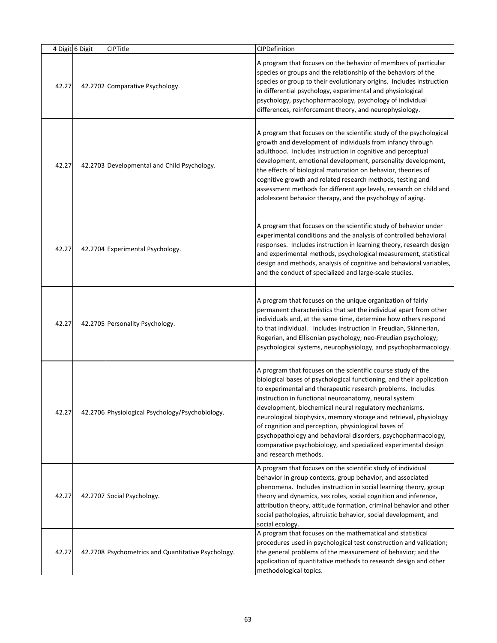| 4 Digit 6 Digit | CIPTitle                                           | CIPDefinition                                                                                                                                                                                                                                                                                                                                                                                                                                                                                                                                                                                                  |
|-----------------|----------------------------------------------------|----------------------------------------------------------------------------------------------------------------------------------------------------------------------------------------------------------------------------------------------------------------------------------------------------------------------------------------------------------------------------------------------------------------------------------------------------------------------------------------------------------------------------------------------------------------------------------------------------------------|
| 42.27           | 42.2702 Comparative Psychology.                    | A program that focuses on the behavior of members of particular<br>species or groups and the relationship of the behaviors of the<br>species or group to their evolutionary origins. Includes instruction<br>in differential psychology, experimental and physiological<br>psychology, psychopharmacology, psychology of individual<br>differences, reinforcement theory, and neurophysiology.                                                                                                                                                                                                                 |
| 42.27           | 42.2703 Developmental and Child Psychology.        | A program that focuses on the scientific study of the psychological<br>growth and development of individuals from infancy through<br>adulthood. Includes instruction in cognitive and perceptual<br>development, emotional development, personality development,<br>the effects of biological maturation on behavior, theories of<br>cognitive growth and related research methods, testing and<br>assessment methods for different age levels, research on child and<br>adolescent behavior therapy, and the psychology of aging.                                                                             |
| 42.27           | 42.2704 Experimental Psychology.                   | A program that focuses on the scientific study of behavior under<br>experimental conditions and the analysis of controlled behavioral<br>responses. Includes instruction in learning theory, research design<br>and experimental methods, psychological measurement, statistical<br>design and methods, analysis of cognitive and behavioral variables,<br>and the conduct of specialized and large-scale studies.                                                                                                                                                                                             |
| 42.27           | 42.2705 Personality Psychology.                    | A program that focuses on the unique organization of fairly<br>permanent characteristics that set the individual apart from other<br>individuals and, at the same time, determine how others respond<br>to that individual. Includes instruction in Freudian, Skinnerian,<br>Rogerian, and Ellisonian psychology; neo-Freudian psychology;<br>psychological systems, neurophysiology, and psychopharmacology.                                                                                                                                                                                                  |
| 42.27           | 42.2706 Physiological Psychology/Psychobiology.    | A program that focuses on the scientific course study of the<br>biological bases of psychological functioning, and their application<br>to experimental and therapeutic research problems. Includes<br>instruction in functional neuroanatomy, neural system<br>development, biochemical neural regulatory mechanisms,<br>neurological biophysics, memory storage and retrieval, physiology<br>of cognition and perception, physiological bases of<br>psychopathology and behavioral disorders, psychopharmacology,<br>comparative psychobiology, and specialized experimental design<br>and research methods. |
| 42.27           | 42.2707 Social Psychology.                         | A program that focuses on the scientific study of individual<br>behavior in group contexts, group behavior, and associated<br>phenomena. Includes instruction in social learning theory, group<br>theory and dynamics, sex roles, social cognition and inference,<br>attribution theory, attitude formation, criminal behavior and other<br>social pathologies, altruistic behavior, social development, and<br>social ecology.                                                                                                                                                                                |
| 42.27           | 42.2708 Psychometrics and Quantitative Psychology. | A program that focuses on the mathematical and statistical<br>procedures used in psychological test construction and validation;<br>the general problems of the measurement of behavior; and the<br>application of quantitative methods to research design and other<br>methodological topics.                                                                                                                                                                                                                                                                                                                 |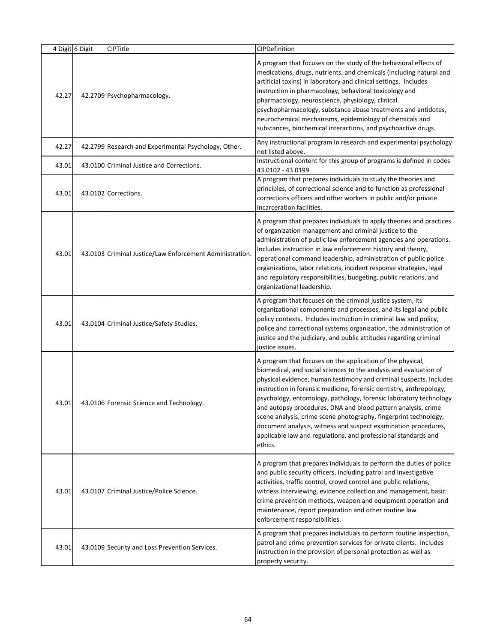|       | 4 Digit 6 Digit | CIPTitle                                                 | CIPDefinition                                                                                                                                                                                                                                                                                                                                                                                                                                                                                                                                                                                                                         |
|-------|-----------------|----------------------------------------------------------|---------------------------------------------------------------------------------------------------------------------------------------------------------------------------------------------------------------------------------------------------------------------------------------------------------------------------------------------------------------------------------------------------------------------------------------------------------------------------------------------------------------------------------------------------------------------------------------------------------------------------------------|
| 42.27 |                 | 42.2709 Psychopharmacology.                              | A program that focuses on the study of the behavioral effects of<br>medications, drugs, nutrients, and chemicals (including natural and<br>artificial toxins) in laboratory and clinical settings. Includes<br>instruction in pharmacology, behavioral toxicology and<br>pharmacology, neuroscience, physiology, clinical<br>psychopharmacology, substance abuse treatments and antidotes,<br>neurochemical mechanisms, epidemiology of chemicals and<br>substances, biochemical interactions, and psychoactive drugs.                                                                                                                |
| 42.27 |                 | 42.2799 Research and Experimental Psychology, Other.     | Any instructional program in research and experimental psychology<br>not listed above.                                                                                                                                                                                                                                                                                                                                                                                                                                                                                                                                                |
| 43.01 |                 | 43.0100 Criminal Justice and Corrections.                | Instructional content for this group of programs is defined in codes<br>43.0102 - 43.0199.                                                                                                                                                                                                                                                                                                                                                                                                                                                                                                                                            |
| 43.01 |                 | 43.0102 Corrections.                                     | A program that prepares individuals to study the theories and<br>principles, of correctional science and to function as professional<br>corrections officers and other workers in public and/or private<br>incarceration facilities.                                                                                                                                                                                                                                                                                                                                                                                                  |
| 43.01 |                 | 43.0103 Criminal Justice/Law Enforcement Administration. | A program that prepares individuals to apply theories and practices<br>of organization management and criminal justice to the<br>administration of public law enforcement agencies and operations.<br>Includes instruction in law enforcement history and theory,<br>operational command leadership, administration of public police<br>organizations, labor relations, incident response strategies, legal<br>and regulatory responsibilities, budgeting, public relations, and<br>organizational leadership.                                                                                                                        |
| 43.01 |                 | 43.0104 Criminal Justice/Safety Studies.                 | A program that focuses on the criminal justice system, its<br>organizational components and processes, and its legal and public<br>policy contexts. Includes instruction in criminal law and policy,<br>police and correctional systems organization, the administration of<br>justice and the judiciary, and public attitudes regarding criminal<br>justice issues.                                                                                                                                                                                                                                                                  |
| 43.01 |                 | 43.0106 Forensic Science and Technology.                 | A program that focuses on the application of the physical,<br>biomedical, and social sciences to the analysis and evaluation of<br>physical evidence, human testimony and criminal suspects. Includes<br>instruction in forensic medicine, forensic dentistry, anthropology,<br>psychology, entomology, pathology, forensic laboratory technology<br>and autopsy procedures, DNA and blood pattern analysis, crime<br>scene analysis, crime scene photography, fingerprint technology,<br>document analysis, witness and suspect examination procedures,<br>applicable law and regulations, and professional standards and<br>ethics. |
| 43.01 |                 | 43.0107 Criminal Justice/Police Science.                 | A program that prepares individuals to perform the duties of police<br>and public security officers, including patrol and investigative<br>activities, traffic control, crowd control and public relations,<br>witness interviewing, evidence collection and management, basic<br>crime prevention methods, weapon and equipment operation and<br>maintenance, report preparation and other routine law<br>enforcement responsibilities.                                                                                                                                                                                              |
| 43.01 |                 | 43.0109 Security and Loss Prevention Services.           | A program that prepares individuals to perform routine inspection,<br>patrol and crime prevention services for private clients. Includes<br>instruction in the provision of personal protection as well as<br>property security.                                                                                                                                                                                                                                                                                                                                                                                                      |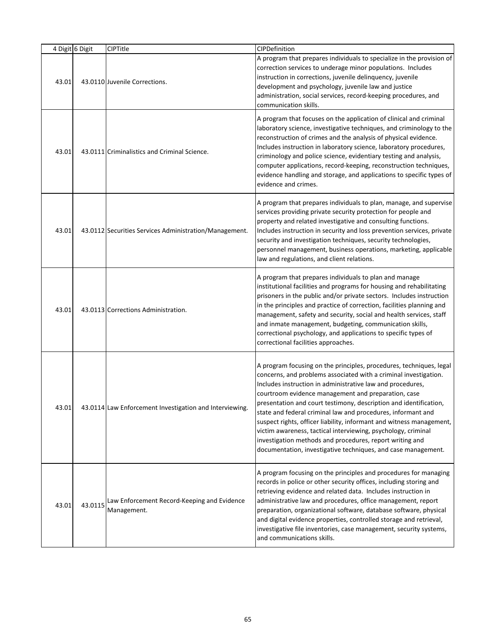|       | 4 Digit 6 Digit | CIPTitle                                                   | CIPDefinition                                                                                                                                                                                                                                                                                                                                                                                                                                                                                                                                                                                                                                                           |
|-------|-----------------|------------------------------------------------------------|-------------------------------------------------------------------------------------------------------------------------------------------------------------------------------------------------------------------------------------------------------------------------------------------------------------------------------------------------------------------------------------------------------------------------------------------------------------------------------------------------------------------------------------------------------------------------------------------------------------------------------------------------------------------------|
| 43.01 |                 | 43.0110 Juvenile Corrections.                              | A program that prepares individuals to specialize in the provision of<br>correction services to underage minor populations. Includes<br>instruction in corrections, juvenile delinquency, juvenile<br>development and psychology, juvenile law and justice<br>administration, social services, record-keeping procedures, and<br>communication skills.                                                                                                                                                                                                                                                                                                                  |
| 43.01 |                 | 43.0111 Criminalistics and Criminal Science.               | A program that focuses on the application of clinical and criminal<br>laboratory science, investigative techniques, and criminology to the<br>reconstruction of crimes and the analysis of physical evidence.<br>Includes instruction in laboratory science, laboratory procedures,<br>criminology and police science, evidentiary testing and analysis,<br>computer applications, record-keeping, reconstruction techniques,<br>evidence handling and storage, and applications to specific types of<br>evidence and crimes.                                                                                                                                           |
| 43.01 |                 | 43.0112 Securities Services Administration/Management.     | A program that prepares individuals to plan, manage, and supervise<br>services providing private security protection for people and<br>property and related investigative and consulting functions.<br>Includes instruction in security and loss prevention services, private<br>security and investigation techniques, security technologies,<br>personnel management, business operations, marketing, applicable<br>law and regulations, and client relations.                                                                                                                                                                                                        |
| 43.01 |                 | 43.0113 Corrections Administration.                        | A program that prepares individuals to plan and manage<br>institutional facilities and programs for housing and rehabilitating<br>prisoners in the public and/or private sectors. Includes instruction<br>in the principles and practice of correction, facilities planning and<br>management, safety and security, social and health services, staff<br>and inmate management, budgeting, communication skills,<br>correctional psychology, and applications to specific types of<br>correctional facilities approaches.                                                                                                                                               |
| 43.01 |                 | 43.0114 Law Enforcement Investigation and Interviewing.    | A program focusing on the principles, procedures, techniques, legal<br>concerns, and problems associated with a criminal investigation.<br>Includes instruction in administrative law and procedures,<br>courtroom evidence management and preparation, case<br>presentation and court testimony, description and identification,<br>state and federal criminal law and procedures, informant and<br>suspect rights, officer liability, informant and witness management,<br>victim awareness, tactical interviewing, psychology, criminal<br>investigation methods and procedures, report writing and<br>documentation, investigative techniques, and case management. |
| 43.01 | 43.0115         | Law Enforcement Record-Keeping and Evidence<br>Management. | A program focusing on the principles and procedures for managing<br>records in police or other security offices, including storing and<br>retrieving evidence and related data. Includes instruction in<br>administrative law and procedures, office management, report<br>preparation, organizational software, database software, physical<br>and digital evidence properties, controlled storage and retrieval,<br>investigative file inventories, case management, security systems,<br>and communications skills.                                                                                                                                                  |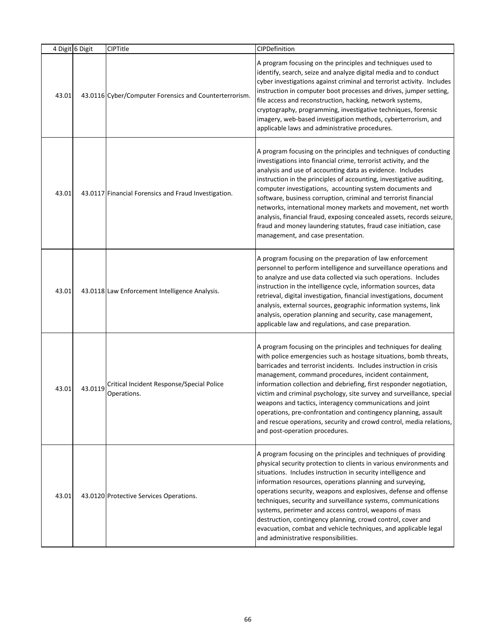|       | 4 Digit 6 Digit | CIPTitle                                                 | CIPDefinition                                                                                                                                                                                                                                                                                                                                                                                                                                                                                                                                                                                                                                                  |
|-------|-----------------|----------------------------------------------------------|----------------------------------------------------------------------------------------------------------------------------------------------------------------------------------------------------------------------------------------------------------------------------------------------------------------------------------------------------------------------------------------------------------------------------------------------------------------------------------------------------------------------------------------------------------------------------------------------------------------------------------------------------------------|
| 43.01 |                 | 43.0116 Cyber/Computer Forensics and Counterterrorism.   | A program focusing on the principles and techniques used to<br>identify, search, seize and analyze digital media and to conduct<br>cyber investigations against criminal and terrorist activity. Includes<br>instruction in computer boot processes and drives, jumper setting,<br>file access and reconstruction, hacking, network systems,<br>cryptography, programming, investigative techniques, forensic<br>imagery, web-based investigation methods, cyberterrorism, and<br>applicable laws and administrative procedures.                                                                                                                               |
| 43.01 |                 | 43.0117 Financial Forensics and Fraud Investigation.     | A program focusing on the principles and techniques of conducting<br>investigations into financial crime, terrorist activity, and the<br>analysis and use of accounting data as evidence. Includes<br>instruction in the principles of accounting, investigative auditing,<br>computer investigations, accounting system documents and<br>software, business corruption, criminal and terrorist financial<br>networks, international money markets and movement, net worth<br>analysis, financial fraud, exposing concealed assets, records seizure,<br>fraud and money laundering statutes, fraud case initiation, case<br>management, and case presentation. |
| 43.01 |                 | 43.0118 Law Enforcement Intelligence Analysis.           | A program focusing on the preparation of law enforcement<br>personnel to perform intelligence and surveillance operations and<br>to analyze and use data collected via such operations. Includes<br>instruction in the intelligence cycle, information sources, data<br>retrieval, digital investigation, financial investigations, document<br>analysis, external sources, geographic information systems, link<br>analysis, operation planning and security, case management,<br>applicable law and regulations, and case preparation.                                                                                                                       |
| 43.01 | 43.0119         | Critical Incident Response/Special Police<br>Operations. | A program focusing on the principles and techniques for dealing<br>with police emergencies such as hostage situations, bomb threats,<br>barricades and terrorist incidents. Includes instruction in crisis<br>management, command procedures, incident containment,<br>information collection and debriefing, first responder negotiation,<br>victim and criminal psychology, site survey and surveillance, special<br>weapons and tactics, interagency communications and joint<br>operations, pre-confrontation and contingency planning, assault<br>and rescue operations, security and crowd control, media relations,<br>and post-operation procedures.   |
| 43.01 |                 | 43.0120 Protective Services Operations.                  | A program focusing on the principles and techniques of providing<br>physical security protection to clients in various environments and<br>situations. Includes instruction in security intelligence and<br>information resources, operations planning and surveying,<br>operations security, weapons and explosives, defense and offense<br>techniques, security and surveillance systems, communications<br>systems, perimeter and access control, weapons of mass<br>destruction, contingency planning, crowd control, cover and<br>evacuation, combat and vehicle techniques, and applicable legal<br>and administrative responsibilities.                 |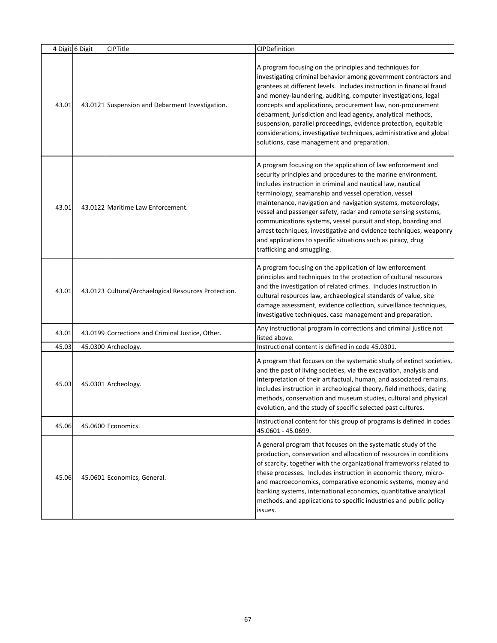|       | 4 Digit 6 Digit | <b>CIPTitle</b>                                      | CIPDefinition                                                                                                                                                                                                                                                                                                                                                                                                                                                                                                                                                                                                               |
|-------|-----------------|------------------------------------------------------|-----------------------------------------------------------------------------------------------------------------------------------------------------------------------------------------------------------------------------------------------------------------------------------------------------------------------------------------------------------------------------------------------------------------------------------------------------------------------------------------------------------------------------------------------------------------------------------------------------------------------------|
| 43.01 |                 | 43.0121 Suspension and Debarment Investigation.      | A program focusing on the principles and techniques for<br>investigating criminal behavior among government contractors and<br>grantees at different levels. Includes instruction in financial fraud<br>and money-laundering, auditing, computer investigations, legal<br>concepts and applications, procurement law, non-procurement<br>debarment, jurisdiction and lead agency, analytical methods,<br>suspension, parallel proceedings, evidence protection, equitable<br>considerations, investigative techniques, administrative and global<br>solutions, case management and preparation.                             |
| 43.01 |                 | 43.0122 Maritime Law Enforcement.                    | A program focusing on the application of law enforcement and<br>security principles and procedures to the marine environment.<br>Includes instruction in criminal and nautical law, nautical<br>terminology, seamanship and vessel operation, vessel<br>maintenance, navigation and navigation systems, meteorology,<br>vessel and passenger safety, radar and remote sensing systems,<br>communications systems, vessel pursuit and stop, boarding and<br>arrest techniques, investigative and evidence techniques, weaponry<br>and applications to specific situations such as piracy, drug<br>trafficking and smuggling. |
| 43.01 |                 | 43.0123 Cultural/Archaelogical Resources Protection. | A program focusing on the application of law enforcement<br>principles and techniques to the protection of cultural resources<br>and the investigation of related crimes. Includes instruction in<br>cultural resources law, archaeological standards of value, site<br>damage assessment, evidence collection, surveillance techniques,<br>investigative techniques, case management and preparation.                                                                                                                                                                                                                      |
| 43.01 |                 | 43.0199 Corrections and Criminal Justice, Other.     | Any instructional program in corrections and criminal justice not<br>listed above.                                                                                                                                                                                                                                                                                                                                                                                                                                                                                                                                          |
| 45.03 |                 | 45.0300 Archeology.                                  | Instructional content is defined in code 45.0301.                                                                                                                                                                                                                                                                                                                                                                                                                                                                                                                                                                           |
| 45.03 |                 | 45.0301 Archeology.                                  | A program that focuses on the systematic study of extinct societies,<br>and the past of living societies, via the excavation, analysis and<br>interpretation of their artifactual, human, and associated remains.<br>Includes instruction in archeological theory, field methods, dating<br>methods, conservation and museum studies, cultural and physical<br>evolution, and the study of specific selected past cultures.                                                                                                                                                                                                 |
| 45.06 |                 | 45.0600 Economics.                                   | Instructional content for this group of programs is defined in codes<br>45.0601 - 45.0699.                                                                                                                                                                                                                                                                                                                                                                                                                                                                                                                                  |
| 45.06 |                 | 45.0601 Economics, General.                          | A general program that focuses on the systematic study of the<br>production, conservation and allocation of resources in conditions<br>of scarcity, together with the organizational frameworks related to<br>these processes. Includes instruction in economic theory, micro-<br>and macroeconomics, comparative economic systems, money and<br>banking systems, international economics, quantitative analytical<br>methods, and applications to specific industries and public policy<br>issues.                                                                                                                         |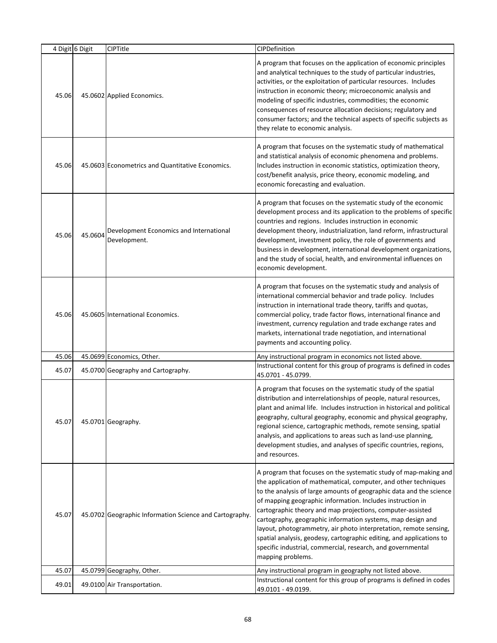|       | 4 Digit 6 Digit | <b>CIPTitle</b>                                         | CIPDefinition                                                                                                                                                                                                                                                                                                                                                                                                                                                                                                                                                                                                                          |
|-------|-----------------|---------------------------------------------------------|----------------------------------------------------------------------------------------------------------------------------------------------------------------------------------------------------------------------------------------------------------------------------------------------------------------------------------------------------------------------------------------------------------------------------------------------------------------------------------------------------------------------------------------------------------------------------------------------------------------------------------------|
| 45.06 |                 | 45.0602 Applied Economics.                              | A program that focuses on the application of economic principles<br>and analytical techniques to the study of particular industries,<br>activities, or the exploitation of particular resources. Includes<br>instruction in economic theory; microeconomic analysis and<br>modeling of specific industries, commodities; the economic<br>consequences of resource allocation decisions; regulatory and<br>consumer factors; and the technical aspects of specific subjects as<br>they relate to economic analysis.                                                                                                                     |
| 45.06 |                 | 45.0603 Econometrics and Quantitative Economics.        | A program that focuses on the systematic study of mathematical<br>and statistical analysis of economic phenomena and problems.<br>Includes instruction in economic statistics, optimization theory,<br>cost/benefit analysis, price theory, economic modeling, and<br>economic forecasting and evaluation.                                                                                                                                                                                                                                                                                                                             |
| 45.06 | 45.0604         | Development Economics and International<br>Development. | A program that focuses on the systematic study of the economic<br>development process and its application to the problems of specific<br>countries and regions. Includes instruction in economic<br>development theory, industrialization, land reform, infrastructural<br>development, investment policy, the role of governments and<br>business in development, international development organizations,<br>and the study of social, health, and environmental influences on<br>economic development.                                                                                                                               |
| 45.06 |                 | 45.0605 International Economics.                        | A program that focuses on the systematic study and analysis of<br>international commercial behavior and trade policy. Includes<br>instruction in international trade theory, tariffs and quotas,<br>commercial policy, trade factor flows, international finance and<br>investment, currency regulation and trade exchange rates and<br>markets, international trade negotiation, and international<br>payments and accounting policy.                                                                                                                                                                                                 |
| 45.06 |                 | 45.0699 Economics, Other.                               | Any instructional program in economics not listed above.                                                                                                                                                                                                                                                                                                                                                                                                                                                                                                                                                                               |
| 45.07 |                 | 45.0700 Geography and Cartography.                      | Instructional content for this group of programs is defined in codes<br>45.0701 - 45.0799.                                                                                                                                                                                                                                                                                                                                                                                                                                                                                                                                             |
| 45.07 |                 | 45.0701 Geography.                                      | A program that focuses on the systematic study of the spatial<br>distribution and interrelationships of people, natural resources,<br>plant and animal life. Includes instruction in historical and political<br>geography, cultural geography, economic and physical geography,<br>regional science, cartographic methods, remote sensing, spatial<br>analysis, and applications to areas such as land-use planning,<br>development studies, and analyses of specific countries, regions,<br>and resources.                                                                                                                           |
| 45.07 |                 | 45.0702 Geographic Information Science and Cartography. | A program that focuses on the systematic study of map-making and<br>the application of mathematical, computer, and other techniques<br>to the analysis of large amounts of geographic data and the science<br>of mapping geographic information. Includes instruction in<br>cartographic theory and map projections, computer-assisted<br>cartography, geographic information systems, map design and<br>layout, photogrammetry, air photo interpretation, remote sensing,<br>spatial analysis, geodesy, cartographic editing, and applications to<br>specific industrial, commercial, research, and governmental<br>mapping problems. |
| 45.07 |                 | 45.0799 Geography, Other.                               | Any instructional program in geography not listed above.                                                                                                                                                                                                                                                                                                                                                                                                                                                                                                                                                                               |
| 49.01 |                 | 49.0100 Air Transportation.                             | Instructional content for this group of programs is defined in codes<br>49.0101 - 49.0199.                                                                                                                                                                                                                                                                                                                                                                                                                                                                                                                                             |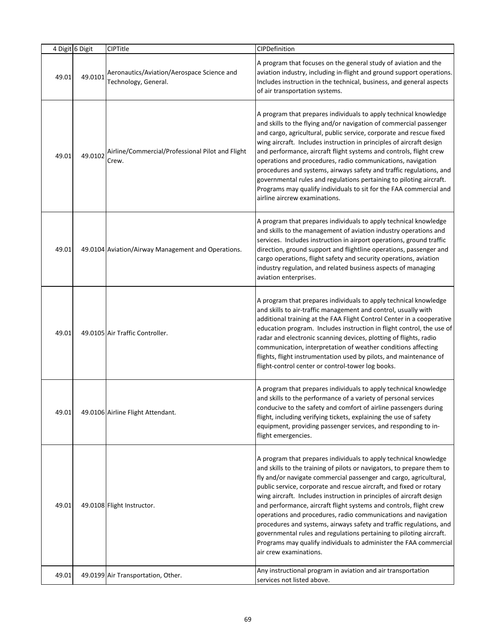|       | 4 Digit 6 Digit | CIPTitle                                                           | CIPDefinition                                                                                                                                                                                                                                                                                                                                                                                                                                                                                                                                                                                                                                                                                                                                      |
|-------|-----------------|--------------------------------------------------------------------|----------------------------------------------------------------------------------------------------------------------------------------------------------------------------------------------------------------------------------------------------------------------------------------------------------------------------------------------------------------------------------------------------------------------------------------------------------------------------------------------------------------------------------------------------------------------------------------------------------------------------------------------------------------------------------------------------------------------------------------------------|
| 49.01 | 49.0101         | Aeronautics/Aviation/Aerospace Science and<br>Technology, General. | A program that focuses on the general study of aviation and the<br>aviation industry, including in-flight and ground support operations.<br>Includes instruction in the technical, business, and general aspects<br>of air transportation systems.                                                                                                                                                                                                                                                                                                                                                                                                                                                                                                 |
| 49.01 | 49.0102         | Airline/Commercial/Professional Pilot and Flight<br>Crew.          | A program that prepares individuals to apply technical knowledge<br>and skills to the flying and/or navigation of commercial passenger<br>and cargo, agricultural, public service, corporate and rescue fixed<br>wing aircraft. Includes instruction in principles of aircraft design<br>and performance, aircraft flight systems and controls, flight crew<br>operations and procedures, radio communications, navigation<br>procedures and systems, airways safety and traffic regulations, and<br>governmental rules and regulations pertaining to piloting aircraft.<br>Programs may qualify individuals to sit for the FAA commercial and<br>airline aircrew examinations.                                                                    |
| 49.01 |                 | 49.0104 Aviation/Airway Management and Operations.                 | A program that prepares individuals to apply technical knowledge<br>and skills to the management of aviation industry operations and<br>services. Includes instruction in airport operations, ground traffic<br>direction, ground support and flightline operations, passenger and<br>cargo operations, flight safety and security operations, aviation<br>industry regulation, and related business aspects of managing<br>aviation enterprises.                                                                                                                                                                                                                                                                                                  |
| 49.01 |                 | 49.0105 Air Traffic Controller.                                    | A program that prepares individuals to apply technical knowledge<br>and skills to air-traffic management and control, usually with<br>additional training at the FAA Flight Control Center in a cooperative<br>education program. Includes instruction in flight control, the use of<br>radar and electronic scanning devices, plotting of flights, radio<br>communication, interpretation of weather conditions affecting<br>flights, flight instrumentation used by pilots, and maintenance of<br>flight-control center or control-tower log books.                                                                                                                                                                                              |
| 49.01 |                 | 49.0106 Airline Flight Attendant.                                  | A program that prepares individuals to apply technical knowledge<br>and skills to the performance of a variety of personal services<br>conducive to the safety and comfort of airline passengers during<br>flight, including verifying tickets, explaining the use of safety<br>equipment, providing passenger services, and responding to in-<br>flight emergencies.                                                                                                                                                                                                                                                                                                                                                                              |
| 49.01 |                 | 49.0108 Flight Instructor.                                         | A program that prepares individuals to apply technical knowledge<br>and skills to the training of pilots or navigators, to prepare them to<br>fly and/or navigate commercial passenger and cargo, agricultural,<br>public service, corporate and rescue aircraft, and fixed or rotary<br>wing aircraft. Includes instruction in principles of aircraft design<br>and performance, aircraft flight systems and controls, flight crew<br>operations and procedures, radio communications and navigation<br>procedures and systems, airways safety and traffic regulations, and<br>governmental rules and regulations pertaining to piloting aircraft.<br>Programs may qualify individuals to administer the FAA commercial<br>air crew examinations. |
| 49.01 |                 | 49.0199 Air Transportation, Other.                                 | Any instructional program in aviation and air transportation<br>services not listed above.                                                                                                                                                                                                                                                                                                                                                                                                                                                                                                                                                                                                                                                         |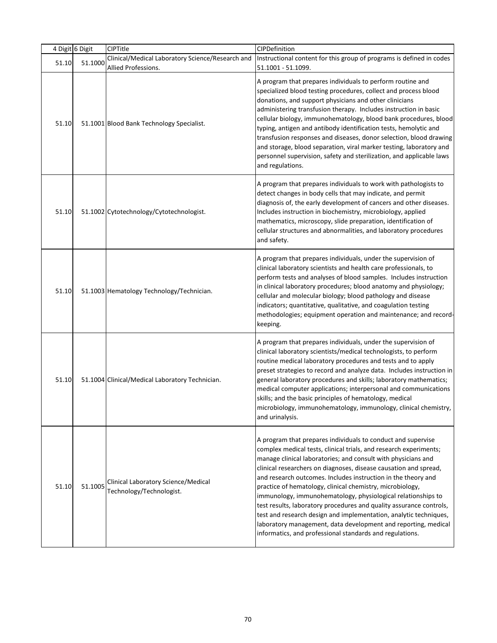|       | 4 Digit 6 Digit | CIPTitle                                                        | CIPDefinition                                                                                                                                                                                                                                                                                                                                                                                                                                                                                                                                                                                                                                                                                                                                  |
|-------|-----------------|-----------------------------------------------------------------|------------------------------------------------------------------------------------------------------------------------------------------------------------------------------------------------------------------------------------------------------------------------------------------------------------------------------------------------------------------------------------------------------------------------------------------------------------------------------------------------------------------------------------------------------------------------------------------------------------------------------------------------------------------------------------------------------------------------------------------------|
| 51.10 | 51.1000         | Clinical/Medical Laboratory Science/Research and                | Instructional content for this group of programs is defined in codes                                                                                                                                                                                                                                                                                                                                                                                                                                                                                                                                                                                                                                                                           |
|       |                 | Allied Professions.                                             | 51.1001 - 51.1099.                                                                                                                                                                                                                                                                                                                                                                                                                                                                                                                                                                                                                                                                                                                             |
| 51.10 |                 | 51.1001 Blood Bank Technology Specialist.                       | A program that prepares individuals to perform routine and<br>specialized blood testing procedures, collect and process blood<br>donations, and support physicians and other clinicians<br>administering transfusion therapy. Includes instruction in basic<br>cellular biology, immunohematology, blood bank procedures, blood<br>typing, antigen and antibody identification tests, hemolytic and<br>transfusion responses and diseases, donor selection, blood drawing<br>and storage, blood separation, viral marker testing, laboratory and<br>personnel supervision, safety and sterilization, and applicable laws<br>and regulations.                                                                                                   |
| 51.10 |                 | 51.1002 Cytotechnology/Cytotechnologist.                        | A program that prepares individuals to work with pathologists to<br>detect changes in body cells that may indicate, and permit<br>diagnosis of, the early development of cancers and other diseases.<br>Includes instruction in biochemistry, microbiology, applied<br>mathematics, microscopy, slide preparation, identification of<br>cellular structures and abnormalities, and laboratory procedures<br>and safety.                                                                                                                                                                                                                                                                                                                        |
| 51.10 |                 | 51.1003 Hematology Technology/Technician.                       | A program that prepares individuals, under the supervision of<br>clinical laboratory scientists and health care professionals, to<br>perform tests and analyses of blood samples. Includes instruction<br>in clinical laboratory procedures; blood anatomy and physiology;<br>cellular and molecular biology; blood pathology and disease<br>indicators; quantitative, qualitative, and coagulation testing<br>methodologies; equipment operation and maintenance; and record-<br>keeping.                                                                                                                                                                                                                                                     |
| 51.10 |                 | 51.1004 Clinical/Medical Laboratory Technician.                 | A program that prepares individuals, under the supervision of<br>clinical laboratory scientists/medical technologists, to perform<br>routine medical laboratory procedures and tests and to apply<br>preset strategies to record and analyze data. Includes instruction in<br>general laboratory procedures and skills; laboratory mathematics;<br>medical computer applications; interpersonal and communications<br>skills; and the basic principles of hematology, medical<br>microbiology, immunohematology, immunology, clinical chemistry,<br>and urinalysis.                                                                                                                                                                            |
| 51.10 | 51.1005         | Clinical Laboratory Science/Medical<br>Technology/Technologist. | A program that prepares individuals to conduct and supervise<br>complex medical tests, clinical trials, and research experiments;<br>manage clinical laboratories; and consult with physicians and<br>clinical researchers on diagnoses, disease causation and spread,<br>and research outcomes. Includes instruction in the theory and<br>practice of hematology, clinical chemistry, microbiology,<br>immunology, immunohematology, physiological relationships to<br>test results, laboratory procedures and quality assurance controls,<br>test and research design and implementation, analytic techniques,<br>laboratory management, data development and reporting, medical<br>informatics, and professional standards and regulations. |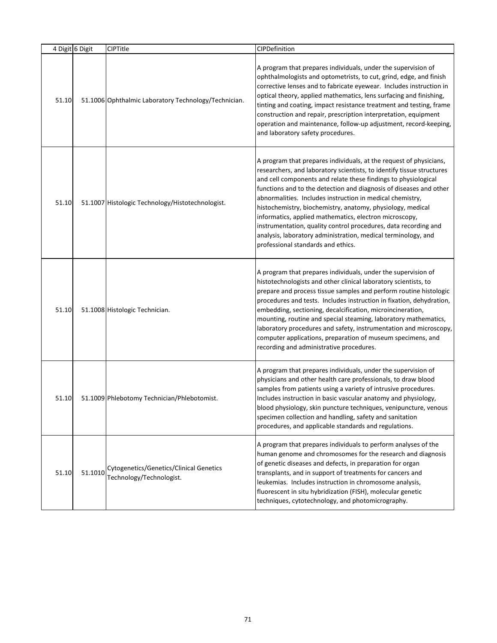| 4 Digit 6 Digit |         | CIPTitle                                                            | CIPDefinition                                                                                                                                                                                                                                                                                                                                                                                                                                                                                                                                                                                                                                      |
|-----------------|---------|---------------------------------------------------------------------|----------------------------------------------------------------------------------------------------------------------------------------------------------------------------------------------------------------------------------------------------------------------------------------------------------------------------------------------------------------------------------------------------------------------------------------------------------------------------------------------------------------------------------------------------------------------------------------------------------------------------------------------------|
| 51.10           |         | 51.1006 Ophthalmic Laboratory Technology/Technician.                | A program that prepares individuals, under the supervision of<br>ophthalmologists and optometrists, to cut, grind, edge, and finish<br>corrective lenses and to fabricate eyewear. Includes instruction in<br>optical theory, applied mathematics, lens surfacing and finishing,<br>tinting and coating, impact resistance treatment and testing, frame<br>construction and repair, prescription interpretation, equipment<br>operation and maintenance, follow-up adjustment, record-keeping,<br>and laboratory safety procedures.                                                                                                                |
| 51.10           |         | 51.1007 Histologic Technology/Histotechnologist.                    | A program that prepares individuals, at the request of physicians,<br>researchers, and laboratory scientists, to identify tissue structures<br>and cell components and relate these findings to physiological<br>functions and to the detection and diagnosis of diseases and other<br>abnormalities. Includes instruction in medical chemistry,<br>histochemistry, biochemistry, anatomy, physiology, medical<br>informatics, applied mathematics, electron microscopy,<br>instrumentation, quality control procedures, data recording and<br>analysis, laboratory administration, medical terminology, and<br>professional standards and ethics. |
| 51.10           |         | 51.1008 Histologic Technician.                                      | A program that prepares individuals, under the supervision of<br>histotechnologists and other clinical laboratory scientists, to<br>prepare and process tissue samples and perform routine histologic<br>procedures and tests. Includes instruction in fixation, dehydration,<br>embedding, sectioning, decalcification, microincineration,<br>mounting, routine and special steaming, laboratory mathematics,<br>laboratory procedures and safety, instrumentation and microscopy,<br>computer applications, preparation of museum specimens, and<br>recording and administrative procedures.                                                     |
| 51.10           |         | 51.1009 Phlebotomy Technician/Phlebotomist.                         | A program that prepares individuals, under the supervision of<br>physicians and other health care professionals, to draw blood<br>samples from patients using a variety of intrusive procedures.<br>Includes instruction in basic vascular anatomy and physiology,<br>blood physiology, skin puncture techniques, venipuncture, venous<br>specimen collection and handling, safety and sanitation<br>procedures, and applicable standards and regulations.                                                                                                                                                                                         |
| 51.10           | 51.1010 | Cytogenetics/Genetics/Clinical Genetics<br>Technology/Technologist. | A program that prepares individuals to perform analyses of the<br>human genome and chromosomes for the research and diagnosis<br>of genetic diseases and defects, in preparation for organ<br>transplants, and in support of treatments for cancers and<br>leukemias. Includes instruction in chromosome analysis,<br>fluorescent in situ hybridization (FISH), molecular genetic<br>techniques, cytotechnology, and photomicrography.                                                                                                                                                                                                             |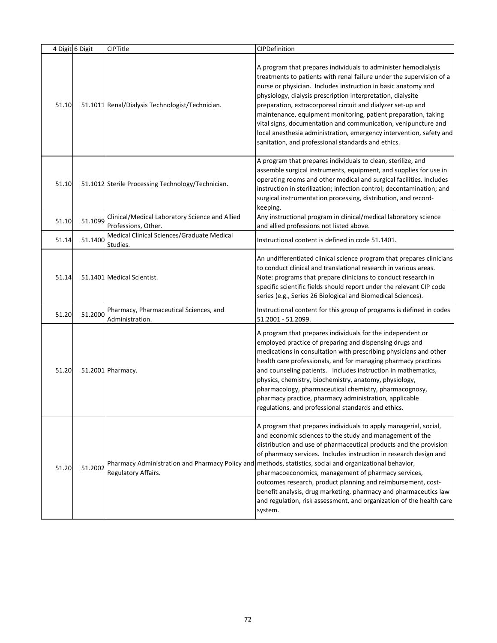|       | 4 Digit 6 Digit | CIPTitle                                                                      | CIPDefinition                                                                                                                                                                                                                                                                                                                                                                                                                                                                                                                                                                                                                                                    |
|-------|-----------------|-------------------------------------------------------------------------------|------------------------------------------------------------------------------------------------------------------------------------------------------------------------------------------------------------------------------------------------------------------------------------------------------------------------------------------------------------------------------------------------------------------------------------------------------------------------------------------------------------------------------------------------------------------------------------------------------------------------------------------------------------------|
| 51.10 |                 | 51.1011 Renal/Dialysis Technologist/Technician.                               | A program that prepares individuals to administer hemodialysis<br>treatments to patients with renal failure under the supervision of a<br>nurse or physician. Includes instruction in basic anatomy and<br>physiology, dialysis prescription interpretation, dialysite<br>preparation, extracorporeal circuit and dialyzer set-up and<br>maintenance, equipment monitoring, patient preparation, taking<br>vital signs, documentation and communication, venipuncture and<br>local anesthesia administration, emergency intervention, safety and<br>sanitation, and professional standards and ethics.                                                           |
| 51.10 |                 | 51.1012 Sterile Processing Technology/Technician.                             | A program that prepares individuals to clean, sterilize, and<br>assemble surgical instruments, equipment, and supplies for use in<br>operating rooms and other medical and surgical facilities. Includes<br>instruction in sterilization; infection control; decontamination; and<br>surgical instrumentation processing, distribution, and record-<br>keeping.                                                                                                                                                                                                                                                                                                  |
| 51.10 | 51.1099         | Clinical/Medical Laboratory Science and Allied                                | Any instructional program in clinical/medical laboratory science                                                                                                                                                                                                                                                                                                                                                                                                                                                                                                                                                                                                 |
| 51.14 | 51.1400         | Professions, Other.<br>Medical Clinical Sciences/Graduate Medical<br>Studies. | and allied professions not listed above.<br>Instructional content is defined in code 51.1401.                                                                                                                                                                                                                                                                                                                                                                                                                                                                                                                                                                    |
| 51.14 |                 | 51.1401 Medical Scientist.                                                    | An undifferentiated clinical science program that prepares clinicians<br>to conduct clinical and translational research in various areas.<br>Note: programs that prepare clinicians to conduct research in<br>specific scientific fields should report under the relevant CIP code<br>series (e.g., Series 26 Biological and Biomedical Sciences).                                                                                                                                                                                                                                                                                                               |
| 51.20 | 51.2000         | Pharmacy, Pharmaceutical Sciences, and<br>Administration.                     | Instructional content for this group of programs is defined in codes<br>51.2001 - 51.2099.                                                                                                                                                                                                                                                                                                                                                                                                                                                                                                                                                                       |
| 51.20 |                 | 51.2001 Pharmacy.                                                             | A program that prepares individuals for the independent or<br>employed practice of preparing and dispensing drugs and<br>medications in consultation with prescribing physicians and other<br>health care professionals, and for managing pharmacy practices<br>and counseling patients. Includes instruction in mathematics,<br>physics, chemistry, biochemistry, anatomy, physiology,<br>pharmacology, pharmaceutical chemistry, pharmacognosy,<br>pharmacy practice, pharmacy administration, applicable<br>regulations, and professional standards and ethics.                                                                                               |
| 51.20 | 51.2002         | Regulatory Affairs.                                                           | A program that prepares individuals to apply managerial, social,<br>and economic sciences to the study and management of the<br>distribution and use of pharmaceutical products and the provision<br>of pharmacy services. Includes instruction in research design and<br>Pharmacy Administration and Pharmacy Policy and methods, statistics, social and organizational behavior,<br>pharmacoeconomics, management of pharmacy services,<br>outcomes research, product planning and reimbursement, cost-<br>benefit analysis, drug marketing, pharmacy and pharmaceutics law<br>and regulation, risk assessment, and organization of the health care<br>system. |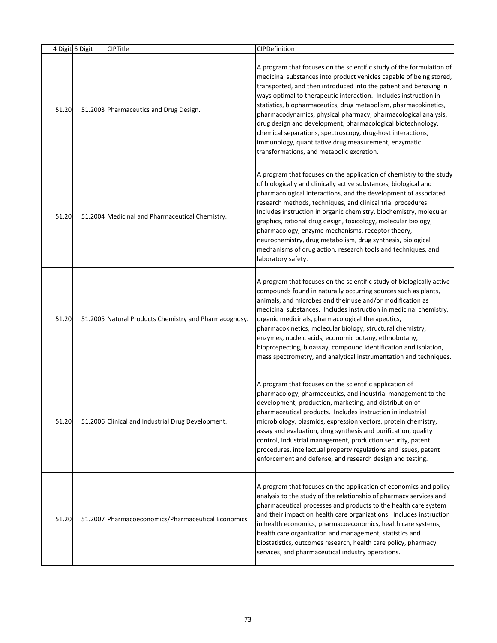|       | 4 Digit 6 Digit | CIPTitle                                              | CIPDefinition                                                                                                                                                                                                                                                                                                                                                                                                                                                                                                                                                                                                                                                 |
|-------|-----------------|-------------------------------------------------------|---------------------------------------------------------------------------------------------------------------------------------------------------------------------------------------------------------------------------------------------------------------------------------------------------------------------------------------------------------------------------------------------------------------------------------------------------------------------------------------------------------------------------------------------------------------------------------------------------------------------------------------------------------------|
| 51.20 |                 | 51.2003 Pharmaceutics and Drug Design.                | A program that focuses on the scientific study of the formulation of<br>medicinal substances into product vehicles capable of being stored,<br>transported, and then introduced into the patient and behaving in<br>ways optimal to therapeutic interaction. Includes instruction in<br>statistics, biopharmaceutics, drug metabolism, pharmacokinetics,<br>pharmacodynamics, physical pharmacy, pharmacological analysis,<br>drug design and development, pharmacological biotechnology,<br>chemical separations, spectroscopy, drug-host interactions,<br>immunology, quantitative drug measurement, enzymatic<br>transformations, and metabolic excretion. |
| 51.20 |                 | 51.2004 Medicinal and Pharmaceutical Chemistry.       | A program that focuses on the application of chemistry to the study<br>of biologically and clinically active substances, biological and<br>pharmacological interactions, and the development of associated<br>research methods, techniques, and clinical trial procedures.<br>Includes instruction in organic chemistry, biochemistry, molecular<br>graphics, rational drug design, toxicology, molecular biology,<br>pharmacology, enzyme mechanisms, receptor theory,<br>neurochemistry, drug metabolism, drug synthesis, biological<br>mechanisms of drug action, research tools and techniques, and<br>laboratory safety.                                 |
| 51.20 |                 | 51.2005 Natural Products Chemistry and Pharmacognosy. | A program that focuses on the scientific study of biologically active<br>compounds found in naturally occurring sources such as plants,<br>animals, and microbes and their use and/or modification as<br>medicinal substances. Includes instruction in medicinal chemistry,<br>organic medicinals, pharmacological therapeutics,<br>pharmacokinetics, molecular biology, structural chemistry,<br>enzymes, nucleic acids, economic botany, ethnobotany,<br>bioprospecting, bioassay, compound identification and isolation,<br>mass spectrometry, and analytical instrumentation and techniques.                                                              |
| 51.20 |                 | 51.2006 Clinical and Industrial Drug Development.     | A program that focuses on the scientific application of<br>pharmacology, pharmaceutics, and industrial management to the<br>development, production, marketing, and distribution of<br>pharmaceutical products. Includes instruction in industrial<br>microbiology, plasmids, expression vectors, protein chemistry,<br>assay and evaluation, drug synthesis and purification, quality<br>control, industrial management, production security, patent<br>procedures, intellectual property regulations and issues, patent<br>enforcement and defense, and research design and testing.                                                                        |
| 51.20 |                 | 51.2007 Pharmacoeconomics/Pharmaceutical Economics.   | A program that focuses on the application of economics and policy<br>analysis to the study of the relationship of pharmacy services and<br>pharmaceutical processes and products to the health care system<br>and their impact on health care organizations. Includes instruction<br>in health economics, pharmacoeconomics, health care systems,<br>health care organization and management, statistics and<br>biostatistics, outcomes research, health care policy, pharmacy<br>services, and pharmaceutical industry operations.                                                                                                                           |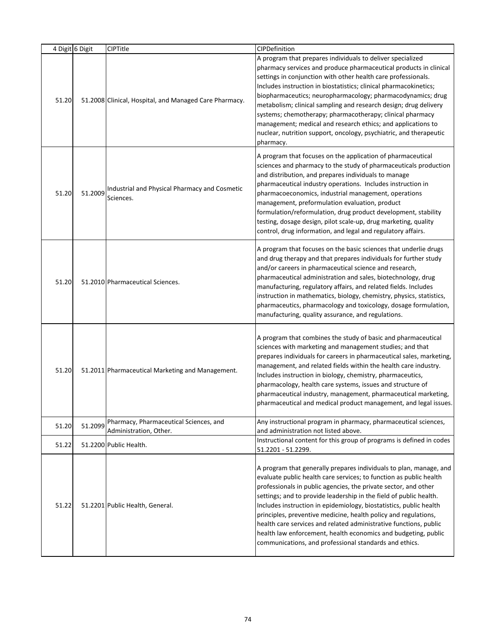|       | 4 Digit 6 Digit | <b>CIPTitle</b>                                                  | CIPDefinition                                                                                                                                                                                                                                                                                                                                                                                                                                                                                                                                                                                                               |
|-------|-----------------|------------------------------------------------------------------|-----------------------------------------------------------------------------------------------------------------------------------------------------------------------------------------------------------------------------------------------------------------------------------------------------------------------------------------------------------------------------------------------------------------------------------------------------------------------------------------------------------------------------------------------------------------------------------------------------------------------------|
| 51.20 |                 | 51.2008 Clinical, Hospital, and Managed Care Pharmacy.           | A program that prepares individuals to deliver specialized<br>pharmacy services and produce pharmaceutical products in clinical<br>settings in conjunction with other health care professionals.<br>Includes instruction in biostatistics; clinical pharmacokinetics;<br>biopharmaceutics; neuropharmacology; pharmacodynamics; drug<br>metabolism; clinical sampling and research design; drug delivery<br>systems; chemotherapy; pharmacotherapy; clinical pharmacy<br>management; medical and research ethics; and applications to<br>nuclear, nutrition support, oncology, psychiatric, and therapeutic<br>pharmacy.    |
| 51.20 | 51.2009         | Industrial and Physical Pharmacy and Cosmetic<br>Sciences.       | A program that focuses on the application of pharmaceutical<br>sciences and pharmacy to the study of pharmaceuticals production<br>and distribution, and prepares individuals to manage<br>pharmaceutical industry operations. Includes instruction in<br>pharmacoeconomics, industrial management, operations<br>management, preformulation evaluation, product<br>formulation/reformulation, drug product development, stability<br>testing, dosage design, pilot scale-up, drug marketing, quality<br>control, drug information, and legal and regulatory affairs.                                                       |
| 51.20 |                 | 51.2010 Pharmaceutical Sciences.                                 | A program that focuses on the basic sciences that underlie drugs<br>and drug therapy and that prepares individuals for further study<br>and/or careers in pharmaceutical science and research,<br>pharmaceutical administration and sales, biotechnology, drug<br>manufacturing, regulatory affairs, and related fields. Includes<br>instruction in mathematics, biology, chemistry, physics, statistics,<br>pharmaceutics, pharmacology and toxicology, dosage formulation,<br>manufacturing, quality assurance, and regulations.                                                                                          |
| 51.20 |                 | 51.2011 Pharmaceutical Marketing and Management.                 | A program that combines the study of basic and pharmaceutical<br>sciences with marketing and management studies; and that<br>prepares individuals for careers in pharmaceutical sales, marketing,<br>management, and related fields within the health care industry.<br>Includes instruction in biology, chemistry, pharmaceutics,<br>pharmacology, health care systems, issues and structure of<br>pharmaceutical industry, management, pharmaceutical marketing,<br>pharmaceutical and medical product management, and legal issues.                                                                                      |
| 51.20 | 51.2099         | Pharmacy, Pharmaceutical Sciences, and<br>Administration, Other. | Any instructional program in pharmacy, pharmaceutical sciences,<br>and administration not listed above.                                                                                                                                                                                                                                                                                                                                                                                                                                                                                                                     |
| 51.22 |                 | 51.2200 Public Health.                                           | Instructional content for this group of programs is defined in codes<br>51.2201 - 51.2299.                                                                                                                                                                                                                                                                                                                                                                                                                                                                                                                                  |
| 51.22 |                 | 51.2201 Public Health, General.                                  | A program that generally prepares individuals to plan, manage, and<br>evaluate public health care services; to function as public health<br>professionals in public agencies, the private sector, and other<br>settings; and to provide leadership in the field of public health.<br>Includes instruction in epidemiology, biostatistics, public health<br>principles, preventive medicine, health policy and regulations,<br>health care services and related administrative functions, public<br>health law enforcement, health economics and budgeting, public<br>communications, and professional standards and ethics. |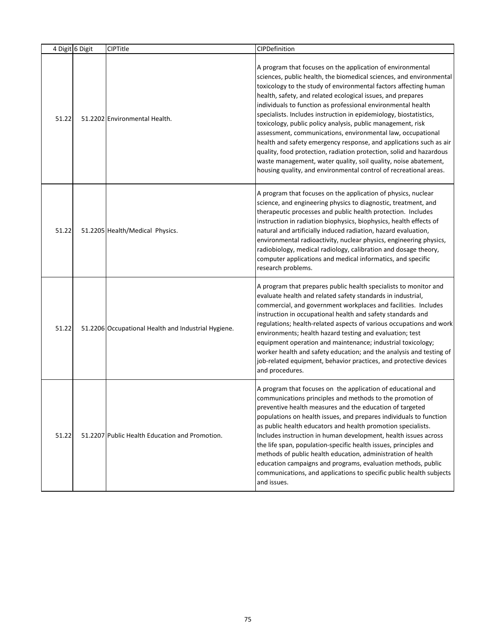|       | 4 Digit 6 Digit | <b>CIPTitle</b>                                     | CIPDefinition                                                                                                                                                                                                                                                                                                                                                                                                                                                                                                                                                                                                                                                                                                                                                                                                                |
|-------|-----------------|-----------------------------------------------------|------------------------------------------------------------------------------------------------------------------------------------------------------------------------------------------------------------------------------------------------------------------------------------------------------------------------------------------------------------------------------------------------------------------------------------------------------------------------------------------------------------------------------------------------------------------------------------------------------------------------------------------------------------------------------------------------------------------------------------------------------------------------------------------------------------------------------|
| 51.22 |                 | 51.2202 Environmental Health.                       | A program that focuses on the application of environmental<br>sciences, public health, the biomedical sciences, and environmental<br>toxicology to the study of environmental factors affecting human<br>health, safety, and related ecological issues, and prepares<br>individuals to function as professional environmental health<br>specialists. Includes instruction in epidemiology, biostatistics,<br>toxicology, public policy analysis, public management, risk<br>assessment, communications, environmental law, occupational<br>health and safety emergency response, and applications such as air<br>quality, food protection, radiation protection, solid and hazardous<br>waste management, water quality, soil quality, noise abatement,<br>housing quality, and environmental control of recreational areas. |
| 51.22 |                 | 51.2205 Health/Medical Physics.                     | A program that focuses on the application of physics, nuclear<br>science, and engineering physics to diagnostic, treatment, and<br>therapeutic processes and public health protection. Includes<br>instruction in radiation biophysics, biophysics, health effects of<br>natural and artificially induced radiation, hazard evaluation,<br>environmental radioactivity, nuclear physics, engineering physics,<br>radiobiology, medical radiology, calibration and dosage theory,<br>computer applications and medical informatics, and specific<br>research problems.                                                                                                                                                                                                                                                        |
| 51.22 |                 | 51.2206 Occupational Health and Industrial Hygiene. | A program that prepares public health specialists to monitor and<br>evaluate health and related safety standards in industrial,<br>commercial, and government workplaces and facilities. Includes<br>instruction in occupational health and safety standards and<br>regulations; health-related aspects of various occupations and work<br>environments; health hazard testing and evaluation; test<br>equipment operation and maintenance; industrial toxicology;<br>worker health and safety education; and the analysis and testing of<br>job-related equipment, behavior practices, and protective devices<br>and procedures.                                                                                                                                                                                            |
| 51.22 |                 | 51.2207 Public Health Education and Promotion.      | A program that focuses on the application of educational and<br>communications principles and methods to the promotion of<br>preventive health measures and the education of targeted<br>populations on health issues, and prepares individuals to function<br>as public health educators and health promotion specialists.<br>Includes instruction in human development, health issues across<br>the life span, population-specific health issues, principles and<br>methods of public health education, administration of health<br>education campaigns and programs, evaluation methods, public<br>communications, and applications to specific public health subjects<br>and issues.                                                                                                                                     |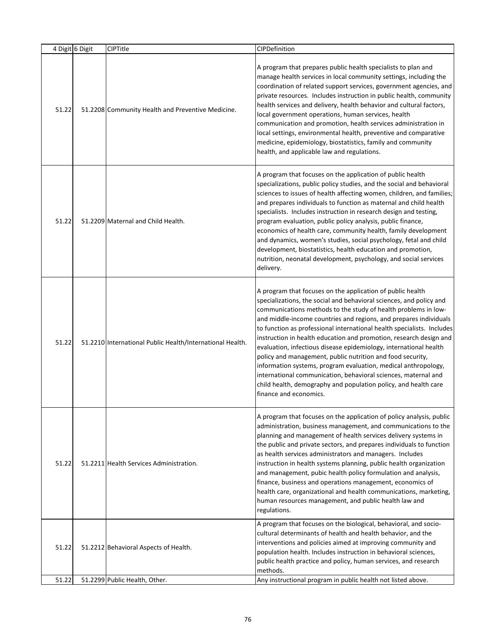|       | 4 Digit 6 Digit | CIPTitle                                                  | CIPDefinition                                                                                                                                                                                                                                                                                                                                                                                                                                                                                                                                                                                                                                                                                                                                                                                |
|-------|-----------------|-----------------------------------------------------------|----------------------------------------------------------------------------------------------------------------------------------------------------------------------------------------------------------------------------------------------------------------------------------------------------------------------------------------------------------------------------------------------------------------------------------------------------------------------------------------------------------------------------------------------------------------------------------------------------------------------------------------------------------------------------------------------------------------------------------------------------------------------------------------------|
| 51.22 |                 | 51.2208 Community Health and Preventive Medicine.         | A program that prepares public health specialists to plan and<br>manage health services in local community settings, including the<br>coordination of related support services, government agencies, and<br>private resources. Includes instruction in public health, community<br>health services and delivery, health behavior and cultural factors,<br>local government operations, human services, health<br>communication and promotion, health services administration in<br>local settings, environmental health, preventive and comparative<br>medicine, epidemiology, biostatistics, family and community<br>health, and applicable law and regulations.                                                                                                                            |
| 51.22 |                 | 51.2209 Maternal and Child Health.                        | A program that focuses on the application of public health<br>specializations, public policy studies, and the social and behavioral<br>sciences to issues of health affecting women, children, and families;<br>and prepares individuals to function as maternal and child health<br>specialists. Includes instruction in research design and testing,<br>program evaluation, public policy analysis, public finance,<br>economics of health care, community health, family development<br>and dynamics, women's studies, social psychology, fetal and child<br>development, biostatistics, health education and promotion,<br>nutrition, neonatal development, psychology, and social services<br>delivery.                                                                                 |
| 51.22 |                 | 51.2210 International Public Health/International Health. | A program that focuses on the application of public health<br>specializations, the social and behavioral sciences, and policy and<br>communications methods to the study of health problems in low-<br>and middle-income countries and regions, and prepares individuals<br>to function as professional international health specialists. Includes<br>instruction in health education and promotion, research design and<br>evaluation, infectious disease epidemiology, international health<br>policy and management, public nutrition and food security,<br>information systems, program evaluation, medical anthropology,<br>international communication, behavioral sciences, maternal and<br>child health, demography and population policy, and health care<br>finance and economics. |
| 51.22 |                 | 51.2211 Health Services Administration.                   | A program that focuses on the application of policy analysis, public<br>administration, business management, and communications to the<br>planning and management of health services delivery systems in<br>the public and private sectors, and prepares individuals to function<br>as health services administrators and managers. Includes<br>instruction in health systems planning, public health organization<br>and management, pubic health policy formulation and analysis,<br>finance, business and operations management, economics of<br>health care, organizational and health communications, marketing,<br>human resources management, and public health law and<br>regulations.                                                                                               |
| 51.22 |                 | 51.2212 Behavioral Aspects of Health.                     | A program that focuses on the biological, behavioral, and socio-<br>cultural determinants of health and health behavior, and the<br>interventions and policies aimed at improving community and<br>population health. Includes instruction in behavioral sciences,<br>public health practice and policy, human services, and research<br>methods.                                                                                                                                                                                                                                                                                                                                                                                                                                            |
| 51.22 |                 | 51.2299 Public Health, Other.                             | Any instructional program in public health not listed above.                                                                                                                                                                                                                                                                                                                                                                                                                                                                                                                                                                                                                                                                                                                                 |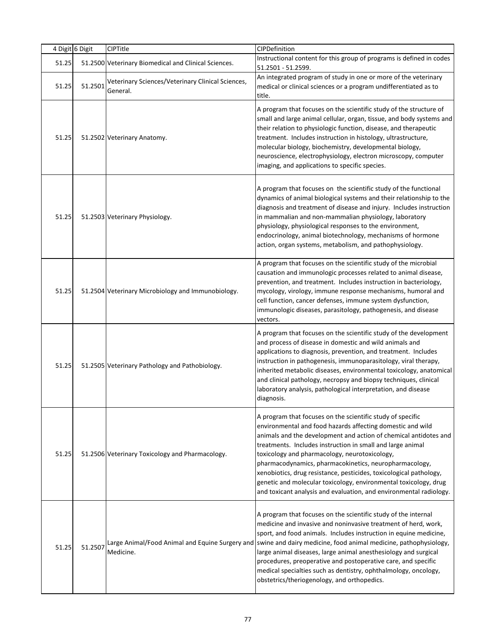|       | 4 Digit 6 Digit | CIPTitle                                                      | CIPDefinition                                                                                                                                                                                                                                                                                                                                                                                                                                                                                                                                                                         |
|-------|-----------------|---------------------------------------------------------------|---------------------------------------------------------------------------------------------------------------------------------------------------------------------------------------------------------------------------------------------------------------------------------------------------------------------------------------------------------------------------------------------------------------------------------------------------------------------------------------------------------------------------------------------------------------------------------------|
| 51.25 |                 | 51.2500 Veterinary Biomedical and Clinical Sciences.          | Instructional content for this group of programs is defined in codes<br>51.2501 - 51.2599.                                                                                                                                                                                                                                                                                                                                                                                                                                                                                            |
| 51.25 | 51.2501         | Veterinary Sciences/Veterinary Clinical Sciences,<br>General. | An integrated program of study in one or more of the veterinary<br>medical or clinical sciences or a program undifferentiated as to<br>title.                                                                                                                                                                                                                                                                                                                                                                                                                                         |
| 51.25 |                 | 51.2502 Veterinary Anatomy.                                   | A program that focuses on the scientific study of the structure of<br>small and large animal cellular, organ, tissue, and body systems and<br>their relation to physiologic function, disease, and therapeutic<br>treatment. Includes instruction in histology, ultrastructure,<br>molecular biology, biochemistry, developmental biology,<br>neuroscience, electrophysiology, electron microscopy, computer<br>imaging, and applications to specific species.                                                                                                                        |
| 51.25 |                 | 51.2503 Veterinary Physiology.                                | A program that focuses on the scientific study of the functional<br>dynamics of animal biological systems and their relationship to the<br>diagnosis and treatment of disease and injury. Includes instruction<br>in mammalian and non-mammalian physiology, laboratory<br>physiology, physiological responses to the environment,<br>endocrinology, animal biotechnology, mechanisms of hormone<br>action, organ systems, metabolism, and pathophysiology.                                                                                                                           |
| 51.25 |                 | 51.2504 Veterinary Microbiology and Immunobiology.            | A program that focuses on the scientific study of the microbial<br>causation and immunologic processes related to animal disease,<br>prevention, and treatment. Includes instruction in bacteriology,<br>mycology, virology, immune response mechanisms, humoral and<br>cell function, cancer defenses, immune system dysfunction,<br>immunologic diseases, parasitology, pathogenesis, and disease<br>vectors.                                                                                                                                                                       |
| 51.25 |                 | 51.2505 Veterinary Pathology and Pathobiology.                | A program that focuses on the scientific study of the development<br>and process of disease in domestic and wild animals and<br>applications to diagnosis, prevention, and treatment. Includes<br>instruction in pathogenesis, immunoparasitology, viral therapy,<br>inherited metabolic diseases, environmental toxicology, anatomical<br>and clinical pathology, necropsy and biopsy techniques, clinical<br>laboratory analysis, pathological interpretation, and disease<br>diagnosis.                                                                                            |
| 51.25 |                 | 51.2506 Veterinary Toxicology and Pharmacology.               | A program that focuses on the scientific study of specific<br>environmental and food hazards affecting domestic and wild<br>animals and the development and action of chemical antidotes and<br>treatments. Includes instruction in small and large animal<br>toxicology and pharmacology, neurotoxicology,<br>pharmacodynamics, pharmacokinetics, neuropharmacology,<br>xenobiotics, drug resistance, pesticides, toxicological pathology,<br>genetic and molecular toxicology, environmental toxicology, drug<br>and toxicant analysis and evaluation, and environmental radiology. |
| 51.25 | 51.2507         | Medicine.                                                     | A program that focuses on the scientific study of the internal<br>medicine and invasive and noninvasive treatment of herd, work,<br>sport, and food animals. Includes instruction in equine medicine,<br>Large Animal/Food Animal and Equine Surgery and   swine and dairy medicine, food animal medicine, pathophysiology,<br>large animal diseases, large animal anesthesiology and surgical<br>procedures, preoperative and postoperative care, and specific<br>medical specialties such as dentistry, ophthalmology, oncology,<br>obstetrics/theriogenology, and orthopedics.     |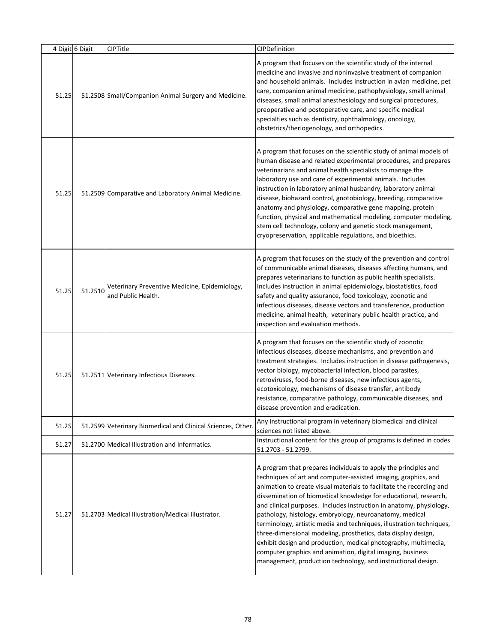|       | 4 Digit 6 Digit | CIPTitle                                                            | CIPDefinition                                                                                                                                                                                                                                                                                                                                                                                                                                                                                                                                                                                                                                                                                                                                             |
|-------|-----------------|---------------------------------------------------------------------|-----------------------------------------------------------------------------------------------------------------------------------------------------------------------------------------------------------------------------------------------------------------------------------------------------------------------------------------------------------------------------------------------------------------------------------------------------------------------------------------------------------------------------------------------------------------------------------------------------------------------------------------------------------------------------------------------------------------------------------------------------------|
| 51.25 |                 | 51.2508 Small/Companion Animal Surgery and Medicine.                | A program that focuses on the scientific study of the internal<br>medicine and invasive and noninvasive treatment of companion<br>and household animals. Includes instruction in avian medicine, pet<br>care, companion animal medicine, pathophysiology, small animal<br>diseases, small animal anesthesiology and surgical procedures,<br>preoperative and postoperative care, and specific medical<br>specialties such as dentistry, ophthalmology, oncology,<br>obstetrics/theriogenology, and orthopedics.                                                                                                                                                                                                                                           |
| 51.25 |                 | 51.2509 Comparative and Laboratory Animal Medicine.                 | A program that focuses on the scientific study of animal models of<br>human disease and related experimental procedures, and prepares<br>veterinarians and animal health specialists to manage the<br>laboratory use and care of experimental animals. Includes<br>instruction in laboratory animal husbandry, laboratory animal<br>disease, biohazard control, gnotobiology, breeding, comparative<br>anatomy and physiology, comparative gene mapping, protein<br>function, physical and mathematical modeling, computer modeling,<br>stem cell technology, colony and genetic stock management,<br>cryopreservation, applicable regulations, and bioethics.                                                                                            |
| 51.25 | 51.2510         | Veterinary Preventive Medicine, Epidemiology,<br>and Public Health. | A program that focuses on the study of the prevention and control<br>of communicable animal diseases, diseases affecting humans, and<br>prepares veterinarians to function as public health specialists.<br>Includes instruction in animal epidemiology, biostatistics, food<br>safety and quality assurance, food toxicology, zoonotic and<br>infectious diseases, disease vectors and transference, production<br>medicine, animal health, veterinary public health practice, and<br>inspection and evaluation methods.                                                                                                                                                                                                                                 |
| 51.25 |                 | 51.2511 Veterinary Infectious Diseases.                             | A program that focuses on the scientific study of zoonotic<br>infectious diseases, disease mechanisms, and prevention and<br>treatment strategies. Includes instruction in disease pathogenesis,<br>vector biology, mycobacterial infection, blood parasites,<br>retroviruses, food-borne diseases, new infectious agents,<br>ecotoxicology, mechanisms of disease transfer, antibody<br>resistance, comparative pathology, communicable diseases, and<br>disease prevention and eradication.                                                                                                                                                                                                                                                             |
| 51.25 |                 | 51.2599 Veterinary Biomedical and Clinical Sciences, Other.         | Any instructional program in veterinary biomedical and clinical<br>sciences not listed above.                                                                                                                                                                                                                                                                                                                                                                                                                                                                                                                                                                                                                                                             |
| 51.27 |                 | 51.2700 Medical Illustration and Informatics.                       | Instructional content for this group of programs is defined in codes<br>51.2703 - 51.2799.                                                                                                                                                                                                                                                                                                                                                                                                                                                                                                                                                                                                                                                                |
| 51.27 |                 | 51.2703 Medical Illustration/Medical Illustrator.                   | A program that prepares individuals to apply the principles and<br>techniques of art and computer-assisted imaging, graphics, and<br>animation to create visual materials to facilitate the recording and<br>dissemination of biomedical knowledge for educational, research,<br>and clinical purposes. Includes instruction in anatomy, physiology,<br>pathology, histology, embryology, neuroanatomy, medical<br>terminology, artistic media and techniques, illustration techniques,<br>three-dimensional modeling, prosthetics, data display design,<br>exhibit design and production, medical photography, multimedia,<br>computer graphics and animation, digital imaging, business<br>management, production technology, and instructional design. |